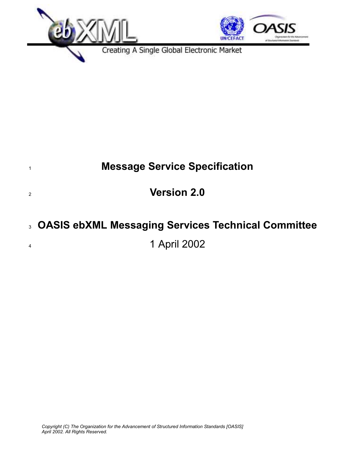

# <sup>1</sup>**Message Service Specification**

<sup>2</sup>**Version 2.0** 

# <sup>3</sup>**OASIS ebXML Messaging Services Technical Committee**

# 4 1 April 2002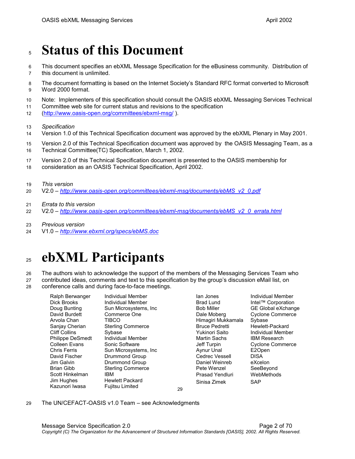# <span id="page-1-0"></span><sup>5</sup>**Status of this Document**

- 6 This document specifies an ebXML Message Specification for the eBusiness community. Distribution of 7 this document is unlimited.
- 8 The document formatting is based on the Internet Society's Standard RFC format converted to Microsoft 9 Word 2000 format.
- 10 Note: Implementers of this specification should consult the OASIS ebXML Messaging Services Technical
- 11 Committee web site for current status and revisions to the specification
- 12 [\(http://www.oasis-open.org/committees/ebxml-msg/](http://www.oasis-open.org/committees/ebxml-msg/) ).
- 13 *Specification*
- 14 Version 1.0 of this Technical Specification document was approved by the ebXML Plenary in May 2001.
- 15 Version 2.0 of this Technical Specification document was approved by the OASIS Messaging Team, as a 16 Technical Committee(TC) Specification, March 1, 2002.
- 17 Version 2.0 of this Technical Specification document is presented to the OASIS membership for
- 18 consideration as an OASIS Technical Specification, April 2002.
- 19 *This version*
- 20 V2.0 *[http://www.oasis-open.org/committees/ebxml-msg/documents/ebMS\\_v2\\_0.pdf](http://www.oasis-open.org/committees/ebxml-msg/documents/ebMS_v2_0.pdf)*
- 21 *Errata to this version*
- 22 V2.0  *[http://www.oasis-open.org/committees/ebxml-msg/documents/ebMS\\_v2\\_0\\_errata.html](http://www.oasis-open.org/committees/ebxml-msg/documents/ebMS_v2_0_errata.html)*
- 23 *Previous version*
- 24 V1.0 *<http://www.ebxml.org/specs/ebMS.doc>*

# <sup>25</sup>**ebXML Participants**

- 26 The authors wish to acknowledge the support of the members of the Messaging Services Team who
- 27 contributed ideas, comments and text to this specification by the group's discussion eMail list, on
- 28 conference calls and during face-to-face meetings.

| Ralph Berwanger  | Individual Member        |    | lan Jones              | Individual Member         |
|------------------|--------------------------|----|------------------------|---------------------------|
| Dick Brooks      | Individual Member        |    | <b>Brad Lund</b>       | Intel™ Corporation        |
| Doug Bunting     | Sun Microsystems, Inc.   |    | <b>Bob Miller</b>      | <b>GE Global eXchange</b> |
| David Burdett    | Commerce One             |    | Dale Moberg            | <b>Cyclone Commerce</b>   |
| Arvola Chan      | <b>TIBCO</b>             |    | Himagiri Mukkamala     | Sybase                    |
| Sanjay Cherian   | <b>Sterling Commerce</b> |    | <b>Bruce Pedretti</b>  | Hewlett-Packard           |
| Cliff Collins    | Sybase                   |    | Yukinori Saito         | Individual Member         |
| Philippe DeSmedt | Individual Member        |    | <b>Martin Sachs</b>    | <b>IBM Research</b>       |
| Colleen Evans    | Sonic Software           |    | Jeff Turpin            | <b>Cyclone Commerce</b>   |
| Chris Ferris     | Sun Microsystems, Inc.   |    | Aynur Unal             | E2Open                    |
| David Fischer    | Drummond Group           |    | Cedrec Vessell         | <b>DISA</b>               |
| Jim Galvin       | Drummond Group           |    | Daniel Weinreb         | eXcelon                   |
| Brian Gibb       | <b>Sterling Commerce</b> |    | Pete Wenzel            | SeeBeyond                 |
| Scott Hinkelman  | IBM                      |    | <b>Prasad Yendluri</b> | WebMethods                |
| Jim Hughes       | <b>Hewlett Packard</b>   |    | Sinisa Zimek           | <b>SAP</b>                |
| Kazunori Iwasa   | Fujitsu Limited          | 29 |                        |                           |
|                  |                          |    |                        |                           |

29 The UN/CEFACT-OASIS v1.0 Team – see Acknowledgments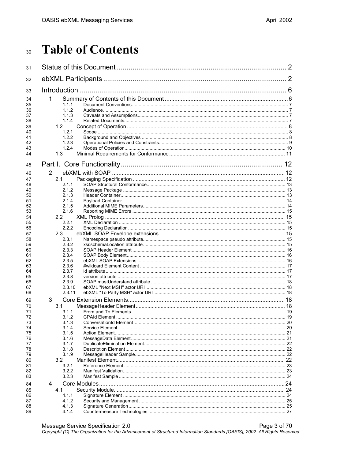### **Table of Contents**  $30<sup>°</sup>$

| 31       |   |                |  |
|----------|---|----------------|--|
| 32       |   |                |  |
| 33       |   |                |  |
| 34       | 1 |                |  |
| 35       |   | 1.1.1          |  |
| 36       |   | 1.1.2          |  |
| 37       |   | 1.1.3          |  |
| 38       |   | 1.1.4          |  |
| 39       |   | 1.2            |  |
| 40       |   | 1.2.1          |  |
| 41<br>42 |   | 1.2.2<br>1.2.3 |  |
| 43       |   | 1.2.4          |  |
| 44       |   | 1.3            |  |
| 45       |   |                |  |
| 46       | 2 |                |  |
| 47       |   | 2.1            |  |
| 48       |   | 2.1.1          |  |
| 49       |   | 2.1.2          |  |
| 50       |   | 2.1.3          |  |
| 51       |   | 2.1.4          |  |
| 52       |   | 2.1.5          |  |
| 53       |   | 2.1.6          |  |
| 54       |   | 2.2            |  |
| 55       |   | 2.2.1          |  |
| 56       |   | 2.2.2          |  |
| 57       |   | 2.3            |  |
| 58<br>59 |   | 2.3.1<br>2.3.2 |  |
| 60       |   | 2.3.3          |  |
| 61       |   | 2.3.4          |  |
| 62       |   | 2.3.5          |  |
| 63       |   | 2.3.6          |  |
| 64       |   | 2.3.7          |  |
| 65       |   | 2.3.8          |  |
| 66       |   | 2.3.9          |  |
| 67       |   | 2.3.10         |  |
| 68       |   | 2.3.11         |  |
| 69       | 3 |                |  |
| 70       |   | 3.1            |  |
| 71       |   | 3.1.1          |  |
| 72       |   | 3.1.2          |  |
| 73       |   |                |  |
| 74       |   | 3.1.4          |  |
| 75<br>76 |   | 3.1.5<br>3.1.6 |  |
| 77       |   | 3.1.7          |  |
| 78       |   | 3.1.8          |  |
| 79       |   | 3.1.9          |  |
| 80       |   | 3.2            |  |
| 81       |   | 3.2.1          |  |
| 82       |   | 3.2.2          |  |
| 83       |   | 3.2.3          |  |
| 84       | 4 |                |  |
| 85       |   | 4.1            |  |
| 86       |   | 4.1.1          |  |
| 87       |   | 4.1.2          |  |
| 88       |   | 4.1.3          |  |
| 89       |   | 4.1.4          |  |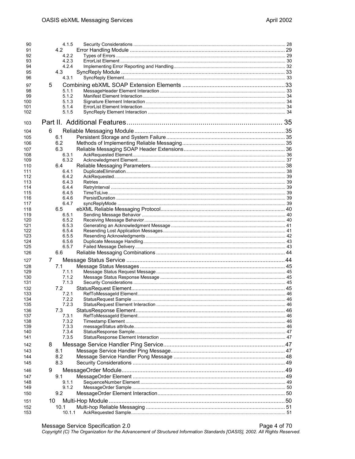| 90<br>91<br>92<br>93<br>94<br>95<br>96<br>97<br>98<br>99<br>100<br>101<br>102 | 4.1.5<br>4.2<br>4.2.2<br>4.2.3<br>4.2.4<br>4.3<br>4.3.1<br>5<br>5.1.1<br>5.1.2<br>5.1.3<br>5.1.4<br>5.1.5 |  |
|-------------------------------------------------------------------------------|-----------------------------------------------------------------------------------------------------------|--|
| 103                                                                           |                                                                                                           |  |
| 104                                                                           | 6                                                                                                         |  |
| 105                                                                           | 6.1                                                                                                       |  |
| 106                                                                           | 6.2                                                                                                       |  |
|                                                                               | 6.3                                                                                                       |  |
| 107                                                                           | 6.3.1                                                                                                     |  |
| 108<br>109                                                                    | 6.3.2                                                                                                     |  |
| 110                                                                           | 6.4                                                                                                       |  |
| 111                                                                           | 6.4.1                                                                                                     |  |
| 112                                                                           | 6.4.2                                                                                                     |  |
| 113                                                                           | 6.4.3                                                                                                     |  |
| 114                                                                           | 6.4.4                                                                                                     |  |
| 115                                                                           | 6.4.5                                                                                                     |  |
| 116                                                                           | 6.4.6                                                                                                     |  |
| 117                                                                           | 6.4.7                                                                                                     |  |
| 118                                                                           | 6.5                                                                                                       |  |
| 119                                                                           | 6.5.1                                                                                                     |  |
| 120                                                                           | 6.5.2                                                                                                     |  |
| 121                                                                           | 6.5.3                                                                                                     |  |
| 122                                                                           | 6.5.4                                                                                                     |  |
| 123                                                                           | 6.5.5                                                                                                     |  |
| 124                                                                           | 6.5.6                                                                                                     |  |
| 125                                                                           | 6.5.7                                                                                                     |  |
| 126                                                                           | 6.6                                                                                                       |  |
| 127                                                                           | 7                                                                                                         |  |
| 128                                                                           | 7.1                                                                                                       |  |
| 129                                                                           | 7.1.1                                                                                                     |  |
| 130                                                                           | 7.1.2                                                                                                     |  |
| 131                                                                           | 7.1.3                                                                                                     |  |
| 132                                                                           | 7.2                                                                                                       |  |
| 133                                                                           | 7.2.1                                                                                                     |  |
| 134                                                                           | 7.2.2                                                                                                     |  |
| 135                                                                           | 7.2.3                                                                                                     |  |
| 136                                                                           | 7.3                                                                                                       |  |
| 137                                                                           | 7.3.1                                                                                                     |  |
| 138                                                                           | 7.3.2                                                                                                     |  |
| 139                                                                           | 7.3.3                                                                                                     |  |
| 140                                                                           | 7.3.4<br>7.3.5                                                                                            |  |
| 141                                                                           |                                                                                                           |  |
| 142                                                                           | 8                                                                                                         |  |
| 143                                                                           | 8.1                                                                                                       |  |
| 144                                                                           | 8.2                                                                                                       |  |
| 145                                                                           | 8.3                                                                                                       |  |
| 146                                                                           | 9                                                                                                         |  |
| 147                                                                           | 9.1                                                                                                       |  |
| 148                                                                           | 9.1.1                                                                                                     |  |
| 149                                                                           | 9.1.2                                                                                                     |  |
| 150                                                                           | 9.2                                                                                                       |  |
|                                                                               |                                                                                                           |  |
| 151                                                                           | 10                                                                                                        |  |
| 152                                                                           | 10.1                                                                                                      |  |
| 153                                                                           | 10.1.1                                                                                                    |  |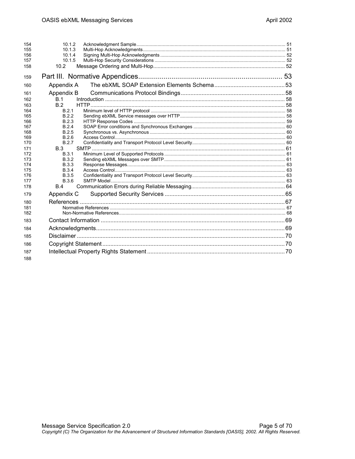| 154        | 10.1.2                |  |
|------------|-----------------------|--|
| 155        | 10.1.3                |  |
| 156        | 10.1.4                |  |
| 157        | 10.1.5                |  |
| 158        | 10.2                  |  |
| 159        |                       |  |
| 160        | Appendix A            |  |
| 161        | Appendix B            |  |
| 162        | B.1                   |  |
| 163        | B.2                   |  |
| 164        | B.2.1                 |  |
| 165        | <b>B22</b>            |  |
| 166        | <b>B.2.3</b>          |  |
| 167        | B.2.4                 |  |
| 168        | <b>B.2.5</b><br>B.2.6 |  |
| 169<br>170 | <b>B.2.7</b>          |  |
| 171        | B.3                   |  |
| 172        | <b>B.3.1</b>          |  |
| 173        | <b>B.3.2</b>          |  |
| 174        | <b>B.3.3</b>          |  |
| 175        | <b>B.3.4</b>          |  |
| 176        | <b>B.3.5</b>          |  |
| 177        | <b>B.3.6</b>          |  |
| 178        | <b>B.4</b>            |  |
| 179        | Appendix C            |  |
| 180        |                       |  |
| 181        |                       |  |
| 182        |                       |  |
| 183        |                       |  |
| 184        |                       |  |
| 185        |                       |  |
| 186        |                       |  |
| 187        |                       |  |
| 188        |                       |  |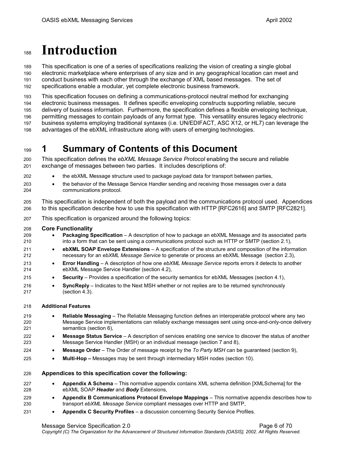# <span id="page-5-0"></span><sup>188</sup>**Introduction**

189 This specification is one of a series of specifications realizing the vision of creating a single global

190 electronic marketplace where enterprises of any size and in any geographical location can meet and 191 conduct business with each other through the exchange of XML based messages. The set of

192 specifications enable a modular, yet complete electronic business framework.

193 This specification focuses on defining a communications-protocol neutral method for exchanging

194 electronic business messages. It defines specific enveloping constructs supporting reliable, secure

195 delivery of business information. Furthermore, the specification defines a flexible enveloping technique,

196 permitting messages to contain payloads of any format type. This versatility ensures legacy electronic 197 business systems employing traditional syntaxes (i.e. UN/EDIFACT, ASC X12, or HL7) can leverage the

198 advantages of the ebXML infrastructure along with users of emerging technologies.

# <sup>199</sup>**1 Summary of Contents of this Document**

200 This specification defines the *ebXML Message Service Protocol* enabling the secure and reliable 201 exchange of messages between two parties. It includes descriptions of:

- 202 the ebXML Message structure used to package payload data for transport between parties,
- 203 the behavior of the Message Service Handler sending and receiving those messages over a data 204 communications protocol.
- 205 This specification is independent of both the payload and the communications protocol used. Appendices 206 to this specification describe how to use this specification with HTTP [RFC2616] and SMTP [RFC2821].
- 207 This specification is organized around the following topics:
- 208 **Core Functionality**
- 209 **Packaging Specification** A description of how to package an ebXML Message and its associated parts 210 into a form that can be sent using a communications protocol such as HTTP or SMTP (section [2.1\)](#page-11-0),
- 211 **ebXML SOAP Envelope Extensions** A specification of the structure and composition of the information 212 necessary for an *ebXML Message Service* to generate or process an ebXML Message (section [2.3\),](#page-14-0)
- 213 **Error Handling** A description of how one *ebXML Message Service* reports errors it detects to another 214 ebXML Message Service Handler (section [4.2\)](#page-28-0),
- 215 **Security** Provides a specification of the security semantics for ebXML Messages (section [4.1\)](#page-23-0),
- 216 **SyncReply**  Indicates to the Next MSH whether or not replies are to be returned synchronously 217 (section [4.3\)](#page-32-0).

### 218 **Additional Features**

- 219 **Reliable Messaging** The Reliable Messaging function defines an interoperable protocol where any two 220 Message Service implementations can reliably exchange messages sent using once-and-only-once delivery 221 semantics (section [6\)](#page-34-0),
- 222 **Message Status Service** A description of services enabling one service to discover the status of another 223 Message Service Handler (MSH) or an individual message (section [7 a](#page-43-0)nd [8\)](#page-46-0),
- 224 **Message Order**  The Order of message receipt by the *To Party MSH* can be guaranteed (section [9\),](#page-48-0)
- 225 **Multi-Hop** Messages may be sent through intermediary MSH nodes (section [10\)](#page-49-0).
- 226 **Appendices to this specification cover the following:**
- 227 **Appendix A Schema**  This normative appendix contains XML schema definition [XMLSchema] for the 228 ebXML SOAP *Header* and *Body* Extensions,
- 229 **Appendix B Communications Protocol Envelope Mappings** This normative appendix describes how to 230 transport *ebXML Message Service* compliant messages over HTTP and SMTP,
- 231 **Appendix C Security Profiles**  a discussion concerning Security Service Profiles.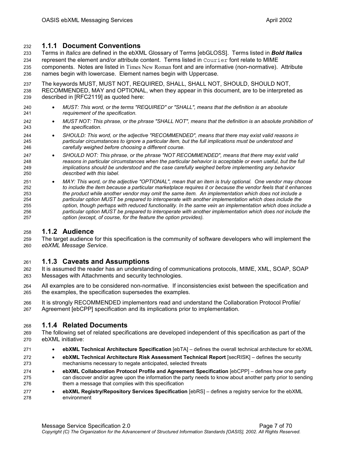## <span id="page-6-0"></span><sup>232</sup>**1.1.1 Document Conventions**

233 Terms in *Italics* are defined in the ebXML Glossary of Terms [ebGLOSS]. Terms listed in *Bold Italics* 234 represent the element and/or attribute content. Terms listed in Courier font relate to MIME

235 components. Notes are listed in Times New Roman font and are informative (non-normative). Attribute 236 names begin with lowercase. Element names begin with Uppercase.

237 The keywords MUST, MUST NOT, REQUIRED, SHALL, SHALL NOT, SHOULD, SHOULD NOT, 238 RECOMMENDED, MAY and OPTIONAL, when they appear in this document, are to be interpreted as 239 described in [RFC2119] as quoted here:

- 240 *MUST: This word, or the terms "REQUIRED" or "SHALL", means that the definition is an absolute*  241 *requirement of the specification.*
- 242 *MUST NOT: This phrase, or the phrase "SHALL NOT", means that the definition is an absolute prohibition of*  243 *the specification.*
- 244 *SHOULD: This word, or the adjective "RECOMMENDED", means that there may exist valid reasons in*  245 *particular circumstances to ignore a particular item, but the full implications must be understood and*  246 *carefully weighed before choosing a different course.*
- 247 *SHOULD NOT: This phrase, or the phrase "NOT RECOMMENDED", means that there may exist valid*  248 *reasons in particular circumstances when the particular behavior is acceptable or even useful, but the full*  249 *implications should be understood and the case carefully weighed before implementing any behavior*  250 *described with this label.*
- 251 *MAY: This word, or the adjective "OPTIONAL", mean that an item is truly optional. One vendor may choose*  252 *to include the item because a particular marketplace requires it or because the vendor feels that it enhances*  253 *the product while another vendor may omit the same item. An implementation which does not include a*  254 *particular option MUST be prepared to interoperate with another implementation which does include the*  255 *option, though perhaps with reduced functionality. In the same vein an implementation which does include a*  256 *particular option MUST be prepared to interoperate with another implementation which does not include the*  257 *option (except, of course, for the feature the option provides).*

### <sup>258</sup>**1.1.2 Audience**

259 The target audience for this specification is the community of software developers who will implement the 260 *ebXML Message Service*.

## <sup>261</sup>**1.1.3 Caveats and Assumptions**

- 262 It is assumed the reader has an understanding of communications protocols, MIME, XML, SOAP, SOAP 263 Messages with Attachments and security technologies.
- 264 All examples are to be considered non-normative. If inconsistencies exist between the specification and 265 the examples, the specification supersedes the examples.
- 266 It is strongly RECOMMENDED implementors read and understand the Collaboration Protocol Profile/ 267 Agreement [ebCPP] specification and its implications prior to implementation.

## <sup>268</sup>**1.1.4 Related Documents**

- 269 The following set of related specifications are developed independent of this specification as part of the 270 ebXML initiative:
- 271 **ebXML Technical Architecture Specification** [ebTA] defines the overall technical architecture for ebXML
- 272 **ebXML Technical Architecture Risk Assessment Technical Report** [secRISK] defines the security 273 mechanisms necessary to negate anticipated, selected threats
- 274 **ebXML Collaboration Protocol Profile and Agreement Specification** [ebCPP] defines how one party 275 can discover and/or agree upon the information the party needs to know about another party prior to sending 276 them a message that complies with this specification
- 277 **ebXML Registry/Repository Services Specification** [ebRS] defines a registry service for the ebXML 278 environment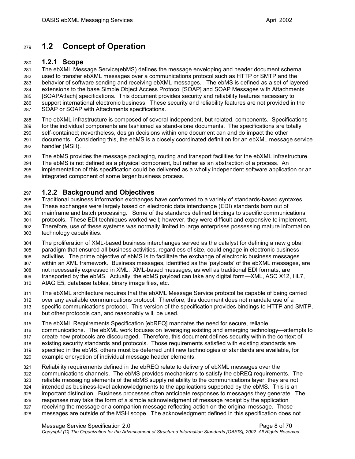# <span id="page-7-0"></span><sup>279</sup>**1.2 Concept of Operation**

### <sup>280</sup>**1.2.1 Scope**

281 The ebXML Message Service(ebMS) defines the message enveloping and header document schema 282 used to transfer ebXML messages over a communications protocol such as HTTP or SMTP and the 283 behavior of software sending and receiving ebXML messages. The ebMS is defined as a set of layered 284 extensions to the base Simple Object Access Protocol [SOAP] and SOAP Messages with Attachments 285 [SOAPAttach] specifications. This document provides security and reliability features necessary to 286 support international electronic business. These security and reliability features are not provided in the 287 SOAP or SOAP with Attachments specifications.

288 The ebXML infrastructure is composed of several independent, but related, components. Specifications 289 for the individual components are fashioned as stand-alone documents. The specifications are totally 290 self-contained; nevertheless, design decisions within one document can and do impact the other 291 documents. Considering this, the ebMS is a closely coordinated definition for an ebXML message service 292 handler (MSH).

293 The ebMS provides the message packaging, routing and transport facilities for the ebXML infrastructure. 294 The ebMS is not defined as a physical component, but rather as an abstraction of a process. An 295 implementation of this specification could be delivered as a wholly independent software application or an

296 integrated component of some larger business process.

## <sup>297</sup>**1.2.2 Background and Objectives**

298 Traditional business information exchanges have conformed to a variety of standards-based syntaxes. 299 These exchanges were largely based on electronic data interchange (EDI) standards born out of 300 mainframe and batch processing. Some of the standards defined bindings to specific communications 301 protocols. These EDI techniques worked well; however, they were difficult and expensive to implement. 302 Therefore, use of these systems was normally limited to large enterprises possessing mature information 303 technology capabilities.

304 The proliferation of XML-based business interchanges served as the catalyst for defining a new global 305 paradigm that ensured all business activities, regardless of size, could engage in electronic business 306 activities. The prime objective of ebMS is to facilitate the exchange of electronic business messages 307 within an XML framework. Business messages, identified as the 'payloads' of the ebXML messages, are 308 not necessarily expressed in XML. XML-based messages, as well as traditional EDI formats, are 309 transported by the ebMS. Actually, the ebMS payload can take any digital form—XML, ASC X12, HL7, 310 AIAG E5, database tables, binary image files, etc.

311 The ebXML architecture requires that the ebXML Message Service protocol be capable of being carried 312 over any available communications protocol. Therefore, this document does not mandate use of a 313 specific communications protocol. This version of the specification provides bindings to HTTP and SMTP, 314 but other protocols can, and reasonably will, be used.

- 315 The ebXML Requirements Specification [ebREQ] mandates the need for secure, reliable
- 316 communications. The ebXML work focuses on leveraging existing and emerging technology—attempts to
- 317 create new protocols are discouraged. Therefore, this document defines security within the context of
- 318 existing security standards and protocols. Those requirements satisfied with existing standards are
- 319 specified in the ebMS, others must be deferred until new technologies or standards are available, for
- 320 example encryption of individual message header elements.
- 321 Reliability requirements defined in the ebREQ relate to delivery of ebXML messages over the
- 322 communications channels. The ebMS provides mechanisms to satisfy the ebREQ requirements. The
- 323 reliable messaging elements of the ebMS supply reliability to the communications layer; they are not
- 324 intended as business-level acknowledgments to the applications supported by the ebMS. This is an
- 325 important distinction. Business processes often anticipate responses to messages they generate. The
- 326 responses may take the form of a simple acknowledgment of message receipt by the application 327 receiving the message or a companion message reflecting action on the original message. Those
- 328 messages are outside of the MSH scope. The acknowledgment defined in this specification does not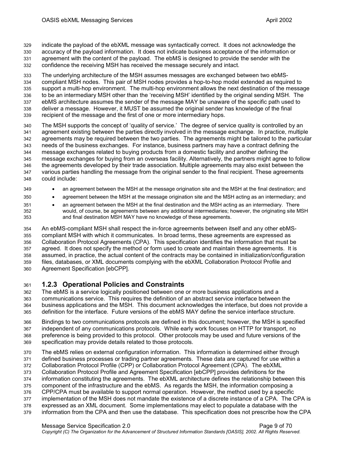<span id="page-8-0"></span>329 indicate the payload of the ebXML message was syntactically correct. It does not acknowledge the

330 accuracy of the payload information. It does not indicate business acceptance of the information or 331 agreement with the content of the payload. The ebMS is designed to provide the sender with the 332 confidence the receiving MSH has received the message securely and intact.

333 The underlying architecture of the MSH assumes messages are exchanged between two ebMS-334 compliant MSH nodes. This pair of MSH nodes provides a hop-to-hop model extended as required to 335 support a multi-hop environment. The multi-hop environment allows the next destination of the message 336 to be an intermediary MSH other than the 'receiving MSH' identified by the original sending MSH. The 337 ebMS architecture assumes the sender of the message MAY be unaware of the specific path used to 338 deliver a message. However, it MUST be assumed the original sender has knowledge of the final 339 recipient of the message and the first of one or more intermediary hops.

340 The MSH supports the concept of 'quality of service.' The degree of service quality is controlled by an 341 agreement existing between the parties directly involved in the message exchange. In practice, multiple 342 agreements may be required between the two parties. The agreements might be tailored to the particular 343 needs of the business exchanges. For instance, business partners may have a contract defining the 344 message exchanges related to buying products from a domestic facility and another defining the 345 message exchanges for buying from an overseas facility. Alternatively, the partners might agree to follow 346 the agreements developed by their trade association. Multiple agreements may also exist between the 347 various parties handling the message from the original sender to the final recipient. These agreements 348 could include:

- 349 an agreement between the MSH at the message origination site and the MSH at the final destination; and
- 350 agreement between the MSH at the message origination site and the MSH acting as an intermediary; and
- 351 an agreement between the MSH at the final destination and the MSH acting as an intermediary. There 352 would, of course, be agreements between any additional intermediaries; however, the originating site MSH 353 and final destination MSH MAY have no knowledge of these agreements.

354 An ebMS-compliant MSH shall respect the in-force agreements between itself and any other ebMS-355 compliant MSH with which it communicates. In broad terms, these agreements are expressed as 356 Collaboration Protocol Agreements (CPA). This specification identifies the information that must be 357 agreed. It does not specify the method or form used to create and maintain these agreements. It is 358 assumed, in practice, the actual content of the contracts may be contained in initialization/configuration 359 files, databases, or XML documents complying with the ebXML Collaboration Protocol Profile and 360 Agreement Specification [ebCPP].

# <sup>361</sup>**1.2.3 Operational Policies and Constraints**

362 The ebMS is a service logically positioned between one or more business applications and a 363 communications service. This requires the definition of an abstract service interface between the 364 business applications and the MSH. This document acknowledges the interface, but does not provide a 365 definition for the interface. Future versions of the ebMS MAY define the service interface structure.

366 Bindings to two communications protocols are defined in this document; however, the MSH is specified 367 independent of any communications protocols. While early work focuses on HTTP for transport, no 368 preference is being provided to this protocol. Other protocols may be used and future versions of the 369 specification may provide details related to those protocols.

370 The ebMS relies on external configuration information. This information is determined either through 371 defined business processes or trading partner agreements. These data are captured for use within a 372 Collaboration Protocol Profile (CPP) or Collaboration Protocol Agreement (CPA). The ebXML

373 Collaboration Protocol Profile and Agreement Specification [ebCPP] provides definitions for the

374 information constituting the agreements. The ebXML architecture defines the relationship between this

375 component of the infrastructure and the ebMS. As regards the MSH, the information composing a 376 CPP/CPA must be available to support normal operation. However, the method used by a specific

377 implementation of the MSH does not mandate the existence of a discrete instance of a CPA. The CPA is

- 378 expressed as an XML document. Some implementations may elect to populate a database with the
- 379 information from the CPA and then use the database. This specification does not prescribe how the CPA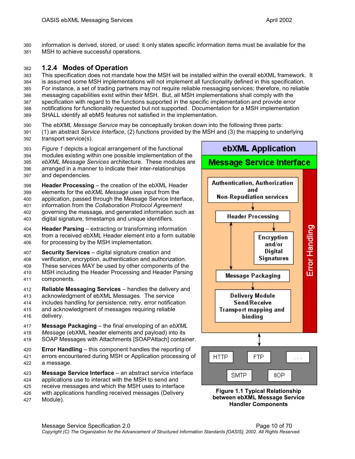<span id="page-9-0"></span>380 information is derived, stored, or used: it only states specific information items must be available for the 381 MSH to achieve successful operations.

## <sup>382</sup>**1.2.4 Modes of Operation**

383 This specification does not mandate how the MSH will be installed within the overall ebXML framework. It 384 is assumed some MSH implementations will not implement all functionality defined in this specification. 385 For instance, a set of trading partners may not require reliable messaging services; therefore, no reliable 386 messaging capabilities exist within their MSH. But, all MSH implementations shall comply with the 387 specification with regard to the functions supported in the specific implementation and provide error 388 notifications for functionality requested but not supported. Documentation for a MSH implementation 389 SHALL identify all ebMS features not satisfied in the implementation.

- 390 The *ebXML Message Service* may be conceptually broken down into the following three parts:
- 391 (1) an abstract *Service Interface*, (2) functions provided by the MSH and (3) the mapping to underlying 392 transport service(s).
- 393 *Figure 1* depicts a logical arrangement of the functional 394 modules existing within one possible implementation of the 395 *ebXML Message Services* architecture. These modules are 396 arranged in a manner to indicate their inter-relationships
- 397 and dependencies.
- 398 **Header Processing** the creation of the ebXML Header
- 399 elements for the *ebXML Message* uses input from the
- 400 application, passed through the Message Service Interface,
- 401 information from the *Collaboration Protocol Agreement*
- 402 governing the message, and generated information such as
- 403 digital signature, timestamps and unique identifiers.
- 404 **Header Parsing** extracting or transforming information 405 from a received ebXML Header element into a form suitable 406 for processing by the MSH implementation.
- 407 **Security Services** digital signature creation and
- 408 verification, encryption, authentication and authorization.
- 409 These services MAY be used by other components of the
- 410 MSH including the Header Processing and Header Parsing 411 components.
- 412 **Reliable Messaging Services** handles the delivery and
- 413 acknowledgment of ebXML Messages. The service
- 414 includes handling for persistence, retry, error notification
- 415 and acknowledgment of messages requiring reliable
- 416 delivery.
- 417 **Message Packaging** the final enveloping of an *ebXML*  418 *Message* (ebXML header elements and payload) into its
- 419 SOAP Messages with Attachments [SOAPAttach] container.
- 420 **Error Handling** this component handles the reporting of 421 errors encountered during MSH or Application processing of 422 a message.

423 **Message Service Interface** – an abstract service interface 424 applications use to interact with the MSH to send and 425 receive messages and which the MSH uses to interface 426 with applications handling received messages (Delivery 427 Module).



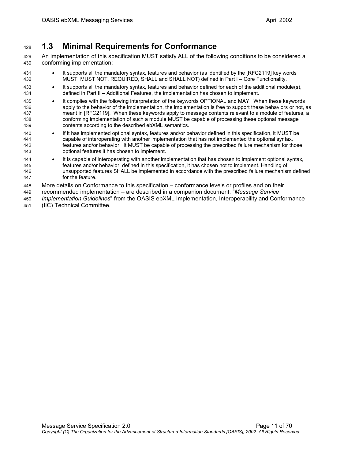# <span id="page-10-0"></span><sup>428</sup>**1.3 Minimal Requirements for Conformance**

429 An implementation of this specification MUST satisfy ALL of the following conditions to be considered a 430 conforming implementation:

- 431 It supports all the mandatory syntax, features and behavior (as identified by the [RFC2119] key words 432 MUST, MUST NOT, REQUIRED, SHALL and SHALL NOT) defined in Part I – Core Functionality.
- 433 It supports all the mandatory syntax, features and behavior defined for each of the additional module(s), 434 defined in Part II – Additional Features, the implementation has chosen to implement.
- 435 It complies with the following interpretation of the keywords OPTIONAL and MAY: When these keywords 436 apply to the behavior of the implementation, the implementation is free to support these behaviors or not, as 437 meant in [RFC2119]. When these keywords apply to message contents relevant to a module of features, a 438 conforming implementation of such a module MUST be capable of processing these optional message 439 contents according to the described ebXML semantics.
- 440 If it has implemented optional syntax, features and/or behavior defined in this specification, it MUST be 441 capable of interoperating with another implementation that has not implemented the optional syntax, 442 features and/or behavior. It MUST be capable of processing the prescribed failure mechanism for those 443 optional features it has chosen to implement.
- 444 It is capable of interoperating with another implementation that has chosen to implement optional syntax, 445 features and/or behavior, defined in this specification, it has chosen not to implement. Handling of 446 unsupported features SHALL be implemented in accordance with the prescribed failure mechanism defined 447 for the feature.
- 448 More details on Conformance to this specification conformance levels or profiles and on their
- 449 recommended implementation are described in a companion document, "*Message Service*
- 450 *Implementation Guidelines*" from the OASIS ebXML Implementation, Interoperability and Conformance
- 451 (IIC) Technical Committee.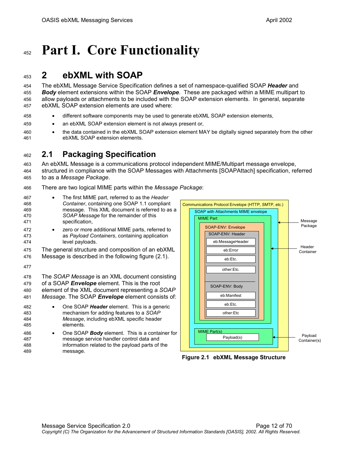# <span id="page-11-0"></span><sup>452</sup>**Part I. Core Functionality**

# <sup>453</sup>**2 ebXML with SOAP**

454 The ebXML Message Service Specification defines a set of namespace-qualified SOAP *Header* and 455 *Body* element extensions within the SOAP *Envelope*. These are packaged within a MIME multipart to 456 allow payloads or attachments to be included with the SOAP extension elements. In general, separate 457 ebXML SOAP extension elements are used where:

- 458 different software components may be used to generate ebXML SOAP extension elements,
- 459 an ebXML SOAP extension element is not always present or,
- 460 the data contained in the ebXML SOAP extension element MAY be digitally signed separately from the other 461 ebXML SOAP extension elements.

# <sup>462</sup>**2.1 Packaging Specification**

463 An ebXML Message is a communications protocol independent MIME/Multipart message envelope, 464 structured in compliance with the SOAP Messages with Attachments [SOAPAttach] specification, referred 465 to as a *Message Package*.

466 There are two logical MIME parts within the *Message Package*:

| 467 | $\bullet$ | The first MIME part, referred to as the Header |
|-----|-----------|------------------------------------------------|
| 468 |           | Container, containing one SOAP 1.1 compliant   |
| 469 |           | message. This XML document is referred to as a |
| 470 |           | SOAP Message for the remainder of this         |
| 471 |           | specification.                                 |
|     |           |                                                |

- 472 zero or more additional MIME parts, referred to 473 as *Payload Containers*, containing application 474 level payloads.
- 475 The general structure and composition of an ebXML
- 476 Message is described in the following figure (2.1).
- 477
- 478 The *SOAP Message* is an XML document consisting 479 of a SOAP *Envelope* element. This is the root 480 element of the XML document representing a *SOAP*  481 *Message*. The SOAP *Envelope* element consists of:
- 482 One SOAP *Header* element. This is a generic 483 mechanism for adding features to a *SOAP*  484 *Message*, including ebXML specific header 485 elements.
- 486 One SOAP *Body* element. This is a container for 487 message service handler control data and 488 information related to the payload parts of the 489 message.



**Figure 2.1 ebXML Message Structure**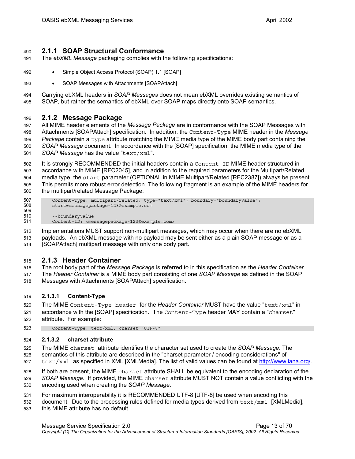## <span id="page-12-0"></span><sup>490</sup>**2.1.1 SOAP Structural Conformance**

- 491 The *ebXML Message* packaging complies with the following specifications:
- 492 Simple Object Access Protocol (SOAP) 1.1 [SOAP]
- 493 SOAP Messages with Attachments [SOAPAttach]

494 Carrying ebXML headers in *SOAP Messages* does not mean ebXML overrides existing semantics of 495 SOAP, but rather the semantics of ebXML over SOAP maps directly onto SOAP semantics.

# <sup>496</sup>**2.1.2 Message Package**

497 All MIME header elements of the *Message Package* are in conformance with the SOAP Messages with 498 Attachments [SOAPAttach] specification. In addition, the Content-Type MIME header in the *Message*  499 *Package* contain a type attribute matching the MIME media type of the MIME body part containing the 500 *SOAP Message* document. In accordance with the [SOAP] specification, the MIME media type of the 501 *SOAP Message* has the value "text/xml".

502 It is strongly RECOMMENDED the initial headers contain a Content-ID MIME header structured in 503 accordance with MIME [RFC2045], and in addition to the required parameters for the Multipart/Related 504 media type, the start parameter (OPTIONAL in MIME Multipart/Related [RFC2387]) always be present. 505 This permits more robust error detection. The following fragment is an example of the MIME headers for 506 the multipart/related Message Package:

| 507<br>508<br>509 | Content-Type: multipart/related; type="text/xml"; boundary="boundaryValue";<br>start=messagepackage-123@example.com |
|-------------------|---------------------------------------------------------------------------------------------------------------------|
| 510<br>511        | --boundaryValue<br>Content-ID: <messagepackage-123@example.com></messagepackage-123@example.com>                    |
|                   |                                                                                                                     |

512 Implementations MUST support non-multipart messages, which may occur when there are no ebXML 513 payloads. An ebXML message with no payload may be sent either as a plain SOAP message or as a 514 [SOAPAttach] multipart message with only one body part.

# <sup>515</sup>**2.1.3 Header Container**

516 The root body part of the *Message Package* is referred to in this specification as the *Header Container*. 517 The *Header Container* is a MIME body part consisting of one *SOAP Message* as defined in the SOAP

518 Messages with Attachments [SOAPAttach] specification.

# 519 **2.1.3.1 Content-Type**

520 The MIME Content-Type header for the *Header Container* MUST have the value "text/xml" in

521 accordance with the [SOAP] specification. The Content-Type header MAY contain a "charset" 522 attribute. For example:

523 Content-Type: text/xml; charset="UTF-8"

# 524 **2.1.3.2 charset attribute**

525 The MIME charset attribute identifies the character set used to create the *SOAP Message*. The 526 semantics of this attribute are described in the "charset parameter / encoding considerations" of 527 text/xml as specified in XML [XMLMedia]. The list of valid values can be found at [http://www.iana.org/.](http://www.iana.org/)

528 If both are present, the MIME charset attribute SHALL be equivalent to the encoding declaration of the 529 *SOAP Message*. If provided, the MIME charset attribute MUST NOT contain a value conflicting with the 530 encoding used when creating the *SOAP Message*.

531 For maximum interoperability it is RECOMMENDED UTF-8 [UTF-8] be used when encoding this

- 532 document. Due to the processing rules defined for media types derived from text/xml [XMLMedia],
- 533 this MIME attribute has no default.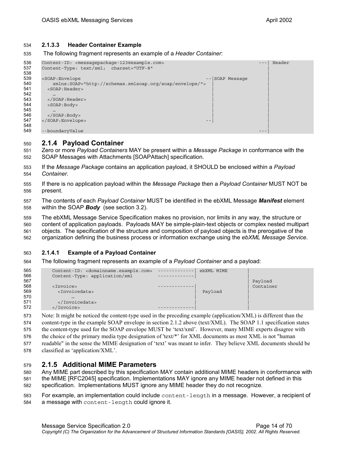### <span id="page-13-0"></span>**2.1.3.3 Header Container Example**

535 The following fragment represents an example of a *Header Container*:

| 536<br>537<br>538 | Content-ID: <messaqepackaqe-123@example.com><br/>Content-Type: text/xml; charset="UTF-8"</messaqepackaqe-123@example.com> | $- - -$         | Header |
|-------------------|---------------------------------------------------------------------------------------------------------------------------|-----------------|--------|
| 539               | <soap:envelope< th=""><th>-- SOAP Message</th><th></th></soap:envelope<>                                                  | -- SOAP Message |        |
| 540               | xmlns:SOAP="http://schemas.xmlsoap.org/soap/envelope/">                                                                   |                 |        |
| 541               | $<$ SOAP: Header>                                                                                                         |                 |        |
| 542               | $\bullet\bullet\bullet$                                                                                                   |                 |        |
| 543               | $\langle$ /SOAP:Header>                                                                                                   |                 |        |
| 544               | $<$ SOAP: Body>                                                                                                           |                 |        |
| 545               |                                                                                                                           |                 |        |
| 546               | $\langle$ /SOAP:Body>                                                                                                     |                 |        |
| 547               | <br>$ -$                                                                                                                  |                 |        |
| 548               |                                                                                                                           |                 |        |
| 549               | --boundaryValue                                                                                                           | $- - -$         |        |

### **2.1.4 Payload Container**

551 Zero or more *Payload Containers* MAY be present within a *Message Package* in conformance with the 552 SOAP Messages with Attachments [SOAPAttach] specification.

- 553 If the *Message Package* contains an application payload, it SHOULD be enclosed within a *Payload Container.*
- 555 If there is no application payload within the *Message Package* then a *Payload Container* MUST NOT be 556 present.
- 557 The contents of each *Payload Container* MUST be identified in the ebXML Message *Manifest* element 558 within the SOAP *Body* (see section [3.2\)](#page-21-0).
- 559 The ebXML Message Service Specification makes no provision, nor limits in any way, the structure or
- 560 content of application payloads. Payloads MAY be simple-plain-text objects or complex nested multipart 561 objects. The specification of the structure and composition of payload objects is the prerogative of the
- 562 organization defining the business process or information exchange using the *ebXML Message Service*.

### **2.1.4.1 Example of a Payload Container**

564 The following fragment represents an example of a *Payload Container* and a payload:

| 565<br>566 | Content-ID: <domainname.example.com><br/>Content-Type: application/xml</domainname.example.com> | ebXML MIME |           |
|------------|-------------------------------------------------------------------------------------------------|------------|-----------|
| 567        |                                                                                                 |            | Payload   |
| 568<br>569 | <invoice><br/><invoicedata></invoicedata></invoice>                                             | Payload    | Container |
| 570<br>571 | $\cdots$<br>                                                                                    |            |           |
| 572        |                                                                                                 |            |           |

Note: It might be noticed the content-type used in the preceding example (application/XML) is different than the content-type in the example SOAP envelope in section [2.1.2](#page-12-0) above (text/XML). The SOAP 1.1 specification states the content-type used for the SOAP envelope MUST be 'text/xml'. However, many MIME experts disagree with the choice of the primary media type designation of 'text/\*' for XML documents as most XML is not "human readable" in the sense the MIME designation of 'text' was meant to infer. They believe XML documents should be

classified as 'application/XML'.

### **2.1.5 Additional MIME Parameters**

- 580 Any MIME part described by this specification MAY contain additional MIME headers in conformance with 581 the MIME [RFC2045] specification. Implementations MAY ignore any MIME header not defined in this
- 582 specification. Implementations MUST ignore any MIME header they do not recognize.
- 583 For example, an implementation could include content-length in a message. However, a recipient of 584 a message with content-length could ignore it.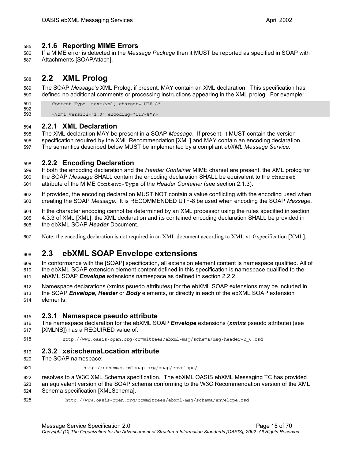### <span id="page-14-0"></span><sup>585</sup>**2.1.6 Reporting MIME Errors**

586 If a MIME error is detected in the *Message Package* then it MUST be reported as specified in SOAP with 587 Attachments [SOAPAttach].

# <sup>588</sup>**2.2 XML Prolog**

589 The SOAP *Message's* XML Prolog, if present, MAY contain an XML declaration. This specification has 590 defined no additional comments or processing instructions appearing in the XML prolog. For example:

591 Content-Type: text/xml; charset="UTF-8" 592

593 <?xml version="1.0" encoding="UTF-8"?>

## <sup>594</sup>**2.2.1 XML Declaration**

- 595 The XML declaration MAY be present in a SOAP *Message*. If present, it MUST contain the version
- 596 specification required by the XML Recommendation [XML] and MAY contain an encoding declaration.
- 597 The semantics described below MUST be implemented by a compliant *ebXML Message Service*.

## <sup>598</sup>**2.2.2 Encoding Declaration**

- 599 If both the encoding declaration and the *Header Container* MIME charset are present, the XML prolog for 600 the SOAP *Message* SHALL contain the encoding declaration SHALL be equivalent to the charset 601 attribute of the MIME Content-Type of the *Header Container* (see section [2.1.3\)](#page-13-0).
- 602 If provided, the encoding declaration MUST NOT contain a value conflicting with the encoding used when 603 creating the SOAP *Message*. It is RECOMMENDED UTF-8 be used when encoding the SOAP *Message*.
- 604 If the character encoding cannot be determined by an XML processor using the rules specified in section
- 605 4.3.3 of XML [XML], the XML declaration and its contained encoding declaration SHALL be provided in 606 the ebXML SOAP *Header* Document.
- 607 Note: the encoding declaration is not required in an XML document according to XML v1.0 specification [XML].

# <sup>608</sup>**2.3 ebXML SOAP Envelope extensions**

- 609 In conformance with the [SOAP] specification, all extension element content is namespace qualified. All of 610 the ebXML SOAP extension element content defined in this specification is namespace qualified to the 611 ebXML SOAP *Envelope* extensions namespace as defined in section 2.2.2.
- 612 Namespace declarations (xmlns psuedo attributes) for the ebXML SOAP extensions may be included in
- 613 the SOAP *Envelope*, *Header* or *Body* elements, or directly in each of the ebXML SOAP extension 614 elements.

## <sup>615</sup>**2.3.1 Namespace pseudo attribute**

- 616 The namespace declaration for the ebXML SOAP *Envelope* extensions (*xmlns* pseudo attribute) (see 617 [XMLNS]) has a REQUIRED value of:
- 

### 618 http://www.oasis-open.org/committees/ebxml-msg/schema/msg-header-2\_0.xsd

## <sup>619</sup>**2.3.2 xsi:schemaLocation attribute**

- 620 The SOAP namespace:
- 621 http://schemas.xmlsoap.org/soap/envelope/

622 resolves to a W3C XML Schema specification. The ebXML OASIS ebXML Messaging TC has provided 623 an equivalent version of the SOAP schema conforming to the W3C Recommendation version of the XML

- 624 Schema specification [XMLSchema].
- 625 http://www.oasis-open.org/committees/ebxml-msg/schema/envelope.xsd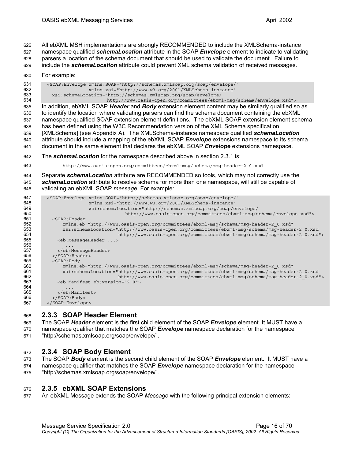<span id="page-15-0"></span>626 All ebXML MSH implementations are strongly RECOMMENDED to include the XMLSchema-instance

627 namespace qualified *schemaLocation* attribute in the SOAP *Envelope* element to indicate to validating

628 parsers a location of the schema document that should be used to validate the document. Failure to

629 include the *schemaLocation* attribute could prevent XML schema validation of received messages.

630 For example:

631 <SOAP:Envelope xmlns:SOAP="http://schemas.xmlsoap.org/soap/envelope/" 632 xmlns:xsi="http://www.w3.org/2001/XMLSchema-instance"<br>633 xsi:schemaLocation="http://schemas.xmlsoap.org/soap/envelope/

633 xsi:schemaLocation="http://schemas.xmlsoap.org/soap/envelope/

634 http://www.oasis-open.org/committees/ebxml-msg/schema/envelope.xsd"> 635 In addition, ebXML SOAP *Header* and *Body* extension element content may be similarly qualified so as 636 to identify the location where validating parsers can find the schema document containing the ebXML 637 namespace qualified SOAP extension element definitions. The ebXML SOAP extension element schema 638 has been defined using the W3C Recommendation version of the XML Schema specification 639 [XMLSchema] (see [Appendix A\)](#page-52-0). The XMLSchema-instance namespace qualified *schemaLocation* 640 attribute should include a mapping of the ebXML SOAP *Envelope* extensions namespace to its schema 641 document in the same element that declares the ebXML SOAP *Envelope* extensions namespace.

- 642 The *schemaLocation* for the namespace described above in section [2.3.1](#page-14-0) is:
- 643 http://www.oasis-open.org/committees/ebxml-msg/schema/msg-header-2\_0.xsd

644 Separate *schemaLocation* attribute are RECOMMENDED so tools, which may not correctly use the 645 *schemaLocation* attribute to resolve schema for more than one namespace, will still be capable of 646 validating an ebXML SOAP *message*. For example:

```
647 <SOAP:Envelope xmlns:SOAP="http://schemas.xmlsoap.org/soap/envelope/" 
648 xmlns:xsi="http://www.w3.org/2001/XMLSchema-instance" 
                    649 xsi:schemaLocation="http://schemas.xmlsoap.org/soap/envelope/ 
650 http://www.oasis-open.org/committees/ebxml-msg/schema/envelope.xsd"> 
         651 <SOAP:Header 
652 xmlns:eb="http://www.oasis-open.org/committees/ebxml-msg/schema/msg-header-2_0.xsd" 
            653 xsi:schemaLocation="http://www.oasis-open.org/committees/ebxml-msg/schema/msg-header-2_0.xsd 
654 http://www.oasis-open.org/committees/ebxml-msg/schema/msg-header-2_0.xsd"> 
655 <eb:MessageHeader ...> 
656
657 </eb:MessageHeader> 
658 </SOAP:Header> 
659 <SOAP:Body 
660 xmlns:eb="http://www.oasis-open.org/committees/ebxml-msg/schema/msg-header-2_0.xsd" 
661 xsi:schemaLocation="http://www.oasis-open.org/committees/ebxml-msg/schema/msg-header-2_0.xsd 
662 http://www.oasis-open.org/committees/ebxml-msg/schema/msg-header-2_0.xsd"> 
          663 <eb:Manifest eb:version="2.0"> 
664<br>665
          665 </eb:Manifest> 
666 </SOAP:Body> 
667 </SOAP:Envelope>
```
# <sup>668</sup>**2.3.3 SOAP Header Element**

669 The SOAP *Header* element is the first child element of the SOAP *Envelope* element. It MUST have a 670 namespace qualifier that matches the SOAP *Envelope* namespace declaration for the namespace

671 "http://schemas.xmlsoap.org/soap/envelope/".

## <sup>672</sup>**2.3.4 SOAP Body Element**

- 673 The SOAP *Body* element is the second child element of the SOAP *Envelope* element. It MUST have a
- 674 namespace qualifier that matches the SOAP *Envelope* namespace declaration for the namespace 675 "http://schemas.xmlsoap.org/soap/envelope/".

## <sup>676</sup>**2.3.5 ebXML SOAP Extensions**

677 An ebXML Message extends the SOAP *Message* with the following principal extension elements: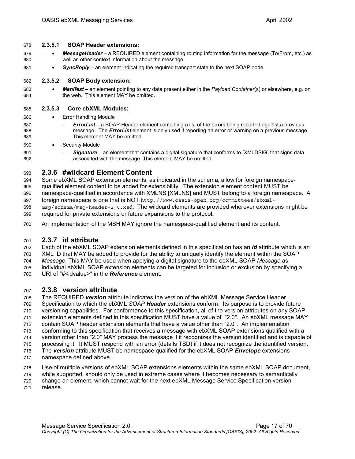- <span id="page-16-0"></span>678 **2.3.5.1 SOAP Header extensions:**
- 679 *MessageHeader*  a REQUIRED element containing routing information for the message (To/From, etc.) as 680 well as other context information about the message.
- 681 *SyncReply*  an element indicating the required transport state to the next SOAP node.

### 682 **2.3.5.2 SOAP Body extension:**

- 
- 683 *Manifest*  an element pointing to any data present either in the *Payload Container*(s) or elsewhere, e.g. on 684 the web. This element MAY be omitted.

### 685 **2.3.5.3 Core ebXML Modules:**

- 686 Error Handling Module
- 687 *ErrorList a SOAP Header element containing a list of the errors being reported against a previous* 688 message. The *ErrorList* element is only used if reporting an error or warning on a previous message. 689 This element MAY be omitted.
- 690 Security Module
- 691 *Signature*  an element that contains a digital signature that conforms to [XMLDSIG] that signs data 692 associated with the message. This element MAY be omitted.

### <sup>693</sup>**2.3.6 #wildcard Element Content**

- 694 Some ebXML SOAP extension elements, as indicated in the schema, allow for foreign namespace-
- 695 qualified element content to be added for extensibility. The extension element content MUST be

696 namespace-qualified in accordance with XMLNS [XMLNS] and MUST belong to a foreign namespace. A

- 697 foreign namespace is one that is NOT http://www.oasis-open.org/committees/ebxml-
- 698 msg/schema/msg-header-2\_0.xsd. The wildcard elements are provided wherever extensions might be 699 required for private extensions or future expansions to the protocol.
- 700 An implementation of the MSH MAY ignore the namespace-qualified element and its content.

## <sup>701</sup>**2.3.7 id attribute**

- 702 Each of the ebXML SOAP extension elements defined in this specification has an *id* attribute which is an
- 703 XML ID that MAY be added to provide for the ability to uniquely identify the element within the SOAP
- 704 *Message*. This MAY be used when applying a digital signature to the ebXML SOAP *Message* as
- 705 individual ebXML SOAP extension elements can be targeted for inclusion or exclusion by specifying a
- 706 URI of "#<idvalue>" in the *Reference* element.

## <sup>707</sup>**2.3.8 version attribute**

- 708 The REQUIRED *version* attribute indicates the version of the ebXML Message Service Header
- 709 Specification to which the ebXML *SOAP Header* extensions conform. Its purpose is to provide future
- 710 versioning capabilities. For conformance to this specification, all of the version attributes on any SOAP
- 711 extension elements defined in this specification MUST have a value of "2.0". An ebXML message MAY
- 712 contain SOAP header extension elements that have a value other than "2.0". An implementation 713 conforming to this specification that receives a message with ebXML SOAP extensions qualified with a
- 714 version other than "2.0" MAY process the message if it recognizes the version identified and is capable of
- 715 processing it. It MUST respond with an error (details TBD) if it does not recognize the identified version.
- 716 The *version* attribute MUST be namespace qualified for the ebXML SOAP *Envelope* extensions
- 717 namespace defined above.
- 718 Use of multiple versions of ebXML SOAP extensions elements within the same ebXML SOAP document,
- 719 while supported, should only be used in extreme cases where it becomes necessary to semantically
- 720 change an element, which cannot wait for the next ebXML Message Service Specification version
- 721 release.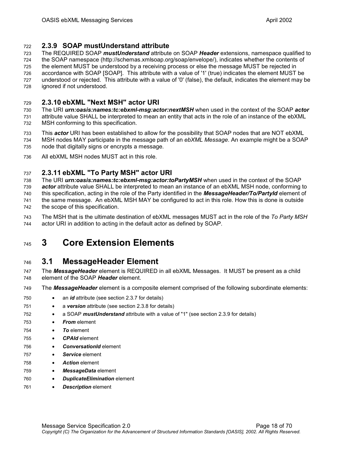## <span id="page-17-0"></span><sup>722</sup>**2.3.9 SOAP mustUnderstand attribute**

723 The REQUIRED SOAP *mustUnderstand* attribute on SOAP *Header* extensions, namespace qualified to 724 the SOAP namespace (http://schemas.xmlsoap.org/soap/envelope/), indicates whether the contents of 725 the element MUST be understood by a receiving process or else the message MUST be rejected in 726 accordance with SOAP [SOAP]. This attribute with a value of '1' (true) indicates the element MUST be 727 understood or rejected. This attribute with a value of '0' (false), the default, indicates the element may be 728 ignored if not understood.

## <sup>729</sup>**2.3.10 ebXML "Next MSH" actor URI**

730 The URI *urn:oasis:names:tc:ebxml-msg:actor:nextMSH* when used in the context of the SOAP *actor* 731 attribute value SHALL be interpreted to mean an entity that acts in the role of an instance of the ebXML 732 MSH conforming to this specification.

- 733 This *actor* URI has been established to allow for the possibility that SOAP nodes that are NOT ebXML
- 734 MSH nodes MAY participate in the message path of an *ebXML Message*. An example might be a SOAP 735 node that digitally signs or encrypts a message.
- 736 All ebXML MSH nodes MUST act in this role.

## <sup>737</sup>**2.3.11 ebXML "To Party MSH" actor URI**

738 The URI *urn:oasis:names:tc:ebxml-msg:actor:toPartyMSH* when used in the context of the SOAP 739 *actor* attribute value SHALL be interpreted to mean an instance of an ebXML MSH node, conforming to 740 this specification, acting in the role of the Party identified in the *MessageHeader/To/PartyId* element of 741 the same message. An ebXML MSH MAY be configured to act in this role. How this is done is outside

- 742 the scope of this specification.
- 743 The MSH that is the ultimate destination of ebXML messages MUST act in the role of the *To Party MSH* 744 actor URI in addition to acting in the default actor as defined by SOAP.

# <sup>745</sup>**3 Core Extension Elements**

# <sup>746</sup>**3.1 MessageHeader Element**

747 The *MessageHeader* element is REQUIRED in all ebXML Messages. It MUST be present as a child 748 element of the SOAP *Header* element.

- 749 The *MessageHeader* element is a composite element comprised of the following subordinate elements:
- 750 an *id* attribute (see section [2.3.7 f](#page-16-0)or details)
- 751 a *version* attribute (see section [2.3.8 f](#page-16-0)or details)
- 752 a SOAP *mustUnderstand* attribute with a value of "1" (see section 2.3.9 for details)
- 753 *From* element
- 754 *To* element
- 755 *CPAId* element
- 756 *ConversationId* element
- 757 *Service* element
- 758 *Action* element
- 759 *MessageData* element
- 760 *DuplicateElimination* element
- 761 *Description* element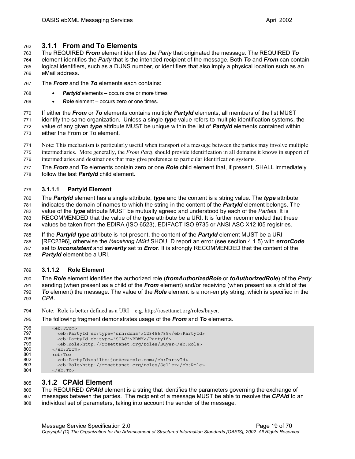## <span id="page-18-0"></span><sup>762</sup>**3.1.1 From and To Elements**

763 The REQUIRED *From* element identifies the *Party* that originated the message. The REQUIRED *To*  764 element identifies the *Party* that is the intended recipient of the message. Both *To* and *From* can contain 765 logical identifiers, such as a DUNS number, or identifiers that also imply a physical location such as an 766 eMail address.

- 767 The *From* and the *To* elements each contains:
- 768 *PartyId* elements occurs one or more times
- 769 *Role* element occurs zero or one times.
- 770 If either the *From* or *To* elements contains multiple *PartyId* elements, all members of the list MUST
- 771 identify the same organization. Unless a single *type* value refers to multiple identification systems, the
- 772 value of any given *type* attribute MUST be unique within the list of *PartyId* elements contained within
- 773 either the From or To element.

774 Note: This mechanism is particularly useful when transport of a message between the parties may involve multiple 775 intermediaries. More generally, the *From Party* should provide identification in all domains it knows in support of 776 intermediaries and destinations that may give preference to particular identification systems.

777 The *From* and *To* elements contain zero or one *Role* child element that, if present, SHALL immediately 778 follow the last *PartyId* child element.

# 779 **3.1.1.1 PartyId Element**

780 The *PartyId* element has a single attribute, *type* and the content is a string value. The *type* attribute 781 indicates the domain of names to which the string in the content of the *PartyId* element belongs. The 782 value of the *type* attribute MUST be mutually agreed and understood by each of the *Parties*. It is

- 783 RECOMMENDED that the value of the *type* attribute be a URI. It is further recommended that these
- 784 values be taken from the EDIRA (ISO 6523), EDIFACT ISO 9735 or ANSI ASC X12 I05 registries.
- 785 If the *PartyId type* attribute is not present, the content of the *PartyId* element MUST be a URI
- 786 [RFC2396], otherwise the *Receiving MSH* SHOULD report an error (see section [4.1.5\)](#page-28-0) with *errorCode*

787 set to *Inconsistent* and *severity* set to *Error*. It is strongly RECOMMENDED that the content of the

788 *PartyId* element be a URI.

# 789 **3.1.1.2 Role Element**

790 The *Role* element identifies the authorized role (*fromAuthorizedRole* or *toAuthorizedRole*) of the *Party* 791 sending (when present as a child of the *From* element) and/or receiving (when present as a child of the 792 *To* element) the message. The value of the *Role* element is a non-empty string, which is specified in the 793 *CPA*.

- 794 Note: Role is better defined as a URI e.g. http://rosettanet.org/roles/buyer.
- 795 The following fragment demonstrates usage of the *From* and *To* elements.

```
796 <eb:From>
797 <eb:PartyId eb:type="urn:duns">123456789</eb:PartyId>
798 <eb:PartyId eb:type="SCAC">RDWY</PartyId> 
799 <eb:Role>http://rosettanet.org/roles/Buyer</eb:Role><br>800 </eb:From>
          </eh: From>
801 <eb:To><br>802 <eb:To>
            802 <eb:PartyId>mailto:joe@example.com</eb:PartyId> 
803 <eb:Role>http://rosettanet.org/roles/Seller</eb:Role><br>804 </eb:To>
          </eb:To>
```
# <sup>805</sup>**3.1.2 CPAId Element**

806 The REQUIRED *CPAId* element is a string that identifies the parameters governing the exchange of 807 messages between the parties. The recipient of a message MUST be able to resolve the *CPAId* to an

808 individual set of parameters, taking into account the sender of the message.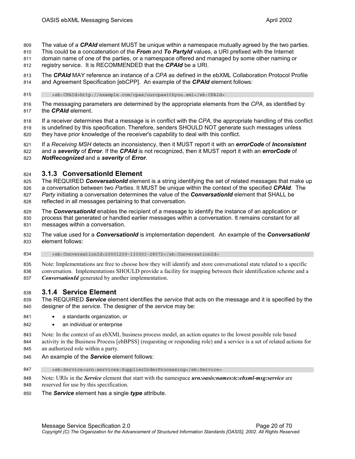- <span id="page-19-0"></span>809 The value of a *CPAId* element MUST be unique within a namespace mutually agreed by the two parties.
- 810 This could be a concatenation of the *From* and *To PartyId* values, a URI prefixed with the Internet
- 811 domain name of one of the parties, or a namespace offered and managed by some other naming or
- 812 registry service. It is RECOMMENDED that the *CPAId* be a URI.
- 813 The *CPAId* MAY reference an instance of a *CPA* as defined in the ebXML Collaboration Protocol Profile 814 and Agreement Specification [ebCPP]. An example of the *CPAId* element follows:
- 815 <eb:CPAId>http://example.com/cpas/ourcpawithyou.xml</eb:CPAId>
- 816 The messaging parameters are determined by the appropriate elements from the *CPA*, as identified by 817 the *CPAId* element.
- 818 If a receiver determines that a message is in conflict with the *CPA*, the appropriate handling of this conflict 819 is undefined by this specification. Therefore, senders SHOULD NOT generate such messages unless 820 they have prior knowledge of the receiver's capability to deal with this conflict.
- 821 If a *Receiving MSH* detects an inconsistency, then it MUST report it with an *errorCode* of *Inconsistent*
- 822 and a *severity* of *Error*. If the *CPAId* is not recognized, then it MUST report it with an *errorCode* of 823 *NotRecognized* and a *severity* of *Error*.

## <sup>824</sup>**3.1.3 ConversationId Element**

- 825 The REQUIRED *ConversationId* element is a string identifying the set of related messages that make up 826 a conversation between two *Parties*. It MUST be unique within the context of the specified *CPAId*. The 827 *Party* initiating a conversation determines the value of the *ConversationId* element that SHALL be
- 828 reflected in all messages pertaining to that conversation.
- 829 The *ConversationId* enables the recipient of a message to identify the instance of an application or 830 process that generated or handled earlier messages within a conversation. It remains constant for all 831 messages within a conversation.
- 832 The value used for a *ConversationId* is implementation dependent. An example of the *ConversationId* 833 element follows:
- 834 <eb:ConversationId>20001209-133003-28572</eb:ConversationId>
- 835 Note: Implementations are free to choose how they will identify and store conversational state related to a specific 836 conversation. Implementations SHOULD provide a facility for mapping between their identification scheme and a
- 837 *ConversationId* generated by another implementation.

# <sup>838</sup>**3.1.4 Service Element**

- 839 The REQUIRED *Service* element identifies the *service* that acts on the message and it is specified by the 840 designer of the *service*. The designer of the *service* may be:
- 841 a standards organization, or
- 842 an individual or enterprise
- 843 Note: In the context of an ebXML business process model, an action equates to the lowest possible role based
- 844 activity in the Business Process [ebBPSS] (requesting or responding role) and a service is a set of related actions for 845 an authorized role within a party.
- 846 An example of the *Service* element follows:
- 847 <eb:Service>urn:services:SupplierOrderProcessing</eb:Service>
- 848 Note: URIs in the *Service* element that start with the namespace *urn:oasis:names:tc:ebxml-msg:service* are
- 849 reserved for use by this specification.
- 850 The *Service* element has a single *type* attribute.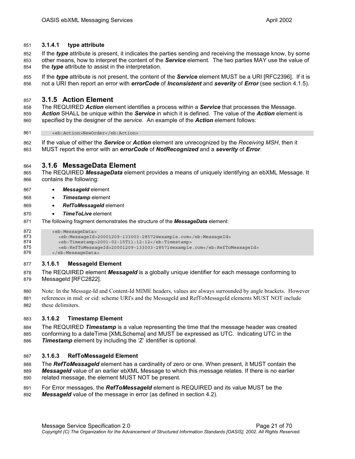### <span id="page-20-0"></span>851 **3.1.4.1 type attribute**

852 If the *type* attribute is present, it indicates the parties sending and receiving the message know, by some 853 other means, how to interpret the content of the *Service* element. The two parties MAY use the value of 854 the *type* attribute to assist in the interpretation.

855 If the *type* attribute is not present, the content of the *Service* element MUST be a URI [RFC2396]. If it is 856 not a URI then report an error with *errorCode* of *Inconsistent* and *severity* of *Error* (see section [4.1.5\)](#page-28-0).

## <sup>857</sup>**3.1.5 Action Element**

858 The REQUIRED *Action* element identifies a process within a *Service* that processes the Message. 859 *Action* SHALL be unique within the *Service* in which it is defined. The value of the *Action* element is 860 specified by the designer of the *service*. An example of the *Action* element follows:

861 <eb:Action>NewOrder</eb:Action>

862 If the value of either the *Service* or *Action* element are unrecognized by the *Receiving MSH*, then it 863 MUST report the error with an *errorCode* of *NotRecognized* and a *severity* of *Error*.

### <sup>864</sup>**3.1.6 MessageData Element**

865 The REQUIRED *MessageData* element provides a means of uniquely identifying an ebXML Message. It 866 contains the following:

- 867 *MessageId* element
- 868 **Timestamp** element
- 869 *RefToMessageId* element
- 870 *TimeToLive* element

871 The following fragment demonstrates the structure of the *MessageData* element:

```
872 <eb:MessageData>
873 <eb:MessageId>20001209-133003-28572@example.com</eb:MessageId><br>874 <eb:Timestamp>2001-02-15T11:12:12</eb:Timestamp>
              874 <eb:Timestamp>2001-02-15T11:12:12</eb:Timestamp> 
875 <eb:RefToMessageId>20001209-133003-28571@example.com</eb:RefToMessageId>
876 </eb:MessageData>
```
### 877 **3.1.6.1 MessageId Element**

- 878 The REQUIRED element *MessageId* is a globally unique identifier for each message conforming to 879 MessageId [RFC2822].
- 880 Note: In the Message-Id and Content-Id MIME headers, values are always surrounded by angle brackets. However
- 881 references in mid: or cid: scheme URI's and the MessageId and RefToMessageId elements MUST NOT include 882 these delimiters.

### 883 **3.1.6.2 Timestamp Element**

884 The REQUIRED *Timestamp* is a value representing the time that the message header was created 885 conforming to a dateTime [XMLSchema] and MUST be expressed as UTC. Indicating UTC in the 886 *Timestamp* element by including the 'Z' identifier is optional.

### 887 **3.1.6.3 RefToMessageId Element**

888 The *RefToMessageId* element has a cardinality of zero or one. When present, it MUST contain the 889 *MessageId* value of an earlier ebXML Message to which this message relates. If there is no earlier

- 890 related message, the element MUST NOT be present.
- 891 For Error messages, the *RefToMessageId* element is REQUIRED and its value MUST be the
- 892 *MessageId* value of the message in error (as defined in section [4.2\)](#page-28-0).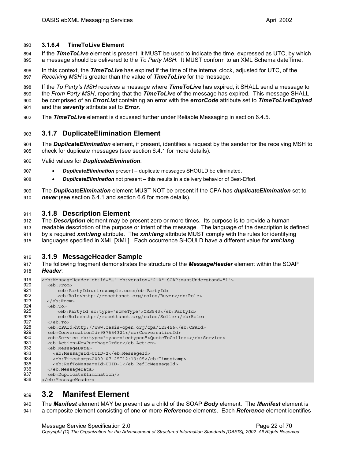### <span id="page-21-0"></span>893 **3.1.6.4 TimeToLive Element**

- 894 If the *TimeToLive* element is present, it MUST be used to indicate the time, expressed as UTC, by which 895 a message should be delivered to the *To Party MSH*. It MUST conform to an XML Schema dateTime.
- 896 In this context, the *TimeToLive* has expired if the time of the internal clock, adjusted for UTC, of the 897 *Receiving MSH* is greater than the value of *TimeToLive* for the message.

898 If the *To Party's MSH* receives a message where *TimeToLive* has expired, it SHALL send a message to 899 the *From Party MSH*, reporting that the *TimeToLive* of the message has expired. This message SHALL 900 be comprised of an *ErrorList* containing an error with the *errorCode* attribute set to *TimeToLiveExpired* 901 and the *severity* attribute set to *Error*.

902 The *TimeToLive* element is discussed further under Reliable Messaging in section [6.4.5.](#page-38-0)

## <sup>903</sup>**3.1.7 DuplicateElimination Element**

- 904 The *DuplicateElimination* element, if present, identifies a request by the sender for the receiving MSH to 905 check for duplicate messages (see section [6.4.1](#page-37-0) for more details).
- 906 Valid values for *DuplicateElimination*:
- 907 *DuplicateElimination* present duplicate messages SHOULD be eliminated.
- 908 *DuplicateElimination* not present this results in a delivery behavior of Best-Effort.
- 909 The *DuplicateElimination* element MUST NOT be present if the CPA has *duplicateElimination* set to 910 *never* (see section [6.4.1](#page-37-0) and section [6.6](#page-43-0) for more details).

### <sup>911</sup>**3.1.8 Description Element**

- 912 The *Description* element may be present zero or more times. Its purpose is to provide a human
- 913 readable description of the purpose or intent of the message. The language of the description is defined
- 914 by a required *xml:lang* attribute. The *xml:lang* attribute MUST comply with the rules for identifying
- 915 languages specified in XML [XML]. Each occurrence SHOULD have a different value for *xml:lang*.

## <sup>916</sup>**3.1.9 MessageHeader Sample**

917 The following fragment demonstrates the structure of the *MessageHeader* element within the SOAP 918 *Header*:

```
919 <eb:MessageHeader eb:id="…" eb:version="2.0" SOAP:mustUnderstand="1"> 
920 <eb:From> 
921 <eb:PartyId>uri:example.com</eb:PartyId> 
922 <eb:Role>http://rosettanet.org/roles/Buyer</eb:Role> 
923 </eb:From> 
924 <eb:To> 
925 <eb:PartyId eb:type="someType">QRS543</eb:PartyId><br>926 <eb:Role>http://rosettanet.org/roles/Seller</eb:Ro
926 <eb:Role>http://rosettanet.org/roles/Seller</eb:Role><br>927 </eb:To>
         \langleeb:To>
928 <eb:CPAId>http://www.oasis-open.org/cpa/123456</eb:CPAId>929 <eb:ConversationId>987654321</eb:ConversationId>
         929 <eb:ConversationId>987654321</eb:ConversationId> 
930 <eb:Service eb:type="myservicetypes">QuoteToCollect</eb:Service>
931 <eb:Action>NewPurchaseOrder</eb:Action> 
932 <eb:MessageData> 
933 <eb:MessageId>UUID-2</eb:MessageId> 
934 <eb:Timestamp>2000-07-25T12:19:05</eb:Timestamp> 
935 <eb:RefToMessageId>UUID-1</eb:RefToMessageId> 
936 </eb:MessageData>
937 <eb:DuplicateElimination/><br>938 </eb:MessageHeader>
       </eb:MessageHeader>
```
# <sup>939</sup>**3.2 Manifest Element**

940 The *Manifest* element MAY be present as a child of the SOAP *Body* element. The *Manifest* element is 941 a composite element consisting of one or more *Reference* elements. Each *Reference* element identifies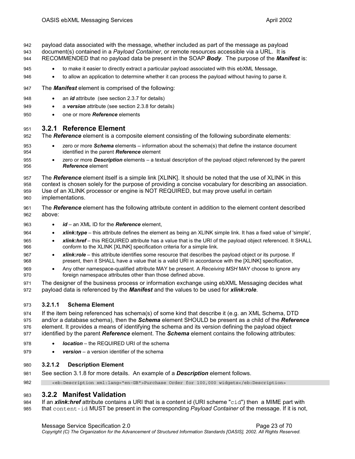- <span id="page-22-0"></span>942 payload data associated with the message, whether included as part of the message as payload
- 943 document(s) contained in a *Payload Container*, or remote resources accessible via a URL. It is
- 944 RECOMMENDED that no payload data be present in the SOAP *Body*. The purpose of the *Manifest* is:
- 945 to make it easier to directly extract a particular payload associated with this ebXML Message,
- 946 to allow an application to determine whether it can process the payload without having to parse it.

### 947 The *Manifest* element is comprised of the following:

- 948 an *id* attribute (see section [2.3.7](#page-16-0) for details)
- 949 a *version* attribute (see section [2.3.8 f](#page-16-0)or details)
- 950 one or more *Reference* elements

## <sup>951</sup>**3.2.1 Reference Element**

952 The *Reference* element is a composite element consisting of the following subordinate elements:

- 953 zero or more *Schema* elements information about the schema(s) that define the instance document 954 identified in the parent *Reference* element
- 955 zero or more *Description* elements a textual description of the payload object referenced by the parent 956 *Reference* element
- 957 The *Reference* element itself is a simple link [XLINK]. It should be noted that the use of XLINK in this 958 context is chosen solely for the purpose of providing a concise vocabulary for describing an association. 959 Use of an XLINK processor or engine is NOT REQUIRED, but may prove useful in certain 960 implementations.
- 961 The *Reference* element has the following attribute content in addition to the element content described 962 above:
- 963 *id*  an XML ID for the *Reference* element,
- 964 *xlink:type*  this attribute defines the element as being an XLINK simple link. It has a fixed value of 'simple',
- 965 *xlink:href*  this REQUIRED attribute has a value that is the URI of the payload object referenced. It SHALL 966 conform to the XLINK [XLINK] specification criteria for a simple link.
- 967 *xlink:role*  this attribute identifies some resource that describes the payload object or its purpose. If 968 present, then it SHALL have a value that is a valid URI in accordance with the [XLINK] specification,
- 969 Any other namespace-qualified attribute MAY be present. A *Receiving MSH* MAY choose to ignore any 970 foreign namespace attributes other than those defined above.

971 The designer of the business process or information exchange using ebXML Messaging decides what 972 payload data is referenced by the *Manifest* and the values to be used for *xlink:role*.

### 973 **3.2.1.1 Schema Element**

974 If the item being referenced has schema(s) of some kind that describe it (e.g. an XML Schema, DTD 975 and/or a database schema), then the *Schema* element SHOULD be present as a child of the *Reference* 976 element. It provides a means of identifying the schema and its version defining the payload object 977 identified by the parent *Reference* element. The *Schema* element contains the following attributes:

- 978 *location* the REQUIRED URI of the schema
- 979 *version* a version identifier of the schema

### 980 **3.2.1.2 Description Element**

- 981 See section [3.1.8](#page-21-0) for more details. An example of a *Description* element follows.
- 982 <eb:Description xml:lang="en-GB">Purchase Order for 100,000 widgets</eb:Description>

## <sup>983</sup>**3.2.2 Manifest Validation**

984 If an *xlink:href* attribute contains a URI that is a content id (URI scheme "cid") then a MIME part with 985 that content-id MUST be present in the corresponding *Payload Container* of the message. If it is not,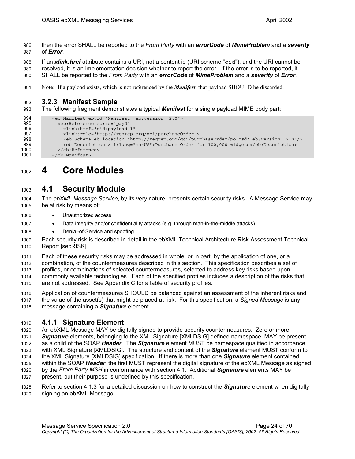<span id="page-23-0"></span>986 then the error SHALL be reported to the *From Party* with an *errorCode* of *MimeProblem* and a *severity*  987 of *Error*.

988 If an *xlink:href* attribute contains a URI, not a content id (URI scheme "cid"), and the URI cannot be 989 resolved, it is an implementation decision whether to report the error. If the error is to be reported, it 990 SHALL be reported to the *From Party* with an *errorCode* of *MimeProblem* and a *severity* of *Error*.

991 Note: If a payload exists, which is not referenced by the *Manifest*, that payload SHOULD be discarded.

# <sup>992</sup>**3.2.3 Manifest Sample**

993 The following fragment demonstrates a typical *Manifest* for a single payload MIME body part:

```
994 <eb:Manifest eb:id="Manifest" eb:version="2.0"> 
995 <eb:Reference eb:id="pay01"
996 xlink:href="cid:payload-1" 
997 xlink:role="http://regrep.org/gci/purchaseOrder"> 
998 <eb:Schema eb:location="http://regrep.org/gci/purchaseOrder/po.xsd" eb:version="2.0"/> 
999 <eb:Description xml:lang="en-US">Purchase Order for 100,000 widgets</eb:Description> 
           </eb:Reference>
1001 </eb:Manifest>
```
# <sup>1002</sup>**4 Core Modules**

# <sup>1003</sup>**4.1 Security Module**

- 1004 The *ebXML Message Service*, by its very nature, presents certain security risks. A Message Service may 1005 be at risk by means of:
- 1006 Unauthorized access
- 1007 Data integrity and/or confidentiality attacks (e.g. through man-in-the-middle attacks)
- 1008 Denial-of-Service and spoofing
- 1009 Each security risk is described in detail in the ebXML Technical Architecture Risk Assessment Technical 1010 Report [secRISK].

1011 Each of these security risks may be addressed in whole, or in part, by the application of one, or a 1012 combination, of the countermeasures described in this section. This specification describes a set of 1013 profiles, or combinations of selected countermeasures, selected to address key risks based upon 1014 commonly available technologies. Each of the specified profiles includes a description of the risks that 1015 are not addressed. See [Appendix C](#page-64-0) for a table of security profiles.

1016 Application of countermeasures SHOULD be balanced against an assessment of the inherent risks and 1017 the value of the asset(s) that might be placed at risk. For this specification, a *Signed Message* is any 1018 message containing a *Signature* element.

# <sup>1019</sup>**4.1.1 Signature Element**

1020 An ebXML Message MAY be digitally signed to provide security countermeasures. Zero or more 1021 *Signature* elements, belonging to the XML Signature [XMLDSIG] defined namespace, MAY be present 1022 as a child of the SOAP *Header*. The *Signature* element MUST be namespace qualified in accordance 1023 with XML Signature [XMLDSIG]. The structure and content of the *Signature* element MUST conform to 1024 the XML Signature [XMLDSIG] specification. If there is more than one *Signature* element contained 1025 within the SOAP *Header*, the first MUST represent the digital signature of the ebXML Message as signed 1026 by the *From Party MSH* in conformance with section 4.1. Additional *Signature* elements MAY be 1027 present, but their purpose is undefined by this specification.

1028 Refer to section [4.1.3](#page-24-0) for a detailed discussion on how to construct the *Signature* element when digitally 1029 signing an ebXML Message.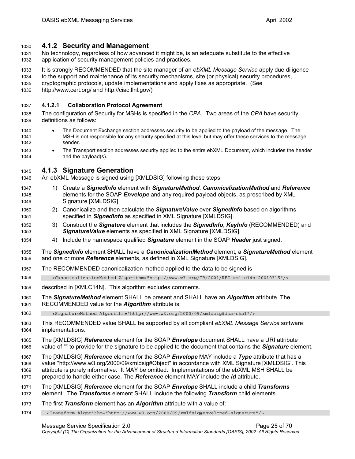### <span id="page-24-0"></span><sup>1030</sup>**4.1.2 Security and Management**

- 1031 No technology, regardless of how advanced it might be, is an adequate substitute to the effective 1032 application of security management policies and practices.
- 1033 It is strongly RECOMMENDED that the site manager of an *ebXML Message Service* apply due diligence
- 1034 to the support and maintenance of its security mechanisms, site (or physical) security procedures,
- 1035 cryptographic protocols, update implementations and apply fixes as appropriate. (See
- 1036 http://www.cert.org/ and http://ciac.llnl.gov/)

### 1037 **4.1.2.1 Collaboration Protocol Agreement**

- 1038 The configuration of Security for MSHs is specified in the *CPA*. Two areas of the *CPA* have security 1039 definitions as follows:
- 1040 The Document Exchange section addresses security to be applied to the payload of the message. The 1041 MSH is not responsible for any security specified at this level but may offer these services to the message 1042 sender.
- 1043 The Transport section addresses security applied to the entire ebXML Document, which includes the header 1044 **and the payload(s)**.

## <sup>1045</sup>**4.1.3 Signature Generation**

- 1046 An ebXML Message is signed using [XMLDSIG] following these steps:
- 1047 1) Create a *SignedInfo* element with *SignatureMethod*, *CanonicalizationMethod* and *Reference* 1048 elements for the SOAP *Envelope* and any required payload objects, as prescribed by XML 1049 Signature [XMLDSIG].
- 1050 2) Canonicalize and then calculate the *SignatureValue* over *SignedInfo* based on algorithms 1051 specified in *SignedInfo* as specified in XML Signature [XMLDSIG].
- 1052 3) Construct the *Signature* element that includes the *SignedInfo*, *KeyInfo* (RECOMMENDED) and 1053 *SignatureValue* elements as specified in XML Signature [XMLDSIG].
- 1054 4) Include the namespace qualified *Signature* element in the SOAP *Header* just signed.

1055 The *SignedInfo* element SHALL have a *CanonicalizationMethod* element, a *SignatureMethod* element 1056 and one or more *Reference* elements, as defined in XML Signature [XMLDSIG].

- 1057 The RECOMMENDED canonicalization method applied to the data to be signed is
- 1058 <CanonicalizationMethod Algorithm="http://www.w3.org/TR/2001/REC-xml-c14n-20010315"/>
- 1059 described in [XMLC14N]. This algorithm excludes comments.
- 1060 The *SignatureMethod* element SHALL be present and SHALL have an *Algorithm* attribute. The 1061 RECOMMENDED value for the *Algorithm* attribute is:
- 1062 <SignatureMethod Algorithm="http://www.w3.org/2000/09/xmldsig#dsa-sha1"/>
- 1063 This RECOMMENDED value SHALL be supported by all compliant *ebXML Message Service* software 1064 implementations.
- 1065 The [XMLDSIG] *Reference* element for the SOAP *Envelope* document SHALL have a URI attribute
- 1066 value of "" to provide for the signature to be applied to the document that contains the *Signature* element.

1067 The [XMLDSIG] *Reference* element for the SOAP *Envelope* MAY include a *Type* attribute that has a 1068 value "http://www.w3.org/2000/09/xmldsig#Object" in accordance with XML Signature [XMLDSIG]. This 1069 attribute is purely informative. It MAY be omitted. Implementations of the ebXML MSH SHALL be 1070 prepared to handle either case. The *Reference* element MAY include the *id* attribute.

- 1071 The [XMLDSIG] *Reference* element for the SOAP *Envelope* SHALL include a child *Transforms* 1072 element. The *Transforms* element SHALL include the following *Transform* child elements.
- 1073 The first *Transform* element has an *Algorithm* attribute with a value of:
- 1074 <Transform Algorithm="http://www.w3.org/2000/09/xmldsig#enveloped-signature"/>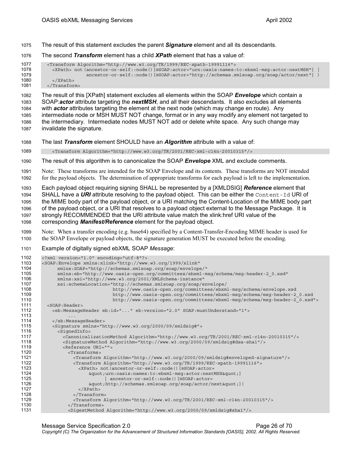- 1075 The result of this statement excludes the parent *Signature* element and all its descendants.
- 1076 The second *Transform* element has a child *XPath* element that has a value of:

| 1077 | <transform algorithm="http://www.w3.org/TR/1999/REC-xpath-19991116"></transform>                             |
|------|--------------------------------------------------------------------------------------------------------------|
| 1078 | <xpath> not (ancestor-or-self::node()[@SOAP:actor="urn:oasis:names:tc:ebxml-msq:actor:nextMSH"]</xpath>      |
| 1079 | $\text{ancestor-or-self:} \text{node}()$ $\text{[@SOR:actor="http://schemas.xmlsoap.org/soap/actor/next"]})$ |
| 1080 | $\langle$ /XPath>                                                                                            |
| 1081 |                                                                                                              |

1082 The result of this [XPath] statement excludes all elements within the SOAP *Envelope* which contain a 1083 SOAP:*actor* attribute targeting the *nextMSH*, and all their descendants. It also excludes all elements 1084 with *actor* attributes targeting the element at the next node (which may change en route). Any 1085 intermediate node or MSH MUST NOT change, format or in any way modify any element not targeted to 1086 the intermediary. Intermediate nodes MUST NOT add or delete white space. Any such change may 1087 invalidate the signature.

- 1088 The last *Transform* element SHOULD have an *Algorithm* attribute with a value of:
- <Transform Algorithm="http://www.w3.org/TR/2001/REC-xml-c14n-20010315"/>
- 1090 The result of this algorithm is to canonicalize the SOAP *Envelope* XML and exclude comments.
- Note: These transforms are intended for the SOAP Envelope and its contents. These transforms are NOT intended for the payload objects. The determination of appropriate transforms for each payload is left to the implementation.

1093 Each payload object requiring signing SHALL be represented by a [XMLDSIG] *Reference* element that 1094 SHALL have a *URI* attribute resolving to the payload object. This can be either the Content-Id URI of 1095 the MIME body part of the payload object, or a URI matching the Content-Location of the MIME body part 1096 of the payload object, or a URI that resolves to a payload object external to the Message Package. It is 1097 strongly RECOMMENDED that the URI attribute value match the xlink:href URI value of the

- 1098 corresponding *Manifest/Reference* element for the payload object.
- Note: When a transfer encoding (e.g. base64) specified by a Content-Transfer-Encoding MIME header is used for the SOAP Envelope or payload objects, the signature generation MUST be executed before the encoding.
- 1101 Example of digitally signed ebXML SOAP *Message*:

| 1102 | xml version="1.0" encoding="utf-8"?                                                                           |
|------|---------------------------------------------------------------------------------------------------------------|
| 1103 | <soap:envelope <="" th="" xmlns:xlink="http://www.w3.org/1999/xlink"></soap:envelope>                         |
| 1104 | xmlns:SOAP="http://schemas.xmlsoap.org/soap/envelope/"                                                        |
| 1105 | xmlns:eb="http://www.oasis-open.org/committees/ebxml-msg/schema/msg-header-2 0.xsd"                           |
| 1106 | xmlns:xsi="http://www.w3.org/2001/XMLSchema-instance"                                                         |
| 1107 | xsi:schemaLocation="http://schemas.xmlsoap.org/soap/envelope/                                                 |
| 1108 | http://www.oasis-open.org/committees/ebxml-msq/schema/envelope.xsd                                            |
| 1109 | http://www.oasis-open.org/committees/ebxml-msq/schema/msq-header-2 0.xsd                                      |
| 1110 | http://www.oasis-open.org/committees/ebxml-msq/schema/msq-header-2 0.xsd">                                    |
| 1111 | $<$ SOAP: Header>                                                                                             |
| 1112 | <eb:messaqeheader eb:id="" eb:version="2.0" soap:mustunderstand="1"></eb:messaqeheader>                       |
| 1113 | $\ddotsc$                                                                                                     |
| 1114 |                                                                                                               |
| 1115 | <signature xmlns="http://www.w3.org/2000/09/xmldsiq#"></signature>                                            |
| 1116 | <signedinfo></signedinfo>                                                                                     |
| 1117 | <canonicalizationmethod algorithm="http://www.w3.org/TR/2001/REC-xml-c14n-20010315"></canonicalizationmethod> |
| 1118 | <signaturemethod algorithm="http://www.w3.org/2000/09/xmldsig#dsa-shal"></signaturemethod>                    |
| 1119 | <reference uri=""></reference>                                                                                |
| 1120 | $<$ Transforms>                                                                                               |
| 1121 | <transform algorithm="http://www.w3.org/2000/09/xmldsig#enveloped-signature"></transform>                     |
| 1122 | <transform algorithm="http://www.w3.org/TR/1999/REC-xpath-19991116"></transform>                              |
| 1123 | <xpath> not(ancestor-or-self::node()[@SOAP:actor=</xpath>                                                     |
| 1124 | "urn:oasis:names:tc:ebxml-msq:actor:nextMSH"]                                                                 |
| 1125 | ancestor-or-self::node() [@SOAP:actor=                                                                        |
| 1126 | $\&$ quot;http://schemas.xmlsoap.org/soap/actor/next"])                                                       |
| 1127 | $\langle$ /XPath>                                                                                             |
| 1128 |                                                                                                               |
| 1129 | <transform algorithm="http://www.w3.org/TR/2001/REC-xml-c14n-20010315"></transform>                           |
| 1130 | $\langle$ /Transforms>                                                                                        |
| 1131 | <digestmethod algorithm="http://www.w3.org/2000/09/xmldsig#shal"></digestmethod>                              |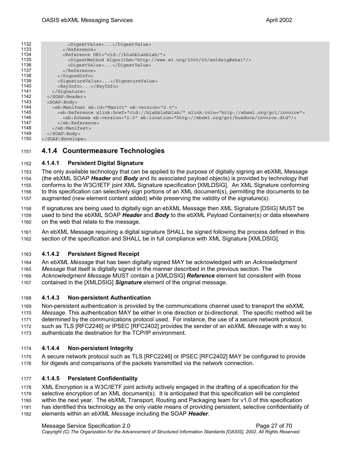<span id="page-26-0"></span>

| 1132 | <digestvalue></digestvalue>                                                                              |
|------|----------------------------------------------------------------------------------------------------------|
| 1133 |                                                                                                          |
| 1134 | <reference uri="cid://blahblahblah/"></reference>                                                        |
| 1135 | <digestmethod algorithm="http://www.w3.org/2000/09/xmldsig#shal"></digestmethod>                         |
| 1136 | <digestvalue></digestvalue>                                                                              |
| 1137 | $\langle$ Reference>                                                                                     |
| 1138 | $\langle$ SiqnedInfo>                                                                                    |
| 1139 | <signaturevalue></signaturevalue>                                                                        |
| 1140 | <keyinfo></keyinfo>                                                                                      |
| 1141 | $\langle$ Signature>                                                                                     |
| 1142 | $\langle$ /SOAP:Header>                                                                                  |
| 1143 | <soap:body></soap:body>                                                                                  |
| 1144 | <eb:manifest eb:id="Mani01" eb:version="2.0"></eb:manifest>                                              |
| 1145 | <eb:reference xlink:href="cid://blahblahblah/" xlink:role="http://ebxml.org/qci/invoice"></eb:reference> |
| 1146 | <eb:schema eb:location="http://ebxml.org/qci/busdocs/invoice.dtd" eb:version="2.0"></eb:schema>          |
| 1147 | $\langle$ /eb:Reference>                                                                                 |
| 1148 | $\langle$ /eb:Manifest>                                                                                  |
| 1149 | $<$ /SOAP:Body>                                                                                          |
| 1150 |                                                                                                          |

## <sup>1151</sup>**4.1.4 Countermeasure Technologies**

### 1152 **4.1.4.1 Persistent Digital Signature**

1153 The only available technology that can be applied to the purpose of digitally signing an ebXML Message 1154 (the ebXML SOAP *Header* and *Body* and its associated payload objects) is provided by technology that 1155 conforms to the W3C/IETF joint XML Signature specification [XMLDSIG]. An XML Signature conforming 1156 to this specification can selectively sign portions of an XML document(s), permitting the documents to be 1157 augmented (new element content added) while preserving the validity of the signature(s).

- 1158 If signatures are being used to digitally sign an ebXML Message then XML Signature [DSIG] MUST be 1159 used to bind the ebXML SOAP *Header* and *Body* to the ebXML Payload Container(s) or data elsewhere 1160 on the web that relate to the message.
- 1161 An ebXML Message requiring a digital signature SHALL be signed following the process defined in this 1162 section of the specification and SHALL be in full compliance with XML Signature [XMLDSIG].

### 1163 **4.1.4.2 Persistent Signed Receipt**

1164 An *ebXML Message* that has been digitally signed MAY be acknowledged with an *Acknowledgment*

1165 *Message* that itself is digitally signed in the manner described in the previous section. The

1166 *Acknowledgment Message* MUST contain a [XMLDSIG] *Reference* element list consistent with those

1167 contained in the [XMLDSIG] *Signature* element of the original message.

### 1168 **4.1.4.3 Non-persistent Authentication**

1169 Non-persistent authentication is provided by the communications channel used to transport the *ebXML*  1170 *Message*. This authentication MAY be either in one direction or bi-directional. The specific method will be

- 1171 determined by the communications protocol used. For instance, the use of a secure network protocol,
- 1172 such as TLS [RFC2246] or IPSEC [RFC2402] provides the sender of an *ebXML Message* with a way to
- 1173 authenticate the destination for the TCP/IP environment.

# 1174 **4.1.4.4 Non-persistent Integrity**

1175 A secure network protocol such as TLS [RFC2246] or IPSEC [RFC2402] MAY be configured to provide 1176 for digests and comparisons of the packets transmitted via the network connection.

# 1177 **4.1.4.5 Persistent Confidentiality**

1178 XML Encryption is a W3C/IETF joint activity actively engaged in the drafting of a specification for the 1179 selective encryption of an XML document(s). It is anticipated that this specification will be completed 1180 within the next year. The ebXML Transport, Routing and Packaging team for v1.0 of this specification 1181 has identified this technology as the only viable means of providing persistent, selective confidentiality of 1182 elements within an *ebXML Message* including the SOAP *Header*.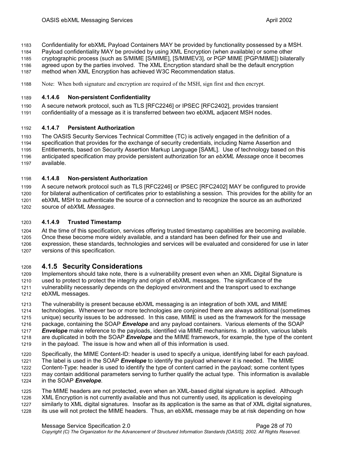- <span id="page-27-0"></span>1183 Confidentiality for ebXML Payload Containers MAY be provided by functionality possessed by a MSH.
- 1184 Payload confidentiality MAY be provided by using XML Encryption (when available) or some other
- 1185 cryptographic process (such as S/MIME [S/MIME], [S/MIMEV3], or PGP MIME [PGP/MIME]) bilaterally 1186 agreed upon by the parties involved. The XML Encryption standard shall be the default encryption
- 1187 method when XML Encryption has achieved W3C Recommendation status.
- 1188 Note: When both signature and encryption are required of the MSH, sign first and then encrypt.

## 1189 **4.1.4.6 Non-persistent Confidentiality**

- 1190 A secure network protocol, such as TLS [RFC2246] or IPSEC [RFC2402], provides transient
- 1191 confidentiality of a message as it is transferred between two ebXML adjacent MSH nodes.

## 1192 **4.1.4.7 Persistent Authorization**

1193 The OASIS Security Services Technical Committee (TC) is actively engaged in the definition of a 1194 specification that provides for the exchange of security credentials, including Name Assertion and 1195 Entitlements, based on Security Assertion Markup Language [SAML]. Use of technology based on this 1196 anticipated specification may provide persistent authorization for an *ebXML Message* once it becomes 1197 available.

## 1198 **4.1.4.8 Non-persistent Authorization**

1199 A secure network protocol such as TLS [RFC2246] or IPSEC [RFC2402] MAY be configured to provide 1200 for bilateral authentication of certificates prior to establishing a session. This provides for the ability for an 1201 ebXML MSH to authenticate the source of a connection and to recognize the source as an authorized 1202 source of *ebXML Messages*.

## 1203 **4.1.4.9 Trusted Timestamp**

1204 At the time of this specification, services offering trusted timestamp capabilities are becoming available.

- 1205 Once these become more widely available, and a standard has been defined for their use and
- 1206 expression, these standards, technologies and services will be evaluated and considered for use in later 1207 versions of this specification.

# <sup>1208</sup>**4.1.5 Security Considerations**

1209 Implementors should take note, there is a vulnerability present even when an XML Digital Signature is

- 1210 used to protect to protect the integrity and origin of ebXML messages. The significance of the 1211 vulnerability necessarily depends on the deployed environment and the transport used to exchange
- 1212 ebXML messages.
- 1213 The vulnerability is present because ebXML messaging is an integration of both XML and MIME
- 1214 technologies. Whenever two or more technologies are conjoined there are always additional (sometimes
- 1215 unique) security issues to be addressed. In this case, MIME is used as the framework for the message
- 1216 package, containing the SOAP *Envelope* and any payload containers. Various elements of the SOAP
- 1217 *Envelope* make reference to the payloads, identified via MIME mechanisms. In addition, various labels
- 1218 are duplicated in both the SOAP *Envelope* and the MIME framework, for example, the type of the content
- 1219 in the payload. The issue is how and when all of this information is used.
- 1220 Specifically, the MIME Content-ID: header is used to specify a unique, identifying label for each payload.
- 1221 The label is used in the SOAP *Envelope* to identify the payload whenever it is needed. The MIME
- 1222 Content-Type: header is used to identify the type of content carried in the payload; some content types
- 1223 may contain additional parameters serving to further qualify the actual type. This information is available 1224 in the SOAP *Envelope*.
- 1225 The MIME headers are not protected, even when an XML-based digital signature is applied. Although
- 1226 XML Encryption is not currently available and thus not currently used, its application is developing
- 1227 similarly to XML digital signatures. Insofar as its application is the same as that of XML digital signatures,
- 1228 its use will not protect the MIME headers. Thus, an ebXML message may be at risk depending on how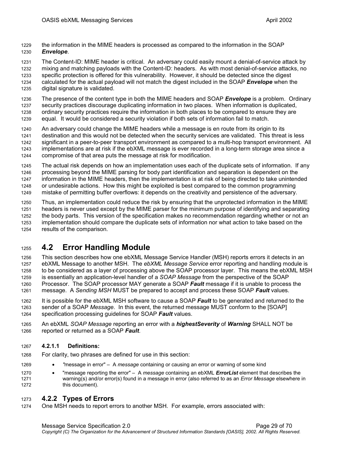- <span id="page-28-0"></span>1229 the information in the MIME headers is processed as compared to the information in the SOAP 1230 *Envelope*.
- 1231 The Content-ID: MIME header is critical. An adversary could easily mount a denial-of-service attack by 1232 mixing and matching payloads with the Content-ID: headers. As with most denial-of-service attacks, no
- 1233 specific protection is offered for this vulnerability. However, it should be detected since the digest
- 1234 calculated for the actual payload will not match the digest included in the SOAP *Envelope* when the 1235 digital signature is validated.
- 1236 The presence of the content type in both the MIME headers and SOAP *Envelope* is a problem. Ordinary 1237 security practices discourage duplicating information in two places. When information is duplicated, 1238 ordinary security practices require the information in both places to be compared to ensure they are 1239 equal. It would be considered a security violation if both sets of information fail to match.
- 1240 An adversary could change the MIME headers while a message is en route from its origin to its 1241 destination and this would not be detected when the security services are validated. This threat is less 1242 significant in a peer-to-peer transport environment as compared to a multi-hop transport environment. All 1243 implementations are at risk if the ebXML message is ever recorded in a long-term storage area since a
- 1244 compromise of that area puts the message at risk for modification.
- 1245 The actual risk depends on how an implementation uses each of the duplicate sets of information. If any 1246 processing beyond the MIME parsing for body part identification and separation is dependent on the 1247 information in the MIME headers, then the implementation is at risk of being directed to take unintended 1248 or undesirable actions. How this might be exploited is best compared to the common programming 1249 mistake of permitting buffer overflows: it depends on the creativity and persistence of the adversary.
- 1250 Thus, an implementation could reduce the risk by ensuring that the unprotected information in the MIME 1251 headers is never used except by the MIME parser for the minimum purpose of identifying and separating 1252 the body parts. This version of the specification makes no recommendation regarding whether or not an 1253 implementation should compare the duplicate sets of information nor what action to take based on the 1254 results of the comparison.

# <sup>1255</sup>**4.2 Error Handling Module**

- 1256 This section describes how one ebXML Message Service Handler (MSH) reports errors it detects in an 1257 ebXML Message to another MSH. The *ebXML Message Service* error reporting and handling module is 1258 to be considered as a layer of processing above the SOAP processor layer. This means the ebXML MSH 1259 is essentially an application-level handler of a *SOAP Message* from the perspective of the SOAP 1260 Processor. The SOAP processor MAY generate a SOAP *Fault* message if it is unable to process the 1261 message. A *Sending MSH* MUST be prepared to accept and process these SOAP *Fault* values.
- 1262 It is possible for the ebXML MSH software to cause a SOAP *Fault* to be generated and returned to the 1263 sender of a SOAP *Message*. In this event, the returned message MUST conform to the [SOAP] 1264 specification processing guidelines for SOAP *Fault* values.
- 1265 An ebXML *SOAP Message* reporting an error with a *highestSeverity* of *Warning* SHALL NOT be 1266 reported or returned as a SOAP *Fault*.

## 1267 **4.2.1.1 Definitions:**

- 1268 For clarity, two phrases are defined for use in this section:
- 1269 *"*message in error" A *message* containing or causing an error or warning of some kind
- 1270 "message reporting the error" A *message* containing an ebXML *ErrorList* element that describes the 1271 warning(s) and/or error(s) found in a message in error (also referred to as an *Error Message* elsewhere in 1272 this document).

# <sup>1273</sup>**4.2.2 Types of Errors**

1274 One MSH needs to report errors to another MSH*.* For example, errors associated with: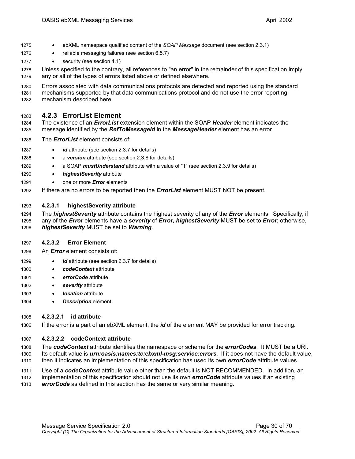- <span id="page-29-0"></span>1275 • ebXML namespace qualified content of the *SOAP Message* document (see section [2.3.1\)](#page-14-0)
- 1276 reliable messaging failures (see section [6.5.7\)](#page-42-0)
- 1277 security (see section [4.1\)](#page-23-0)
- 1278 Unless specified to the contrary, all references to "an error" in the remainder of this specification imply 1279 any or all of the types of errors listed above or defined elsewhere.
- 1280 Errors associated with data communications protocols are detected and reported using the standard 1281 mechanisms supported by that data communications protocol and do not use the error reporting 1282 mechanism described here.

## <sup>1283</sup>**4.2.3 ErrorList Element**

- 1284 The existence of an *ErrorList* extension element within the SOAP *Header* element indicates the 1285 message identified by the *RefToMessageId* in the *MessageHeader* element has an error.
- 1286 The *ErrorList* element consists of:
- 1287 *id* attribute (see section [2.3.7](#page-16-0) for details)
- 1288 a *version* attribute (see section [2.3.8 f](#page-16-0)or details)
- 1289 a SOAP *mustUnderstand* attribute with a value of "1" (see section [2.3.9 f](#page-17-0)or details)
- 1290 *highestSeverity* attribute
- 1291 one or more *Error* elements
- 1292 If there are no errors to be reported then the *ErrorList* element MUST NOT be present.

### 1293 **4.2.3.1 highestSeverity attribute**

1294 The *highestSeverity* attribute contains the highest severity of any of the *Error* elements. Specifically, if 1295 any of the *Error* elements have a *severity* of *Error, highestSeverity* MUST be set to *Error*; otherwise, 1296 *highestSeverity* MUST be set to *Warning*.

### 1297 **4.2.3.2 Error Element**

- 1298 An *Error* element consists of:
- 1299 *id* attribute (see section [2.3.7](#page-16-0) for details)
- 1300 *codeContext* attribute
- 1301 *errorCode* attribute
- 1302 *severity* attribute
- 1303 *location* attribute
- 1304 *Description* element

### 1305 **4.2.3.2.1 id attribute**

1306 If the error is a part of an ebXML element, the *id* of the element MAY be provided for error tracking.

### 1307 **4.2.3.2.2 codeContext attribute**

- 1308 The *codeContext* attribute identifies the namespace or scheme for the *errorCodes*. It MUST be a URI. 1309 Its default value is *urn:oasis:names:tc:ebxml-msg:service:errors*. If it does not have the default value, 1310 then it indicates an implementation of this specification has used its own *errorCode* attribute values.
- 1311 Use of a *codeContext* attribute value other than the default is NOT RECOMMENDED. In addition, an
- 1312 implementation of this specification should not use its own *errorCode* attribute values if an existing
- 1313 *errorCode* as defined in this section has the same or very similar meaning.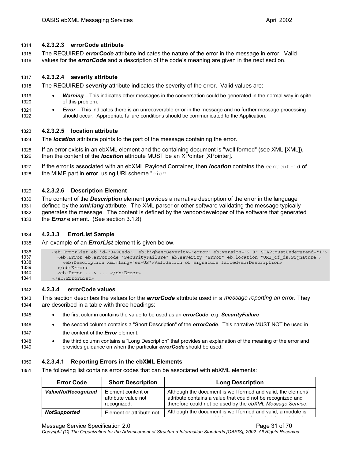### <span id="page-30-0"></span>1314 **4.2.3.2.3 errorCode attribute**

1315 The REQUIRED *errorCode* attribute indicates the nature of the error in the message in error. Valid 1316 values for the *errorCode* and a description of the code's meaning are given in the next section.

#### 1317 **4.2.3.2.4 severity attribute**

- 1318 The REQUIRED *severity* attribute indicates the severity of the error. Valid values are:
- 1319 *Warning*  This indicates other messages in the conversation could be generated in the normal way in spite 1320 of this problem.
- 1321 *Error*  This indicates there is an unrecoverable error in the message and no further message processing 1322 should occur. Appropriate failure conditions should be communicated to the Application.

#### 1323 **4.2.3.2.5 location attribute**

- 1324 The *location* attribute points to the part of the message containing the error.
- 1325 If an error exists in an ebXML element and the containing document is "well formed" (see XML [XML]), 1326 then the content of the *location* attribute MUST be an XPointer [XPointer].
- 1327 If the error is associated with an ebXML Payload Container, then *location* contains the content-id of 1328 the MIME part in error, using URI scheme "cid**"**.

### 1329 **4.2.3.2.6 Description Element**

1330 The content of the *Description* element provides a narrative description of the error in the language 1331 defined by the *xml:lang* attribute. The XML parser or other software validating the message typically 1332 generates the message. The content is defined by the vendor/developer of the software that generated 1333 the *Error* element. (See section [3.1.8\)](#page-21-0)

### 1334 **4.2.3.3 ErrorList Sample**

1335 An example of an *ErrorList* element is given below.

```
1336 <eb:ErrorList eb:id="3490sdo", eb:highestSeverity="error" eb:version="2.0" SOAP:mustUnderstand="1"> 
             1337 <eb:Error eb:errorCode="SecurityFailure" eb:severity="Error" eb:location="URI_of_ds:Signature"> 
1338 <eb:Description xml:lang="en-US">Validation of signature failed<eb:Description><br>1339 </eb:Error>
1339 \lt/eb:Error><br>1340 \lteb:Error
             <eb:Error ...> ... </eb:Error>
1341 </eb:ErrorList>
```
### 1342 **4.2.3.4 errorCode values**

1343 This section describes the values for the *errorCode* attribute used in a *message reporting an erro*r. They 1344 are described in a table with three headings:

1345 • the first column contains the value to be used as an *errorCode*, e.g. *SecurityFailure*  1346 • the second column contains a "Short Description" of the *errorCode*. This narrative MUST NOT be used in 1347 the content of the *Error* element. 1348 • the third column contains a "Long Description" that provides an explanation of the meaning of the error and 1349 provides guidance on when the particular *errorCode* should be used.

### 1350 **4.2.3.4.1 Reporting Errors in the ebXML Elements**

1351 The following list contains error codes that can be associated with ebXML elements:

| <b>Error Code</b>         | <b>Short Description</b>                                 | <b>Long Description</b>                                                                                                                                                                  |
|---------------------------|----------------------------------------------------------|------------------------------------------------------------------------------------------------------------------------------------------------------------------------------------------|
| <b>ValueNotRecognized</b> | Element content or<br>attribute value not<br>recognized. | Although the document is well formed and valid, the element/<br>attribute contains a value that could not be recognized and<br>therefore could not be used by the ebXML Message Service. |
| <b>NotSupported</b>       | Element or attribute not                                 | Although the document is well formed and valid, a module is                                                                                                                              |

Message Service Specification 2.0 **Page 31 of 70** Page 31 of 70

*Copyright (C) The Organization for the Advancement of Structured Information Standards [OASIS], 2002. All Rights Reserved.*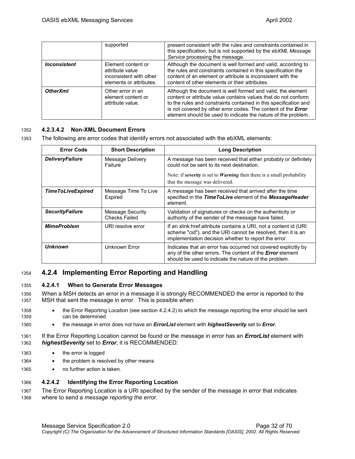|                     | supported                                                                                   | present consistent with the rules and constraints contained in<br>this specification, but is not supported by the ebXML Message<br>Service processing the message.                                                                                                                                                                  |
|---------------------|---------------------------------------------------------------------------------------------|-------------------------------------------------------------------------------------------------------------------------------------------------------------------------------------------------------------------------------------------------------------------------------------------------------------------------------------|
| <b>Inconsistent</b> | Element content or<br>attribute value<br>inconsistent with other<br>elements or attributes. | Although the document is well formed and valid, according to<br>the rules and constraints contained in this specification the<br>content of an element or attribute is inconsistent with the<br>content of other elements or their attributes.                                                                                      |
| <b>OtherXml</b>     | Other error in an<br>element content or<br>attribute value.                                 | Although the document is well formed and valid, the element<br>content or attribute value contains values that do not conform<br>to the rules and constraints contained in this specification and<br>is not covered by other error codes. The content of the Error<br>element should be used to indicate the nature of the problem. |

### 1352 **4.2.3.4.2 Non-XML Document Errors**

| 1353 |  | The following are error codes that identify errors not associated with the ebXML elements: |
|------|--|--------------------------------------------------------------------------------------------|
|      |  |                                                                                            |

| <b>Error Code</b>        | <b>Short Description</b>                 | <b>Long Description</b>                                                                                                                                                                    |
|--------------------------|------------------------------------------|--------------------------------------------------------------------------------------------------------------------------------------------------------------------------------------------|
| <b>DeliveryFailure</b>   | Message Delivery<br>Failure              | A message has been received that either probably or definitely<br>could not be sent to its next destination.                                                                               |
|                          |                                          | Note: if <i>severity</i> is set to <i>Warning</i> then there is a small probability<br>that the message was delivered.                                                                     |
| <b>TimeToLiveExpired</b> | Message Time To Live<br>Expired          | A message has been received that arrived after the time<br>specified in the TimeToLive element of the MessageHeader<br>element.                                                            |
| <b>SecurityFailure</b>   | Message Security<br><b>Checks Failed</b> | Validation of signatures or checks on the authenticity or<br>authority of the sender of the message have failed.                                                                           |
| <b>MimeProblem</b>       | URI resolve error                        | If an xlink: href attribute contains a URI, not a content id (URI)<br>scheme "cid"), and the URI cannot be resolved, then it is an<br>implementation decision whether to report the error. |
| <b>Unknown</b>           | Unknown Error                            | Indicates that an error has occurred not covered explicitly by<br>any of the other errors. The content of the Error element<br>should be used to indicate the nature of the problem.       |

## <sup>1354</sup>**4.2.4 Implementing Error Reporting and Handling**

### 1355 **4.2.4.1 When to Generate Error Messages**

1356 When a MSH detects an error in a message it is strongly RECOMMENDED the error is reported to the 1357 MSH that sent the message in error. This is possible when:

- 1358 the Error Reporting Location (see section 4.2.4.2) to which the message reporting the error should be sent 1359 can be determined
- 1360 the message in error does not have an *ErrorList* element with *highestSeverity* set to *Error*.
- 1361 If the Error Reporting Location cannot be found or the message in error has an *ErrorList* element with 1362 *highestSeverity* set to *Error*, it is RECOMMENDED:
- 1363 the error is logged
- 1364 the problem is resolved by other means
- 1365 no further action is taken.

### 1366 **4.2.4.2 Identifying the Error Reporting Location**

1367 The Error Reporting Location is a URI specified by the sender of the message in error that indicates 1368 where to send a *message reporting the erro*r.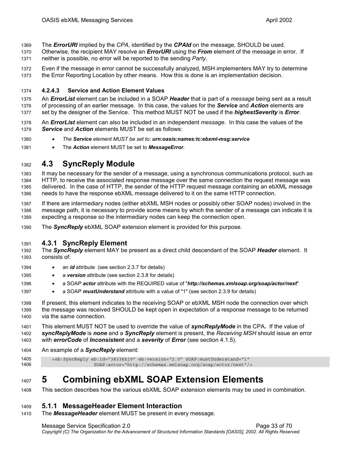- <span id="page-32-0"></span>1369 The *ErrorURI* implied by the *CPA*, identified by the *CPAId* on the message, SHOULD be used.
- 1370 Otherwise, the recipient MAY resolve an *ErrorURI* using the *From* element of the message in error. If 1371 neither is possible, no error will be reported to the sending *Party*.
- 1372 Even if the message in error cannot be successfully analyzed, MSH implementers MAY try to determine 1373 the Error Reporting Location by other means. How this is done is an implementation decision.

### 1374 **4.2.4.3 Service and Action Element Values**

- 1375 An *ErrorList* element can be included in a SOAP *Header* that is part of a *message* being sent as a result 1376 of processing of an earlier message. In this case, the values for the *Service* and *Action* elements are 1377 set by the designer of the Service. This method MUST NOT be used if the *highestSeverity* is *Error*.
- 1378 An *ErrorList* element can also be included in an independent *message*. In this case the values of the 1379 *Service* and *Action* elements MUST be set as follows:
- 1380 *The Service element MUST be set to: urn:oasis:names:tc:ebxml-msg:service*
- 1381 The *Action* element MUST be set to *MessageError*.

# <sup>1382</sup>**4.3 SyncReply Module**

1383 It may be necessary for the sender of a message, using a synchronous communications protocol, such as 1384 HTTP, to receive the associated response message over the same connection the request message was 1385 delivered. In the case of HTTP, the sender of the HTTP request message containing an ebXML message 1386 needs to have the response ebXML message delivered to it on the same HTTP connection.

1387 If there are intermediary nodes (either ebXML MSH nodes or possibly other SOAP nodes) involved in the 1388 message path, it is necessary to provide some means by which the sender of a message can indicate it is 1389 expecting a response so the intermediary nodes can keep the connection open.

1390 The *SyncReply* ebXML SOAP extension element is provided for this purpose.

# <sup>1391</sup>**4.3.1 SyncReply Element**

1392 The *SyncReply* element MAY be present as a direct child descendant of the SOAP *Header* element. It 1393 consists of:

- 1394 an *id* attribute (see section [2.3.7](#page-16-0) for details)
- 1395 a *version* attribute (see section [2.3.8 f](#page-16-0)or details)
- 1396 a SOAP *actor* attribute with the REQUIRED value of "*http://schemas.xmlsoap.org/soap/actor/next*"
- 1397 a SOAP *mustUnderstand* attribute with a value of "1" (see section [2.3.9 f](#page-17-0)or details)

1398 If present, this element indicates to the receiving SOAP or ebXML MSH node the connection over which 1399 the message was received SHOULD be kept open in expectation of a response message to be returned 1400 via the same connection.

1401 This element MUST NOT be used to override the value of *syncReplyMode* in the CPA*.* If the value of 1402 *syncReplyMode* is *none* and a *SyncReply* element is present, the *Receiving MSH* should issue an error 1403 with *errorCode* of *Inconsistent* and a *severity* of *Error* (see section [4.1.5\)](#page-28-0).

- 1404 An example of a *SyncReply* element:
- 1405 <eb:SyncReply eb:id="3833kkj9" eb:version="2.0" SOAP:mustUnderstand="1" 1406 SOAP:actor="http://schemas.xmlsoap.org/soap/actor/next"/>

# <sup>1407</sup>**5 Combining ebXML SOAP Extension Elements**

1408 This section describes how the various ebXML SOAP extension elements may be used in combination.

# <sup>1409</sup>**5.1.1 MessageHeader Element Interaction**

1410 The *MessageHeader* element MUST be present in every message.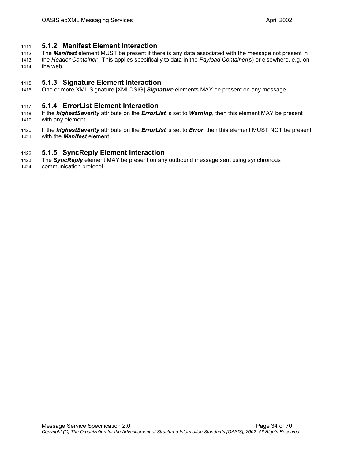### <span id="page-33-0"></span><sup>1411</sup>**5.1.2 Manifest Element Interaction**

1412 The *Manifest* element MUST be present if there is any data associated with the message not present in 1413 the *Header Container*. This applies specifically to data in the *Payload Container*(s) or elsewhere, e.g. on 1414 the web.

### <sup>1415</sup>**5.1.3 Signature Element Interaction**

1416 One or more XML Signature [XMLDSIG] *Signature* elements MAY be present on any message.

### <sup>1417</sup>**5.1.4 ErrorList Element Interaction**

- 1418 If the *highestSeverity* attribute on the *ErrorList* is set to *Warning*, then this element MAY be present 1419 with any element.
- 1420 If the *highestSeverity* attribute on the *ErrorList* is set to *Error*, then this element MUST NOT be present 1421 with the *Manifest* element

### <sup>1422</sup>**5.1.5 SyncReply Element Interaction**

- 1423 The *SyncReply* element MAY be present on any outbound message sent using synchronous
- 1424 communication protocol.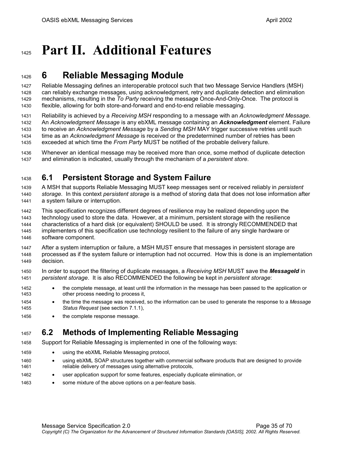# <span id="page-34-0"></span><sup>1425</sup>**Part II. Additional Features**

# <sup>1426</sup>**6 Reliable Messaging Module**

1427 Reliable Messaging defines an interoperable protocol such that two Message Service Handlers (MSH) 1428 can reliably exchange messages, using acknowledgment, retry and duplicate detection and elimination 1429 mechanisms, resulting in the *To Party* receiving the message Once-And-Only-Once. The protocol is 1430 flexible, allowing for both store-and-forward and end-to-end reliable messaging.

1431 Reliability is achieved by a *Receiving MSH* responding to a message with an *Acknowledgment Message*. 1432 An *Acknowledgment Message* is any ebXML message containing an *Acknowledgment* element. Failure 1433 to receive an *Acknowledgment Message* by a *Sending MSH* MAY trigger successive retries until such 1434 time as an *Acknowledgment Message* is received or the predetermined number of retries has been 1435 exceeded at which time the *From Party* MUST be notified of the probable delivery failure.

1436 Whenever an identical message may be received more than once, some method of duplicate detection 1437 and elimination is indicated, usually through the mechanism of a *persistent store*.

# <sup>1438</sup>**6.1 Persistent Storage and System Failure**

1439 A MSH that supports Reliable Messaging MUST keep messages sent or received reliably in *persistent*  1440 *storage*. In this context *persistent storage* is a method of storing data that does not lose information after 1441 a system failure or interruption.

1442 This specification recognizes different degrees of resilience may be realized depending upon the 1443 technology used to store the data. However, at a minimum, persistent storage with the resilience 1444 characteristics of a hard disk (or equivalent) SHOULD be used. It is strongly RECOMMENDED that 1445 implementers of this specification use technology resilient to the failure of any single hardware or 1446 software component.

- 1447 After a system interruption or failure, a MSH MUST ensure that messages in persistent storage are 1448 processed as if the system failure or interruption had not occurred. How this is done is an implementation 1449 decision.
- 1450 In order to support the filtering of duplicate messages, a *Receiving MSH* MUST save the *MessageId* in 1451 *persistent storage*. It is also RECOMMENDED the following be kept in *persistent storage*:
- 1452 the complete message, at least until the information in the message has been passed to the application or 1453 other process needing to process it,
- 1454 the time the message was received, so the information can be used to generate the response to a *Message*  1455 *Status Request* (see section [7.1.1\)](#page-44-0),
- 1456 the complete response message.

# <sup>1457</sup>**6.2 Methods of Implementing Reliable Messaging**

1458 Support for Reliable Messaging is implemented in one of the following ways:

- 1459 using the ebXML Reliable Messaging protocol,
- 1460 using ebXML SOAP structures together with commercial software products that are designed to provide 1461 reliable delivery of messages using alternative protocols,
- 1462 user application support for some features, especially duplicate elimination, or
- 1463 some mixture of the above options on a per-feature basis.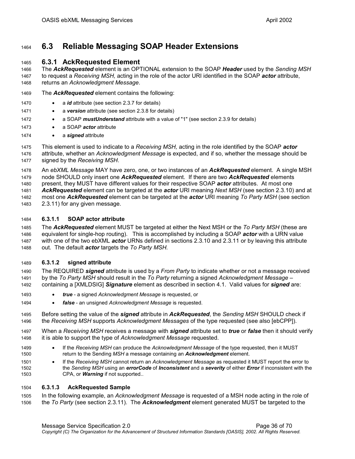# <span id="page-35-0"></span><sup>1464</sup>**6.3 Reliable Messaging SOAP Header Extensions**

## <sup>1465</sup>**6.3.1 AckRequested Element**

1466 The *AckRequested* element is an OPTIONAL extension to the SOAP *Header* used by the *Sending MSH* 1467 to request a *Receiving MSH,* acting in the role of the actor URI identified in the SOAP *actor* attribute, 1468 returns an *Acknowledgment Message*.

- 1469 The *AckRequested* element contains the following:
- 1470 a *id* attribute (see section [2.3.7 f](#page-16-0)or details)
- 1471 a *version* attribute (see section [2.3.8 f](#page-16-0)or details)
- 1472 a SOAP *mustUnderstand* attribute with a value of "1" (see section [2.3.9 f](#page-17-0)or details)
- 1473 a SOAP *actor* attribute
- 1474 a *signed* attribute

1475 This element is used to indicate to a *Receiving MSH,* acting in the role identified by the SOAP *actor* 1476 attribute, whether an *Acknowledgment Message* is expected, and if so, whether the message should be 1477 signed by the *Receiving MSH*.

1478 An *ebXML Message* MAY have zero, one, or two instances of an *AckRequested* element. A single MSH 1479 node SHOULD only insert one *AckRequested* element. If there are two *AckRequested* elements 1480 present, they MUST have different values for their respective SOAP *actor* attributes. At most one 1481 *AckRequested* element can be targeted at the *actor* URI meaning *Next MSH* (see section [2.3.10\)](#page-17-0) and at 1482 most one *AckRequested* element can be targeted at the *actor* URI meaning *To Party MSH* (see section 1483 [2.3.11\)](#page-17-0) for any given message.

### 1484 **6.3.1.1 SOAP actor attribute**

1485 The *AckRequested* element MUST be targeted at either the Next MSH or the *To Party MSH* (these are 1486 equivalent for single-hop routing). This is accomplished by including a SOAP *actor* with a URN value 1487 with one of the two ebXML *actor* URNs defined in sections [2.3.10](#page-17-0) and [2.3.11](#page-17-0) or by leaving this attribute 1488 out. The default *actor* targets the To Party MSH.

### 1489 **6.3.1.2 signed attribute**

1490 The REQUIRED *signed* attribute is used by a *From Party* to indicate whether or not a message received 1491 by the *To Party MSH* should result in the *To Party* returning a signed *Acknowledgment Message* – 1492 containing a [XMLDSIG] *Signature* element as described in section [4.1.](#page-23-0) Valid values for *signed* are:

- 1493 *true*  a signed *Acknowledgment Message* is requested, or
- 1494 *false*  an unsigned *Acknowledgment Message* is requested.
- 1495 Before setting the value of the *signed* attribute in *AckRequested*, the *Sending MSH* SHOULD check if 1496 the *Receiving MSH* supports *Acknowledgment Messages* of the type requested (see also [ebCPP]).
- 1497 When a *Receiving MSH* receives a message with *signed* attribute set to *true* or *false* then it should verify 1498 it is able to support the type of *Acknowledgment Message* requested.
- 1499 If the *Receiving MSH* can produce the *Acknowledgment Message* of the type requested, then it MUST 1500 return to the Sending *MSH* a message containing an *Acknowledgment* element.
- 1501 If the *Receiving MSH* cannot return an *Acknowledgment Message* as requested it MUST report the error to 1502 the *Sending MSH* using an *errorCode* of *Inconsistent* and a *severity* of either *Error* if inconsistent with the 1503 CPA, or *Warning* if not supported..

### 1504 **6.3.1.3 AckRequested Sample**

1505 In the following example, an *Acknowledgment Message* is requested of a MSH node acting in the role of 1506 the *To Party* (see section [2.3.11\)](#page-17-0). The *Acknowledgment* element generated MUST be targeted to the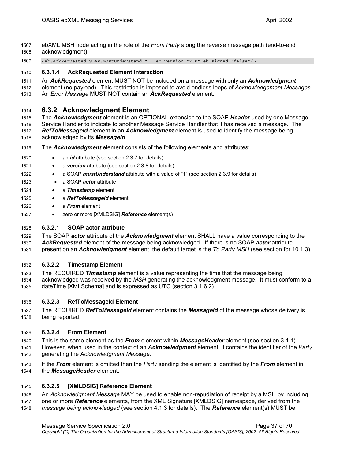<span id="page-36-0"></span>1507 ebXML MSH node acting in the role of the *From Party* along the reverse message path (end-to-end 1508 acknowledgment).

1509 <eb:AckRequested SOAP:mustUnderstand="1" eb:version="2.0" eb:signed="false"/>

### 1510 **6.3.1.4 AckRequested Element Interaction**

- 1511 An *AckRequested* element MUST NOT be included on a message with only an *Acknowledgment*
- 1512 element (no payload). This restriction is imposed to avoid endless loops of *Acknowledgement Messages.*  1513 An *Error Message* MUST NOT contain an *AckRequested* element.

### <sup>1514</sup>**6.3.2 Acknowledgment Element**

1515 The *Acknowledgment* element is an OPTIONAL extension to the SOAP *Header* used by one Message 1516 Service Handler to indicate to another Message Service Handler that it has received a message. The

- 1517 *RefToMessageId* element in an *Acknowledgment* element is used to identify the message being 1518 acknowledged by its *MessageId.*
- 1519 The *Acknowledgment* element consists of the following elements and attributes:
- 1520 an *id* attribute (see section [2.3.7 f](#page-16-0)or details)
- 1521 a *version* attribute (see section [2.3.8 f](#page-16-0)or details)
- 1522 a SOAP *mustUnderstand* attribute with a value of "1" (see section [2.3.9 f](#page-17-0)or details)
- 1523 a SOAP *actor* attribute
- 1524 a *Timestamp* element
- 1525 a *RefToMessageId* element
- 1526 a *From* element
- 1527 zero or more [XMLDSIG] *Reference* element(s)

### 1528 **6.3.2.1 SOAP actor attribute**

1529 The SOAP *actor* attribute of the *Acknowledgment* element SHALL have a value corresponding to the 1530 *AckRequested* element of the message being acknowledged. If there is no SOAP *actor* attribute 1531 present on an *Acknowledgment* element, the default target is the *To Party MSH* (see section for [10.1.3\)](#page-50-0).

### 1532 **6.3.2.2 Timestamp Element**

1533 The REQUIRED *Timestamp* element is a value representing the time that the message being

1534 acknowledged was received by the *MSH* generating the acknowledgment message. It must conform to a 1535 dateTime [XMLSchema] and is expressed as UTC (section [3.1.6.2\)](#page-20-0).

### 1536 **6.3.2.3 RefToMessageId Element**

1537 The REQUIRED *RefToMessageId* element contains the *MessageId* of the message whose delivery is 1538 being reported.

### 1539 **6.3.2.4 From Element**

- 1540 This is the same element as the *From* element within *MessageHeader* element (see section [3.1.1\)](#page-18-0).
- 1541 However, when used in the context of an *Acknowledgment* element, it contains the identifier of the *Party*  1542 generating the A*cknowledgment Message*.
- 1543 If the *From* element is omitted then the *Party* sending the element is identified by the *From* element in 1544 the *MessageHeader* element.

### 1545 **6.3.2.5 [XMLDSIG] Reference Element**

1546 An *Acknowledgment Message* MAY be used to enable non-repudiation of receipt by a MSH by including 1547 one or more *Reference* elements, from the XML Signature [XMLDSIG] namespace, derived from the

1548 *message being acknowledged* (see section [4.1.3](#page-24-0) for details). The *Reference* element(s) MUST be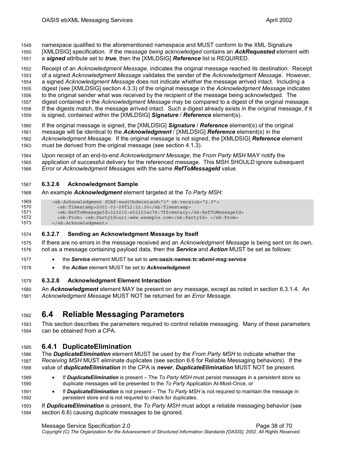<span id="page-37-0"></span>1549 namespace qualified to the aforementioned namespace and MUST conform to the XML Signature

1550 [XMLDSIG] specification. If the *message being acknowledged* contains an *AckRequested* element with 1551 a *signed* attribute set to *true*, then the [XMLDSIG] *Reference* list is REQUIRED.

1552 Receipt of an *Acknowledgment Message*, indicates the original message reached its destination. Receipt 1553 of a signed *Acknowledgment Message* validates the sender of the *Acknowledgment Message*. However, 1554 a signed *Acknowledgment Message* does not indicate whether the message arrived intact. Including a 1555 digest (see [XMLDSIG] section 4.3.3) of the original message in the *Acknowledgment Message* indicates 1556 to the original sender what was received by the recipient of the message being acknowledged. The 1557 digest contained in the *Acknowledgment Message* may be compared to a digest of the original message. 1558 If the digests match, the message arrived intact. Such a digest already exists in the original message, if it 1559 is signed, contained within the [XMLDSIG] *Signature* / *Reference* element(s).

1560 If the original message is signed, the [XMLDSIG] *Signature* / *Reference* element(s) of the original 1561 message will be identical to the *Acknowledgment* / [XMLDSIG] *Reference* element(s) in the 1562 *Acknowledgment Message*. If the original message is not signed, the [XMLDSIG] *Reference* element 1563 must be derived from the original message (see section [4.1.3\)](#page-24-0).

- 1564 Upon receipt of an end-to-end *Acknowledgment Message*, the *From Party MSH* MAY notify the
- 1565 application of successful delivery for the referenced message. This MSH SHOULD ignore subsequent 1566 *Error* or *Acknowledgment Message*s with the same *RefToMessageId* value.
- 1567 **6.3.2.6 Acknowledgment Sample**

### 1568 An example *Acknowledgment* element targeted at the *To Party MSH*:

<eb:Acknowledgment SOAP:mustUnderstand="1" eb:version="2.0"> <eb:Timestamp>2001-03-09T12:22:30</eb:Timestamp> <eb:RefToMessageId>323210:e52151ec74:7ffc@xtacy</eb:RefToMessageId> <eb:From> <eb:PartyId>uri:www.example.com</eb:PartyId> </eb:From> </eb:Acknowledgment>

### 1574 **6.3.2.7 Sending an Acknowledgment Message by Itself**

- 1575 If there are no errors in the message received and an *Acknowledgment Message* is being sent on its own, 1576 not as a message containing payload data, then the *Service* and *Action* MUST be set as follows:
- 1577 the *Service* element MUST be set to *urn:oasis:names:tc:ebxml-msg:service*
- 1578 the *Action* element MUST be set to *Acknowledgment*

### 1579 **6.3.2.8 Acknowledgment Element Interaction**

1580 An *Acknowledgment* element MAY be present on any message, except as noted in section [6.3.1.4.](#page-36-0) An 1581 *Acknowledgment Message* MUST NOT be returned for an *Error Message*.

# <sup>1582</sup>**6.4 Reliable Messaging Parameters**

1583 This section describes the parameters required to control reliable messaging. Many of these parameters 1584 can be obtained from a CPA.

# <sup>1585</sup>**6.4.1 DuplicateElimination**

1586 The *DuplicateElimination* element MUST be used by the *From Party MSH* to indicate whether the 1587 *Receiving MSH* MUST eliminate duplicates (see section [6.6](#page-43-0) for Reliable Messaging behaviors). If the 1588 value of *duplicateElimination* in the CPA is *never*, *DuplicateElimination* MUST NOT be present.

- 1589 If *DuplicateElimination* is present The *To Party MSH* must persist messages in a persistent store so 1590 duplicate messages will be presented to the *To Party* Application At-Most-Once, or
- 1591 If *DuplicateElimination* is not present The *To Party MSH* is not required to maintain the message in 1592 persistent store and is not required to check for duplicates.
- 1593 If *DuplicateElimination* is present, the *To Party MSH* must adopt a reliable messaging behavior (see 1594 section [6.6\)](#page-43-0) causing duplicate messages to be ignored.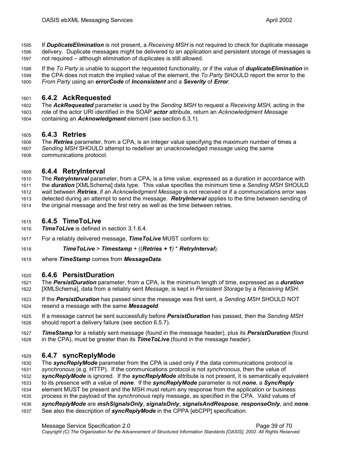<span id="page-38-0"></span>1595 If *DuplicateElimination* is not present, a *Receiving MSH* is not required to check for duplicate message 1596 delivery. Duplicate messages might be delivered to an application and persistent storage of messages is 1597 not required – although elimination of duplicates is still allowed.

1598 If the *To Party* is unable to support the requested functionality, or if the value of *duplicateElimination* in 1599 the CPA does not match the implied value of the element, the *To Party* SHOULD report the error to the 1600 *From Party* using an *errorCode* of *Inconsistent* and a *Severity* of *Error*.

## <sup>1601</sup>**6.4.2 AckRequested**

1602 The *AckRequested* parameter is used by the *Sending MSH* to request a *Receiving MSH,* acting in the 1603 role of the actor URI identified in the SOAP *actor* attribute, return an *Acknowledgment Message*  1604 containing an *Acknowledgment* element (see section [6.3.1\)](#page-35-0).

## <sup>1605</sup>**6.4.3 Retries**

1606 The *Retries* parameter, from a CPA, is an integer value specifying the maximum number of times a 1607 *Sending MSH* SHOULD attempt to redeliver an unacknowledged *message* using the same 1608 communications protocol.

### <sup>1609</sup>**6.4.4 RetryInterval**

1610 The *RetryInterval* parameter, from a CPA, is a time value, expressed as a duration in accordance with 1611 the *duration* [XMLSchema] data type. This value specifies the minimum time a *Sending MSH* SHOULD

1612 wait between *Retries*, if an *Acknowledgment Message* is not received or if a communications error was 1613 detected during an attempt to send the message. *RetryInterval* applies to the time between sending of

1614 the original message and the first retry as well as the time between retries.

### <sup>1615</sup>**6.4.5 TimeToLive**

1616 *TimeToLive* is defined in section [3.1.6.4.](#page-21-0)

1617 For a reliably delivered message, *TimeToLive* MUST conform to:

1618 *TimeToLive* > *Timestamp* + ((*Retries + 1)* \* *RetryInterval*).

1619 where *TimeStamp* comes from *MessageData*.

### <sup>1620</sup>**6.4.6 PersistDuration**

1621 The *PersistDuration* parameter, from a CPA, is the minimum length of time, expressed as a *duration*  1622 [XMLSchema], data from a reliably sent *Message*, is kept in *Persistent Storage* by a *Receiving MSH*.

1623 If the *PersistDuration* has passed since the message was first sent, a *Sending MSH* SHOULD NOT 1624 resend a message with the same *MessageId*.

1625 If a message cannot be sent successfully before *PersistDuration* has passed, then the *Sending MSH* 1626 should report a delivery failure (see section [6.5.7\)](#page-42-0).

1627 *TimeStamp* for a reliably sent message (found in the message header), plus its *PersistDuration* (found 1628 in the CPA), must be greater than its *TimeToLive* (found in the message header).

## <sup>1629</sup>**6.4.7 syncReplyMode**

1630 The *syncReplyMode* parameter from the CPA is used only if the data communications protocol is

1631 *synchronous* (e.g. HTTP). If the communications protocol is not *synchronous*, then the value of

1632 *syncReplyMode* is ignored. If the *syncReplyMode* attribute is not present, it is semantically equivalent 1633 to its presence with a value of *none*. If the *syncReplyMode* parameter is not *none*, a *SyncReply*

1634 element MUST be present and the MSH must return any response from the application or business

1635 process in the payload of the *synchronous* reply message, as specified in the CPA. Valid values of

1636 *syncReplyMode* are *mshSignalsOnly*, *signalsOnly*, *signalsAndRespose*, *responseOnly*, and *none*. 1637 See also the description of *syncReplyMode* in the CPPA [ebCPP] specification.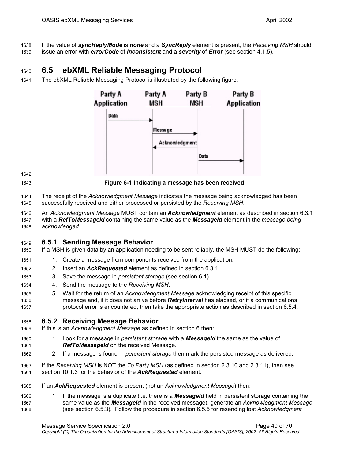<span id="page-39-0"></span>1638 If the value of *syncReplyMode* is *none* and a *SyncReply* element is present, the *Receiving MSH* should 1639 issue an error with *errorCode* of *Inconsistent* and a *severity* of *Error* (see section [4.1.5\)](#page-28-0).

# <sup>1640</sup>**6.5 ebXML Reliable Messaging Protocol**

1641 The ebXML Reliable Messaging Protocol is illustrated by the following figure.



1642

1643 **Figure 6-1 Indicating a message has been received** 

1644 The receipt of the *Acknowledgment Message* indicates the message being acknowledged has been 1645 successfully received and either processed or persisted by the *Receiving MSH*.

1646 An *Acknowledgment Message* MUST contain an *Acknowledgment* element as described in section [6.3.1](#page-35-0)

1647 with a *RefToMessageId* containing the same value as the *MessageId* element in the *message being*  1648 *acknowledged*.

## <sup>1649</sup>**6.5.1 Sending Message Behavior**

- 1650 If a MSH is given data by an application needing to be sent reliably, the MSH MUST do the following:
- 1651 1. Create a message from components received from the application.
- 1652 2. Insert an *AckRequested* element as defined in section [6.3.1.](#page-35-0)
- 1653 3. Save the message in *persistent storage* (see section [6.1\)](#page-34-0).
- 1654 4. Send the message to the *Receiving MSH*.
- 1655 5. Wait for the return of an *Acknowledgment Message* acknowledging receipt of this specific 1656 message and, if it does not arrive before *RetryInterval* has elapsed, or if a communications 1657 protocol error is encountered, then take the appropriate action as described in section [6.5.4.](#page-40-0)
- <sup>1658</sup>**6.5.2 Receiving Message Behavior**
- 1659 If this is an *Acknowledgment Message* as defined in section [6](#page-34-0) then:
- 1660 1 Look for a message in *persistent storage* with a *MessageId* the same as the value of 1661 *RefToMessageId* on the received Message.
- 1662 2 If a message is found in *persistent storage* then mark the persisted message as delivered.
- 1663 If the *Receiving MSH* is NOT the *To Party MSH* (as defined in section [2.3.10](#page-17-0) and [2.3.11\)](#page-17-0), then see 1664 section [10.1.3](#page-50-0) for the behavior of the *AckRequested* element.
- 1665 If an *AckRequested* element is present (not an *Acknowledgment Message*) then:
- 1666 1 If the message is a duplicate (i.e. there is a *MessageId* held in persistent storage containing the 1667 same value as the *MessageId* in the received message), generate an *Acknowledgment Message* 1668 (see section [6.5.3\)](#page-40-0). Follow the procedure in section [6.5.5](#page-41-0) for resending lost *Acknowledgment*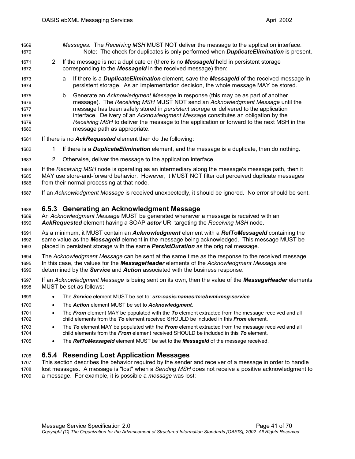- <span id="page-40-0"></span>1669 *Messages*. The *Receiving MSH* MUST NOT deliver the message to the application interface. 1670 Note: The check for duplicates is only performed when *DuplicateElimination* is present.
- 1671 2 If the message is not a duplicate or (there is no *MessageId* held in persistent storage 1672 corresponding to the *MessageId* in the received message) then:
- 1673 a If there is a *DuplicateElimination* element, save the *MessageId* of the received message in 1674 persistent storage. As an implementation decision, the whole message MAY be stored.
- 1675 b Generate an *Acknowledgment Message* in response (this may be as part of another 1676 message). The *Receiving MSH* MUST NOT send an *Acknowledgment Message* until the 1677 message has been safely stored in *persistent storage* or delivered to the application 1678 interface. Delivery of an *Acknowledgment Message* constitutes an obligation by the 1679 *Receiving MSH* to deliver the message to the application or forward to the next MSH in the 1680 message path as appropriate.
- 1681 If there is no *AckRequested* element then do the following:
- 1682 1 If there is a *DuplicateElimination* element, and the message is a duplicate, then do nothing.
- 1683 2 Otherwise, deliver the message to the application interface

1684 If the *Receiving MSH* node is operating as an intermediary along the message's message path, then it 1685 MAY use store-and-forward behavior. However, it MUST NOT filter out perceived duplicate messages 1686 from their normal processing at that node.

1687 If an *Acknowledgment Message* is received unexpectedly, it should be ignored. No error should be sent.

### <sup>1688</sup>**6.5.3 Generating an Acknowledgment Message**

- 1689 An *Acknowledgment Message* MUST be generated whenever a message is received with an 1690 *AckRequested* element having a SOAP *actor* URI targeting the *Receiving MSH* node.
- 1691 As a minimum, it MUST contain an *Acknowledgment* element with a *RefToMessageId* containing the 1692 same value as the *MessageId* element in the message being acknowledged. This message MUST be 1693 placed in persistent storage with the same *PersistDuration* as the original message.
- 1694 The *Acknowledgment Message* can be sent at the same time as the response to the received message. 1695 In this case, the values for the *MessageHeader* elements of the *Acknowledgment Message* are 1696 determined by the *Service* and *Action* associated with the business response.
- 1697 If an *Acknowledgment Message* is being sent on its own, then the value of the *MessageHeader* elements 1698 MUST be set as follows:
- 1699 The *Service* element MUST be set to: *urn:oasis:names:tc:ebxml-msg:service*
- 1700 The *Action* element MUST be set to *Acknowledgment*.
- 1701 The *From* element MAY be populated with the *To* element extracted from the message received and all 1702 child elements from the *To* element received SHOULD be included in this *From* element.
- 1703 The *To* element MAY be populated with the *From* element extracted from the message received and all 1704 child elements from the *From* element received SHOULD be included in this *To* element.
- 1705 The *RefToMessageId* element MUST be set to the *MessageId* of the message received.

## <sup>1706</sup>**6.5.4 Resending Lost Application Messages**

- 1707 This section describes the behavior required by the sender and receiver of a message in order to handle 1708 lost messages. A message is "lost" when a *Sending MSH* does not receive a positive acknowledgment to
- 1709 a message. For example, it is possible a *message* was lost: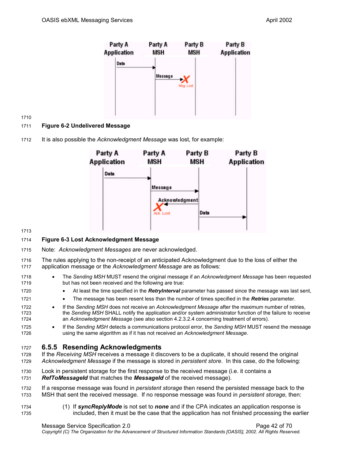<span id="page-41-0"></span>

1710

### 1711 **Figure 6-2 Undelivered Message**

1712 It is also possible the *Acknowledgment Message* was lost, for example:



1713

- 1714 **Figure 6-3 Lost Acknowledgment Message**
- 1715 Note: *Acknowledgment Messages* are never acknowledged.
- 1716 The rules applying to the non-receipt of an anticipated Acknowledgment due to the loss of either the 1717 application message or the *Acknowledgment Message* are as follows:
- 1718 The *Sending MSH* MUST resend the original message if an *Acknowledgment Message* has been requested 1719 but has not been received and the following are true:
- 1720 At least the time specified in the *RetryInterval* parameter has passed since the message was last sent,
- 1721 The message has been resent less than the number of times specified in the *Retries* parameter.
- 1722 If the *Sending MSH* does not receive an *Acknowledgment Message* after the maximum number of retries, 1723 the *Sending MSH* SHALL notify the application and/or system administrator function of the failure to receive 1724 an *Acknowledgment Message* (see also section [4.2.3.2.4 c](#page-30-0)oncerning treatment of errors).
- 1725 If the *Sending MSH* detects a communications protocol error, the *Sending MSH* MUST resend the message 1726 using the same algorithm as if it has not received an *Acknowledgment Message*.

# <sup>1727</sup>**6.5.5 Resending Acknowledgments**

- 1728 If the *Receiving MSH* receives a message it discovers to be a duplicate, it should resend the original 1729 *Acknowledgment Message* if the message is stored in *persistent store*. In this case, do the following:
- 1730 Look in persistent storage for the first response to the received message (i.e. it contains a 1731 *RefToMessageId* that matches the *MessageId* of the received message).
- 1732 If a response message was found in *persistent storage* then resend the persisted message back to the 1733 MSH that sent the received message. If no response message was found in *persistent storage,* then:
- 1734 (1) If *syncReplyMode* is not set to *none* and if the CPA indicates an application response is 1735 included, then it must be the case that the application has not finished processing the earlier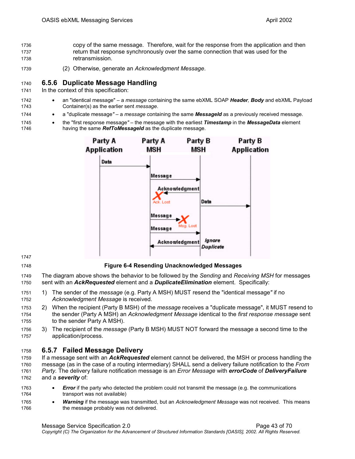- <span id="page-42-0"></span>1736 copy of the same message. Therefore, wait for the response from the application and then 1737 return that response synchronously over the same connection that was used for the 1738 retransmission.
- 1739 (2) Otherwise, generate an *Acknowledgment Message*.

# <sup>1740</sup>**6.5.6 Duplicate Message Handling**

- 1741 In the context of this specification:
- 1742 an "identical message" a *message* containing the same ebXML SOAP *Header, Body* and ebXML Payload 1743 Container(s) as the earlier sent *message*.
- 1744 a "duplicate message*"* a *message* containing the same *MessageId* as a previously received message.
- 1745 the "first response message*"* the message with the earliest *Timestamp* in the *MessageData* element 1746 having the same *RefToMessageId* as the duplicate message.



1747

# 1748 **Figure 6-4 Resending Unacknowledged Messages**

- 1749 The diagram above shows the behavior to be followed by the *Sending* and *Receiving MSH* for messages 1750 sent with an *AckRequested* element and a *DuplicateElimination* element. Specifically:
- 1751 1) The sender of the *message* (e.g. Party A MSH) MUST resend the "identical message*"* if no 1752 *Acknowledgment Message* is received.
- 1753 2) When the recipient (Party B MSH) of the *message* receives a "duplicate message", it MUST resend to 1754 the sender (Party A MSH) an *Acknowledgment Message* identical to the *first response message* sent 1755 to the sender Party A MSH).
- 1756 3) The recipient of the *message* (Party B MSH) MUST NOT forward the message a second time to the 1757 application/process.

# <sup>1758</sup>**6.5.7 Failed Message Delivery**

- 1759 If a message sent with an *AckRequested* element cannot be delivered, the MSH or process handling the 1760 message (as in the case of a routing intermediary) SHALL send a delivery failure notification to the *From*  1761 *Party.* The delivery failure notification message is an *Error Message* with *errorCode* of *DeliveryFailure* 1762 and a *severity* of:
- 1763 *Error* if the party who detected the problem could not transmit the message (e.g. the communications 1764 transport was not available)
- 1765 *Warning* if the message was transmitted, but an *Acknowledgment Message* was not received. This means 1766 the message probably was not delivered.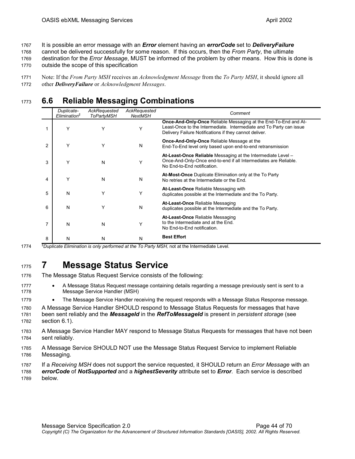<span id="page-43-0"></span>1767 It is possible an error message with an *Error* element having an *errorCode* set to *DeliveryFailure*

1768 cannot be delivered successfully for some reason. If this occurs, then the *From Party*, the ultimate 1769 destination for the *Error Message*, MUST be informed of the problem by other means. How this is done is

1770 outside the scope of this specification

1771 Note: If the *From Party MSH* receives an *Acknowledgment Message* from the *To Party MSH*, it should ignore all 1772 other *DeliveryFailure* or *Acknowledgment Messages*.

# <sup>1773</sup>**6.6 Reliable Messaging Combinations**

|                | Duplicate-<br>Elimination <sup>§</sup> | AckRequested<br><b>ToPartyMSH</b> | AckRequested<br><b>NextMSH</b> | Comment                                                                                                                                                                                          |
|----------------|----------------------------------------|-----------------------------------|--------------------------------|--------------------------------------------------------------------------------------------------------------------------------------------------------------------------------------------------|
| 1              | Υ                                      | Y                                 | Y                              | Once-And-Only-Once Reliable Messaging at the End-To-End and At-<br>Least-Once to the Intermediate. Intermediate and To Party can issue<br>Delivery Failure Notifications if they cannot deliver. |
| $\mathfrak{p}$ | Υ                                      | Y                                 | N                              | <b>Once-And-Only-Once Reliable Message at the</b><br>End-To-End level only based upon end-to-end retransmission                                                                                  |
| 3              | Υ                                      | N                                 | Y                              | At-Least-Once Reliable Messaging at the Intermediate Level -<br>Once-And-Only-Once end-to-end if all Intermediates are Reliable.<br>No End-to-End notification.                                  |
| 4              | Υ                                      | N                                 | N                              | At-Most-Once Duplicate Elimination only at the To Party<br>No retries at the Intermediate or the End.                                                                                            |
| 5              | N                                      | Υ                                 | Y                              | At-Least-Once Reliable Messaging with<br>duplicates possible at the Intermediate and the To Party.                                                                                               |
| 6              | N                                      | Y                                 | N                              | At-Least-Once Reliable Messaging<br>duplicates possible at the Intermediate and the To Party.                                                                                                    |
| 7              | N                                      | N                                 | Y                              | At-Least-Once Reliable Messaging<br>to the Intermediate and at the End.<br>No End-to-End notification.                                                                                           |
| 8              | N                                      | N                                 | N                              | <b>Best Effort</b>                                                                                                                                                                               |

*§* 1774 *Duplicate Elimination is only performed at the To Party MSH,* not at the Intermediate Level*.*

# <sup>1775</sup>**7 Message Status Service**

1776 The Message Status Request Service consists of the following:

- 1777 A Message Status Request message containing details regarding a message previously sent is sent to a 1778 Message Service Handler (MSH)
- 1779 The Message Service Handler receiving the request responds with a Message Status Response message.
- 1780 A Message Service Handler SHOULD respond to Message Status Requests for messages that have
- 1781 been sent reliably and the *MessageId* in the *RefToMessageId* is present in *persistent storage* (see 1782 section [6.1\)](#page-34-0).
- 1783 A Message Service Handler MAY respond to Message Status Requests for messages that have not been 1784 sent reliably.
- 1785 A Message Service SHOULD NOT use the Message Status Request Service to implement Reliable 1786 Messaging.
- 1787 If a *Receiving MSH* does not support the service requested, it SHOULD return an *Error Message* with an
- 1788 *errorCode* of *NotSupported* and a *highestSeverity* attribute set to *Error*.Each service is described 1789 below.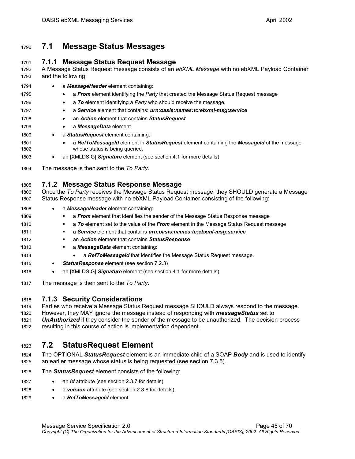# <span id="page-44-0"></span><sup>1790</sup>**7.1 Message Status Messages**

## <sup>1791</sup>**7.1.1 Message Status Request Message**

1792 A Message Status Request message consists of an *ebXML Message* with no ebXML Payload Container 1793 and the following:

- 1794 a *MessageHeader* element containing: 1795 • a *From* element identifying the *Party* that created the Message Status Request message 1796 • a *To* element identifying a *Party* who should receive the message. 1797 • a *Service* element that contains: *urn:oasis:names:tc:ebxml-msg:service*  1798 • an *Action* element that contains *StatusRequest* 1799 • a *MessageData* element 1800 • a *StatusRequest* element containing: 1801 • a *RefToMessageId* element in *StatusRequest* element containing the *MessageId* of the message 1802 whose status is being queried. 1803 • an [XMLDSIG] *Signature* element (see section [4.1](#page-23-0) for more details)
- 1804 The message is then sent to the *To Party*.

## <sup>1805</sup>**7.1.2 Message Status Response Message**

1806 Once the *To Party* receives the Message Status Request message, they SHOULD generate a Message 1807 Status Response message with no ebXML Payload Container consisting of the following:

- 1808 a *MessageHeader* element containing: 1809 **a** *From* element that identifies the sender of the Message Status Response message 1810 **a** *To* element set to the value of the *From* element in the Message Status Request message 1811 a *Service* element that contains *urn:oasis:names:tc:ebxml-msg:service*  1812 an *Action* element that contains *StatusResponse* 1813 **a** *MessageData* element containing: 1814 • a *RefToMessageId* that identifies the Message Status Request message. 1815 • *StatusResponse* element (see section [7.2.3\)](#page-45-0) 1816 • an [XMLDSIG] *Signature* element (see section [4.1](#page-23-0) for more details)
- 1817 The message is then sent to the *To Party*.

## <sup>1818</sup>**7.1.3 Security Considerations**

1819 Parties who receive a Message Status Request message SHOULD always respond to the message.

1820 However, they MAY ignore the message instead of responding with *messageStatus* set to

1821 *UnAuthorized* if they consider the sender of the message to be unauthorized. The decision process 1822 resulting in this course of action is implementation dependent.

# <sup>1823</sup>**7.2 StatusRequest Element**

- 1824 The OPTIONAL *StatusRequest* element is an immediate child of a SOAP *Body* and is used to identify 1825 an earlier message whose status is being requested (see section [7.3.5\)](#page-46-0).
- 1826 The *StatusRequest* element consists of the following:
- 1827 an *id* attribute (see section [2.3.7 f](#page-16-0)or details)
- 1828 a *version* attribute (see section [2.3.8 f](#page-16-0)or details)
- 1829 a *RefToMessageId* element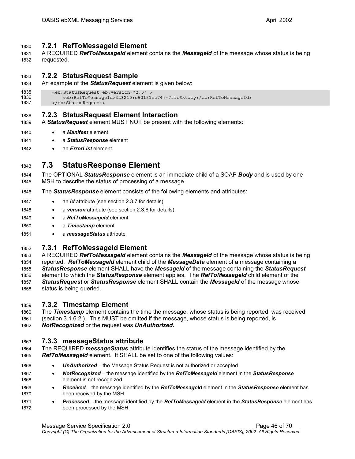### <span id="page-45-0"></span><sup>1830</sup>**7.2.1 RefToMessageId Element**

1831 A REQUIRED *RefToMessageId* element contains the *MessageId* of the message whose status is being 1832 requested.

### <sup>1833</sup>**7.2.2 StatusRequest Sample**

1834 An example of the *StatusRequest* element is given below:

```
1835 <eb:StatusRequest eb:version="2.0" > 
1836 <eb:RefToMessageId>323210:e52151ec74:-7ffc@xtacy</eb:RefToMessageId><br>1837 - </eb:StatusRequest>
            1837 </eb:StatusRequest>
```
- <sup>1838</sup>**7.2.3 StatusRequest Element Interaction**
- 1839 A *StatusRequest* element MUST NOT be present with the following elements:
- 1840 a *Manifest* element
- 1841 a *StatusResponse* element
- 1842 an *ErrorList* element

# <sup>1843</sup>**7.3 StatusResponse Element**

- 1844 The OPTIONAL *StatusResponse* element is an immediate child of a SOAP *Body* and is used by one 1845 MSH to describe the status of processing of a message.
- 1846 The *StatusResponse* element consists of the following elements and attributes:
- 1847 an *id* attribute (see section [2.3.7 f](#page-16-0)or details)
- 1848 a *version* attribute (see section [2.3.8 f](#page-16-0)or details)
- 1849 a *RefToMessageId* element
- 1850 a *Timestamp* element
- 1851 a *messageStatus* attribute

## <sup>1852</sup>**7.3.1 RefToMessageId Element**

1853 A REQUIRED *RefToMessageId* element contains the *MessageId* of the message whose status is being 1854 reported. *RefToMessageId* element child of the *MessageData* element of a message containing a 1855 *StatusResponse* element SHALL have the *MessageId* of the message containing the *StatusRequest* 1856 element to which the *StatusResponse* element applies. The *RefToMessageId* child element of the 1857 *StatusRequest* or *StatusResponse* element SHALL contain the *MessageId* of the message whose 1858 status is being queried.

### <sup>1859</sup>**7.3.2 Timestamp Element**

1860 The *Timestamp* element contains the time the message, whose status is being reported, was received 1861 (section [3.1.6.2.](#page-20-0)). This MUST be omitted if the message, whose status is being reported, is 1862 *NotRecognized* or the request was *UnAuthorized.*

### <sup>1863</sup>**7.3.3 messageStatus attribute**

- 1864 The REQUIRED *messageStatus* attribute identifies the status of the message identified by the 1865 *RefToMessageId* element. It SHALL be set to one of the following values:
- 1866 *UnAuthorized*  the Message Status Request is not authorized or accepted
- 1867 *NotRecognized*  the message identified by the *RefToMessageId* element in the *StatusResponse*  1868 element is not recognized
- 1869 *Received*  the message identified by the *RefToMessageId* element in the *StatusResponse* element has 1870 been received by the MSH
- 1871 *Processed*  the message identified by the *RefToMessageId* element in the *StatusResponse* element has 1872 been processed by the MSH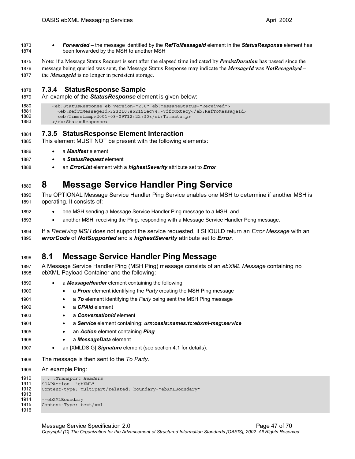- <span id="page-46-0"></span>• *Forwarded* – the message identified by the *RefToMessageId* element in the *StatusResponse* element has 1874 been forwarded by the MSH to another MSH
- Note: if a Message Status Request is sent after the elapsed time indicated by *PersistDuration* has passed since the message being queried was sent, the Message Status Response may indicate the *MessageId* was *NotRecognized* –
- 1877 the *MessageId* is no longer in persistent storage.

## **7.3.4 StatusResponse Sample**

1879 An example of the *StatusResponse* element is given below:

```
1880 <eb:StatusResponse eb:version="2.0" eb:messageStatus="Received"> 
1881 <eb:RefToMessageId>323210:e52151ec74:-7ffc@xtacy</eb:RefToMessageId> 
            1882 <eb:Timestamp>2001-03-09T12:22:30</eb:Timestamp> 
1883 </eb:StatusResponse>
```
## **7.3.5 StatusResponse Element Interaction**

- 1885 This element MUST NOT be present with the following elements:
- a *Manifest* element
- a *StatusRequest* element
- an *ErrorList* element with a *highestSeverity* attribute set to *Error*

# **8 Message Service Handler Ping Service**

- 1890 The OPTIONAL Message Service Handler Ping Service enables one MSH to determine if another MSH is 1891 operating. It consists of:
- one MSH sending a Message Service Handler Ping message to a MSH, and
- another MSH, receiving the Ping, responding with a Message Service Handler Pong message.

1894 If a *Receiving MSH* does not support the service requested, it SHOULD return an *Error Message* with an *errorCode* of *NotSupported* and a *highestSeverity* attribute set to *Error*.

# **8.1 Message Service Handler Ping Message**

1897 A Message Service Handler Ping (MSH Ping) message consists of an *ebXML Message* containing no 1898 ebXML Payload Container and the following:

• a *MessageHeader* element containing the following: • a *From* element identifying the *Party* creating the MSH Ping message • a *To* element identifying the *Party* being sent the MSH Ping message • a *CPAId* element • a *ConversationId* element • a *Service* element containing: *urn:oasis:names:tc:ebxml-msg:service*  • an *Action* element containing *Ping* • a *MessageData* element 1907 • an [XMLDSIG] **Signature** element (see section [4.1](#page-23-0) for details). 1908 The message is then sent to the *To Party*. 1909 An example Ping: . . .*Transport Headers*  SOAPAction: "ebXML"

```
1912 Content-type: multipart/related; boundary="ebXMLBoundary" 
1913 
1914 --ebXMLBoundary 
1915 Content-Type: text/xml 
1916
```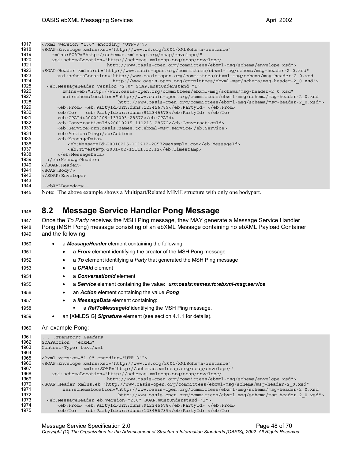```
1917 <?xml version="1.0" encoding="UTF-8"?> 
        1918 <SOAP:Envelope xmlns:xsi="http://www.w3.org/2001/XMLSchema-instance" 
1919 xmlns:SOAP="http://schemas.xmlsoap.org/soap/envelope/" 
            1920 xsi:schemaLocation="http://schemas.xmlsoap.org/soap/envelope/ 
1921 http://www.oasis-open.org/committees/ebxml-msg/schema/envelope.xsd"> 
1922 <SOAP:Header xmlns:eb="http://www.oasis-open.org/committees/ebxml-msg/schema/msg-header-2_0.xsd" 
1923 xsi:schemaLocation="http://www.oasis-open.org/committees/ebxml-msg/schema/msg-header-2_0.xsd 
1924 http://www.oasis-open.org/committees/ebxml-msg/schema/msg-header-2_0.xsd"> 
1925 <eb:MessageHeader version="2.0" SOAP:mustUnderstand="1" 
1926 xmlns=eb:"http://www.oasis-open.org/committees/ebxml-msg/schema/msg-header-2_0.xsd"<br>1927 xsi:schemaLocation="http://www.oasis-open.org/committees/ebxml-msg/schema/msg-heade
               1927 xsi:schemaLocation="http://www.oasis-open.org/committees/ebxml-msg/schema/msg-header-2_0.xsd 
1928 http://www.oasis-open.org/committees/ebxml-msg/schema/msg-header-2_0.xsd"> 
1929 <eb:From> <eb:PartyId>urn:duns:123456789</eb:PartyId> </eb:From> 
1930 \leftarrow eb:To> \leftarrow eb:PartyId>urn:duns:912345678</eb:PartyId> </eb:To><br>1931 \leftarrow eb:CPAId>20001209-133003-28572</eb:CPAId>
1931 <eb:CPAId>20001209-133003-28572</eb:CPAId><br>1932 <eb:ConversationId>20010215-111213-28572</
              \leqeb:ConversationId>20010215-111213-28572\leq/eb:ConversationId>
1933 <eb:Service>urn:oasis:names:tc:ebxml-msg:service</eb:Service> 
1934 <eb:Action>Ping</eb:Action>
1935 <eb:MessageData>
1936 <eb:MessageId>20010215-111212-28572@example.com</eb:MessageId> 
1937 <eb:Timestamp>2001-02-15T11:12:12</eb:Timestamp> 
1938 </eb:MessageData><br>1939 </eb:MessageHeader>
1939 </eb:MessageHeader><br>1940 </sOAP:Header>
1940 </SOAP:Header><br>1941 <SOAP:Body/>
       <SOAP:Body/>
1942 </SOAP:Envelope> 
1943 
1944 --ebXMLBoundary––
```
Note: The above example shows a Multipart/Related MIME structure with only one bodypart.

# **8.2 Message Service Handler Pong Message**

1947 Once the *To Party* receives the MSH Ping message, they MAY generate a Message Service Handler 1948 Pong (MSH Pong) message consisting of an ebXML Message containing no ebXML Payload Container 1949 and the following:

| 1950         | a MessageHeader element containing the following:                                                                                                   |
|--------------|-----------------------------------------------------------------------------------------------------------------------------------------------------|
| 1951         | a From element identifying the creator of the MSH Pong message<br>$\bullet$                                                                         |
| 1952         | a To element identifying a Party that generated the MSH Ping message<br>$\bullet$                                                                   |
| 1953         | a CPAId element<br>$\bullet$                                                                                                                        |
| 1954         | a ConversationId element<br>$\bullet$                                                                                                               |
| 1955         | a Service element containing the value: urn:oasis:names:tc:ebxml-msg:service<br>$\bullet$                                                           |
| 1956         | an Action element containing the value Pong<br>$\bullet$                                                                                            |
| 1957         | a MessageData element containing:<br>$\bullet$                                                                                                      |
| 1958         | a RefToMessageId identifying the MSH Ping message.                                                                                                  |
| 1959         | an [XMLDSIG] Signature element (see section 4.1.1 for details).                                                                                     |
| 1960         | An example Pong:                                                                                                                                    |
| 1961         | .Transport Headers                                                                                                                                  |
| 1962<br>1963 | SOAPAction: "ebXML"<br>Content-Type: text/xml                                                                                                       |
| 1964         |                                                                                                                                                     |
| 1965         | xml version="1.0" encoding="UTF-8"?                                                                                                                 |
| 1966         | <soap:envelope <="" td="" xmlns:xsi="http://www.w3.org/2001/XMLSchema-instance"></soap:envelope>                                                    |
| 1967         | xmlns:SOAP="http://schemas.xmlsoap.org/soap/envelope/"                                                                                              |
| 1968<br>1969 | xsi:schemaLocation="http://schemas.xmlsoap.org/soap/envelope/<br>http://www.oasis-open.org/committees/ebxml-msq/schema/envelope.xsd">               |
| 1970         | <soap:header <="" td="" xmlns:eb="http://www.oasis-open.org/committees/ebxml-msg/schema/msg-header-2 0.xsd"></soap:header>                          |
| 1971         | xsi:schemaLocation="http://www.oasis-open.org/committees/ebxml-msq/schema/msq-header-2 0.xsd                                                        |
| 1972         | http://www.oasis-open.org/committees/ebxml-msq/schema/msq-header-2 0.xsd">                                                                          |
| 1973<br>1974 | <eb:messaqeheader eb:version="2.0" soap:mustunderstand="1"><br/><eb:from> <eb:partyid>urn:duns:912345678</eb:partyid> </eb:from></eb:messaqeheader> |
| 1975         | <eb:partyid>urn:duns:123456789</eb:partyid><br>$<$ e $b$ : To $>$                                                                                   |
|              |                                                                                                                                                     |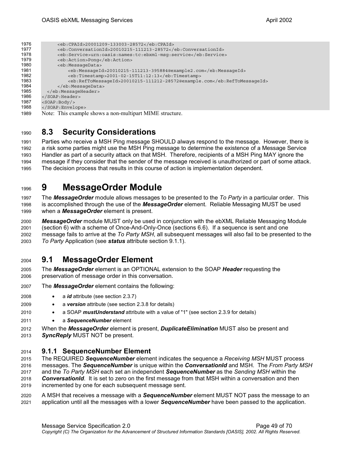<span id="page-48-0"></span>

| 1976 | <eb:cpaid>20001209-133003-28572</eb:cpaid>                               |
|------|--------------------------------------------------------------------------|
| 1977 | <eb:conversationid>20010215-111213-28572</eb:conversationid>             |
| 1978 | <eb:service>urn:oasis:names:tc:ebxml-msq:service</eb:service>            |
| 1979 | <eb:action>Pong</eb:action>                                              |
| 1980 | <eb:messagedata></eb:messagedata>                                        |
| 1981 | <eb:messaqeid>20010215-111213-395884@example2.com</eb:messaqeid>         |
| 1982 | <eb:timestamp>2001-02-15T11:12:13</eb:timestamp>                         |
| 1983 | <eb:reftomessaqeid>20010215-111212-28572@example.com</eb:reftomessaqeid> |
| 1984 |                                                                          |
| 1985 |                                                                          |
| 1986 | $<$ /SOAP:Header>                                                        |
| 1987 | $<$ SOAP: Body/>                                                         |
| 1988 |                                                                          |
|      |                                                                          |

1989 Note: This example shows a non-multipart MIME structure.

# <sup>1990</sup>**8.3 Security Considerations**

1991 Parties who receive a MSH Ping message SHOULD always respond to the message. However, there is 1992 a risk some parties might use the MSH Ping message to determine the existence of a Message Service 1993 Handler as part of a security attack on that MSH. Therefore, recipients of a MSH Ping MAY ignore the 1994 message if they consider that the sender of the message received is unauthorized or part of some attack. 1995 The decision process that results in this course of action is implementation dependent.

# <sup>1996</sup>**9 MessageOrder Module**

1997 The *MessageOrder* module allows messages to be presented to the *To Party* in a particular order. This 1998 is accomplished through the use of the *MessageOrder* element. Reliable Messaging MUST be used 1999 when a *MessageOrder* element is present.

2000 *MessageOrder* module MUST only be used in conjunction with the ebXML Reliable Messaging Module 2001 (section [6\)](#page-34-0) with a scheme of Once-And-Only-Once (sections [6.6\)](#page-43-0). If a sequence is sent and one 2002 message fails to arrive at the *To Party MSH*, all subsequent messages will also fail to be presented to the 2003 *To Party* Application (see *status* attribute section 9.1.1).

# <sup>2004</sup>**9.1 MessageOrder Element**

2005 The *MessageOrder* element is an OPTIONAL extension to the SOAP *Header* requesting the 2006 preservation of message order in this conversation.

- 2007 The *MessageOrder* element contains the following:
- 2008 a *id* attribute (see section [2.3.7\)](#page-16-0)
- 2009 a *version* attribute (see section [2.3.8 f](#page-16-0)or details)
- 2010 a SOAP *mustUnderstand* attribute with a value of "1" (see section [2.3.9 f](#page-17-0)or details)
- 2011 a *SequenceNumber* element
- 2012 When the *MessageOrder* element is present, *DuplicateElimination* MUST also be present and 2013 *SyncReply* MUST NOT be present.

## <sup>2014</sup>**9.1.1 SequenceNumber Element**

2015 The REQUIRED *SequenceNumber* element indicates the sequence a *Receiving MSH* MUST process 2016 messages. The *SequenceNumber* is unique within the *ConversationId* and MSH. The *From Party MSH* 2017 and the *To Party MSH* each set an independent *SequenceNumber* as the *Sending MSH* within the 2018 *ConversationId*. It is set to zero on the first message from that MSH within a conversation and then 2019 incremented by one for each subsequent message sent.

2020 A MSH that receives a message with a *SequenceNumber* element MUST NOT pass the message to an 2021 application until all the messages with a lower *SequenceNumber* have been passed to the application.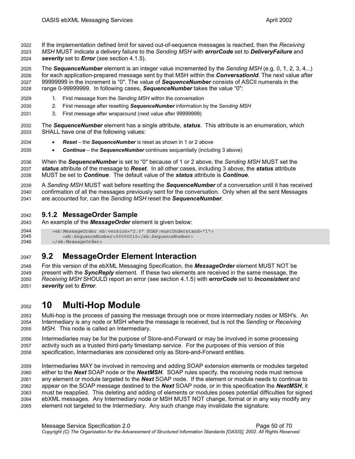<span id="page-49-0"></span>2022 If the implementation defined limit for saved out-of-sequence messages is reached, then the *Receiving*  2023 *MSH* MUST indicate a delivery failure to the *Sending MSH* with *errorCode* set to *DeliveryFailure* and 2024 *severity* set to *Error* (see section [4.1.5\)](#page-28-0).

2025 The *SequenceNumber* element is an integer value incremented by the *Sending MSH* (e.g. 0, 1, 2, 3, 4...) 2026 for each application-prepared message sent by that MSH within the *ConversationId*. The next value after 2027 99999999 in the increment is "0". The value of *SequenceNumber* consists of ASCII numerals in the 2028 range 0-99999999. In following cases, *SequenceNumber* takes the value "0":

- 2029 1. First message from the *Sending MSH* within the conversation
- 2030 2. First message after resetting *SequenceNumber* information by the *Sending MSH*
- 2031 3. First message after wraparound (next value after 99999999)
- 2032 The *SequenceNumber* element has a single attribute, *status*. This attribute is an enumeration, which 2033 SHALL have one of the following values:
- 2034 *Reset* the *SequenceNumber* is reset as shown in 1 or 2 above
- 2035 *Continue* the *SequenceNumber* continues sequentially (including 3 above)

2036 When the *SequenceNumber* is set to "0" because of 1 or 2 above, the *Sending MSH* MUST set the 2037 *status* attribute of the message to *Reset*. In all other cases, including 3 above, the *status* attribute 2038 MUST be set to *Continue*. The default value of the *status* attribute is *Continue*.

2039 A *Sending MSH* MUST wait before resetting the *SequenceNumber* of a conversation until it has received 2040 confirmation of all the messages previously sent for the conversation. Only when all the sent Messages 2041 are accounted for, can the *Sending MSH* reset the *SequenceNumber*.

## <sup>2042</sup>**9.1.2 MessageOrder Sample**

2043 An example of the *MessageOrder* element is given below:

```
2044 <eb:MessageOrder eb:version="2.0" SOAP:mustUnderstand="1"> 
2045 <eb:SequenceNumber>00000010</eb:SequenceNumber> 
2046 </eb:MessageOrder>
```
# <sup>2047</sup>**9.2 MessageOrder Element Interaction**

2048 For this version of the ebXML Messaging Specification, the *MessageOrder* element MUST NOT be 2049 present with the *SyncReply* element. If these two elements are received in the same message, the 2050 *Receiving MSH* SHOULD report an error (see section [4.1.5\)](#page-28-0) with *errorCode* set to *Inconsistent* and 2051 *severity* set to *Error*.

# <sup>2052</sup>**10 Multi-Hop Module**

2053 Multi-hop is the process of passing the message through one or more intermediary nodes or MSH's. An 2054 Intermediary is any node or MSH where the message is received, but is not the *Sending* or *Receiving* 2055 *MSH*. This node is called an Intermediary.

2056 Intermediaries may be for the purpose of Store-and-Forward or may be involved in some processing 2057 activity such as a trusted third-party timestamp service. For the purposes of this version of this 2058 specification, Intermediaries are considered only as Store-and-Forward entities.

2059 Intermediaries MAY be involved in removing and adding SOAP extension elements or modules targeted 2060 either to the *Next* SOAP node or the *NextMSH*. SOAP rules specify, the receiving node must remove 2061 any element or module targeted to the *Next* SOAP node. If the element or module needs to continue to 2062 appear on the SOAP message destined to the *Next* SOAP node, or in this specification the *NextMSH*, it 2063 must be reapplied. This deleting and adding of elements or modules poses potential difficulties for signed 2064 ebXML messages. Any Intermediary node or MSH MUST NOT change, format or in any way modify any 2065 element not targeted to the Intermediary. Any such change may invalidate the signature.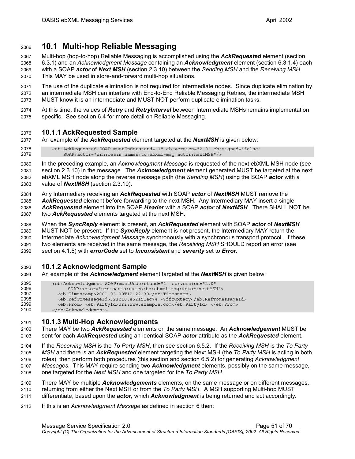# <span id="page-50-0"></span><sup>2066</sup>**10.1 Multi-hop Reliable Messaging**

2067 Multi-hop (hop-to-hop) Reliable Messaging is accomplished using the *AckRequested* element (section 2068 [6.3.1\)](#page-35-0) and an *Acknowledgment Message* containing an *Acknowledgment* element (section [6.3.1.4\)](#page-36-0) each 2069 with a SOAP *actor* of *Next MSH* (section [2.3.10\)](#page-17-0) between the *Sending MSH* and the *Receiving MSH*. 2070 This MAY be used in store-and-forward multi-hop situations.

2071 The use of the duplicate elimination is not required for Intermediate nodes. Since duplicate elimination by 2072 an intermediate MSH can interfere with End-to-End Reliable Messaging Retries, the intermediate MSH 2073 MUST know it is an intermediate and MUST NOT perform duplicate elimination tasks.

2074 At this time, the values of *Retry* and *RetryInterval* between Intermediate MSHs remains implementation 2075 specific. See section [6.4](#page-37-0) for more detail on Reliable Messaging.

## <sup>2076</sup>**10.1.1 AckRequested Sample**

2077 An example of the *AckRequested* element targeted at the *NextMSH* is given below:

2078 <eb:AckRequested SOAP:mustUnderstand="1" eb:version="2.0" eb:signed="false" 2079 SOAP:actor="urn:oasis:names:tc:ebxml-msg:actor:nextMSH"/>

2080 In the preceding example, an *Acknowledgment Message* is requested of the next ebXML MSH node (see 2081 section [2.3.10\)](#page-17-0) in the message. The *Acknowledgment* element generated MUST be targeted at the next 2082 ebXML MSH node along the reverse message path (the *Sending MSH*) using the SOAP *actor* with a 2083 value of *NextMSH* (section [2.3.10\)](#page-17-0).

2084 Any Intermediary receiving an *AckRequested* with SOAP *actor* of *NextMSH* MUST remove the 2085 *AckRequested* element before forwarding to the next MSH. Any Intermediary MAY insert a single 2086 *AckRequested* element into the SOAP *Header* with a SOAP *actor* of *NextMSH*. There SHALL NOT be 2087 two *AckRequested* elements targeted at the next MSH.

2088 When the *SyncReply* element is present, an *AckRequested* element with SOAP *actor* of *NextMSH* 2089 MUST NOT be present. If the *SyncReply* element is not present, the Intermediary MAY return the 2090 Intermediate *Acknowledgment Message* synchronously with a synchronous transport protocol. If these 2091 two elements are received in the same message, the *Receiving MSH* SHOULD report an error (see 2092 section [4.1.5\)](#page-28-0) with *errorCode* set to *Inconsistent* and *severity* set to *Error*.

# <sup>2093</sup>**10.1.2 Acknowledgment Sample**

2094 An example of the *Acknowledgment* element targeted at the *NextMSH* is given below:

```
2095 <eb:Acknowledgment SOAP:mustUnderstand="1" eb:version="2.0" 
2096 SOAP:actor="urn:oasis:names:tc:ebxml-msg:actor:nextMSH"> 
2097 <eb:Timestamp>2001-03-09T12:22:30</eb:Timestamp> 
2098 <eb:RefToMessageId>323210:e52151ec74:-7ffc@xtacy</eb:RefToMessageId> 
2099 <eb:From> <eb:PartyId>uri:www.example.com</eb:PartyId> </eb:From> 
2100 </eb:Acknowledgment>
```
## <sup>2101</sup>**10.1.3 Multi-Hop Acknowledgments**

2102 There MAY be two *AckRequested* elements on the same message. An *Acknowledgement* MUST be 2103 sent for each *AckRequested* using an identical SOAP *actor* attribute as the *AckRequested* element.

2104 If the *Receiving MSH* is the *To Party MSH*, then see section [6.5.2.](#page-39-0) If the *Receiving MSH* is the *To Party*  2105 *MSH* and there is an *AckRequested* element targeting the Next MSH (the *To Party MSH* is acting in both 2106 roles), then perform both procedures (this section and section [6.5.2\)](#page-39-0) for generating *Acknowledgment*  2107 *Messages*. This MAY require sending two *Acknowledgment* elements, possibly on the same message, 2108 one targeted for the *Next MSH* and one targeted for the *To Party MSH*.

2109 There MAY be multiple *Acknowledgements* elements, on the same message or on different messages, 2110 returning from either the Next MSH or from the *To Party MSH*. A MSH supporting Multi-hop MUST

- 2111 differentiate, based upon the *actor*, which *Acknowledgment* is being returned and act accordingly.
- 2112 If this is an *Acknowledgment Message* as defined in section [6](#page-34-0) then: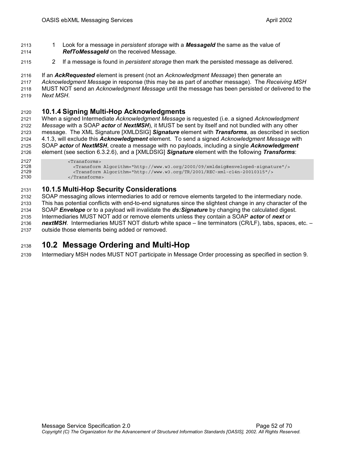- <span id="page-51-0"></span>2113 1 Look for a message in *persistent storage* with a *MessageId* the same as the value of 2114 *RefToMessageId* on the received Message.
- 2115 2 If a message is found in *persistent storage* then mark the persisted message as delivered.

2116 If an *AckRequested* element is present (not an *Acknowledgment Message*) then generate an 2117 *Acknowledgment Message* in response (this may be as part of another message). The *Receiving MSH* 2118 MUST NOT send an *Acknowledgment Message* until the message has been persisted or delivered to the 2119 *Next MSH*.

### <sup>2120</sup>**10.1.4 Signing Multi-Hop Acknowledgments**

2121 When a signed Intermediate *Acknowledgment Message* is requested (i.e. a signed *Acknowledgment* 2122 *Message* with a SOAP *actor* of *NextMSH*), it MUST be sent by itself and not bundled with any other 2123 message. The XML Signature [XMLDSIG] *Signature* element with *Transforms*, as described in section 2124 [4.1.3,](#page-24-0) will exclude this *Acknowledgment* element. To send a signed *Acknowledgment Message* with 2125 SOAP *actor* of *NextMSH*, create a message with no payloads, including a single *Acknowledgment* 2126 element (see section [6.3.2.6\)](#page-37-0), and a [XMLDSIG] *Signature* element with the following *Transforms*:

| 2127 | <transforms></transforms>                                                                 |
|------|-------------------------------------------------------------------------------------------|
| 2128 | <transform algorithm="http://www.w3.org/2000/09/xmldsig#enveloped-signature"></transform> |
| 2129 | <transform algorithm="http://www.w3.org/TR/2001/REC-xml-c14n-20010315"></transform>       |
| 2130 |                                                                                           |

### <sup>2131</sup>**10.1.5 Multi-Hop Security Considerations**

2132 SOAP messaging allows intermediaries to add or remove elements targeted to the intermediary node. 2133 This has potential conflicts with end-to-end signatures since the slightest change in any character of the 2134 SOAP *Envelope* or to a payload will invalidate the *ds:Signature* by changing the calculated digest. 2135 Intermediaries MUST NOT add or remove elements unless they contain a SOAP *actor* of *next* or 2136 *nextMSH*. Intermediaries MUST NOT disturb white space – line terminators (CR/LF), tabs, spaces, etc. – 2137 outside those elements being added or removed.

# <sup>2138</sup>**10.2 Message Ordering and Multi-Hop**

2139 Intermediary MSH nodes MUST NOT participate in Message Order processing as specified in section [9.](#page-48-0)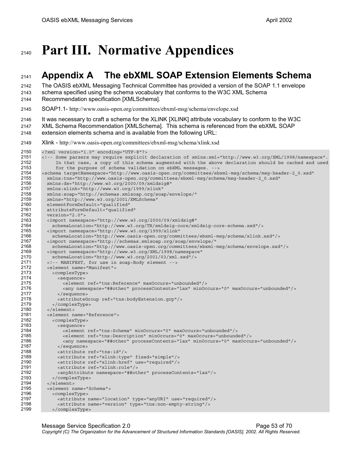# <span id="page-52-0"></span><sup>2140</sup>**Part III. Normative Appendices**

# <sup>2141</sup>**Appendix A The ebXML SOAP Extension Elements Schema**

2142 The OASIS ebXML Messaging Technical Committee has provided a version of the SOAP 1.1 envelope 2143 schema specified using the schema vocabulary that conforms to the W3C XML Schema 2144 Recommendation specification [XMLSchema].

- 2145 SOAP1.1- http://www.oasis-open.org/committees/ebxml-msg/schema/envelope.xsd
- 2146 It was necessary to craft a schema for the XLINK [XLINK] attribute vocabulary to conform to the W3C 2147 XML Schema Recommendation [XMLSchema]. This schema is referenced from the ebXML SOAP 2148 extension elements schema and is available from the following URL:
- 2149 Xlink http://www.oasis-open.org/committees/ebxml-msg/schema/xlink.xsd

```
2150 <?xml version="1.0" encoding="UTF-8"?> 
2151 <!-- Some parsers may require explicit declaration of xmlns:xml="http://www.w3.org/XML/1998/namespace". 
              In that case, a copy of this schema augmented with the above declaration should be cached and used
2153 for the purpose of schema validation on ebXML messages. --> 
2154 <schema targetNamespace="http://www.oasis-open.org/committees/ebxml-msg/schema/msg-header-2_0.xsd" 
2155 xmlns:tns="http://www.oasis-open.org/committees/ebxml-msg/schema/msg-header-2_0.xsd"<br>2156 xmlns:ds="http://www.w3.org/2000/09/xmldsig#"
          2156 xmlns:ds="http://www.w3.org/2000/09/xmldsig#" 
2157 xmlns:xlink="http://www.w3.org/1999/xlink" 
2158 xmlns:soap="http://schemas.xmlsoap.org/soap/envelope/"<br>2159 xmlns="http://www.w3.org/2001/XMLSchema"
          2159 xmlns="http://www.w3.org/2001/XMLSchema" 
2160 elementFormDefault="qualified"<br>2161 attributeFormDefault="qualifie
          2161 attributeFormDefault="qualified" 
2162 version="2.0"><br>2163 <import namesp
2163 <import namespace="http://www.w3.org/2000/09/xmldsig#"<br>2164 schemaLocation="http://www.w3.org/TR/xmldsig-core/xm
            2164 schemaLocation="http://www.w3.org/TR/xmldsig-core/xmldsig-core-schema.xsd"/> 
2165 <import namespace="http://www.w3.org/1999/xlink" 
2166 schemaLocation="http://www.oasis-open.org/committees/ebxml-msg/schema/xlink.xsd"/> 
2167 <import namespace="http://schemas.xmlsoap.org/soap/envelope/" 
2168 schemaLocation="http://www.oasis-open.org/committees/ebxml-msg/schema/envelope.xsd"/> 
2169 <import namespace="http://www.w3.org/XML/1998/namespace"<br>2170 schemaLocation="http://www.w3.org/2001/03/xml.xsd"/>
            schemaLocation="http://www.w3.org/2001/03/xml.xsd"/>
2171 <!-- MANIFEST, for use in soap:Body element --><br>2172 <element name="Manifest">
2172 <element name="Manifest"><br>2173 <complexType>
            <complexType>
2174 <sequence> 
2175 <element ref="tns:Reference" maxOccurs="unbounded"/> 
                 2176 <any namespace="##other" processContents="lax" minOccurs="0" maxOccurs="unbounded"/> 
2177 </sequence>
2178 <attributeGroup ref="tns:bodyExtension.grp"/> 
2179 </complexType> 
2180 </element>
2181 <element name="Reference"> 
2182 <complexType> 
2183 <sequence><br>2184 <element
                2184 <element ref="tns:Schema" minOccurs="0" maxOccurs="unbounded"/> 
2185 <element ref="tns:Description" minOccurs="0" maxOccurs="unbounded"/> 
2186 <any namespace="##other" processContents="lax" minOccurs="0" maxOccurs="unbounded"/><br>2187 </sequence>
               </sequence>
2188 <attribute ref="tns:id"/><br>2189 <attribute ref="xlink:type
              <attribute ref="xlink:type" fixed="simple"/>
2190 <attribute ref="xlink:href" use="required"/> 
2191 <attribute ref="xlink:role"/> 
2192 <anyAttribute namespace="##other" processContents="lax"/> 
2193 </complexType> 
2194 </element><br>2195 <element n
2195 <element name="Schema"><br>2196 <complexType>
            <complexType>
2197 - attribute name="location" type="anyURI" use="required"/><br>2198 - attribute name="version" type="tns:non-empty-string"/>
               <attribute name="version" type="tns:non-empty-string"/>
2199 </complexType>
```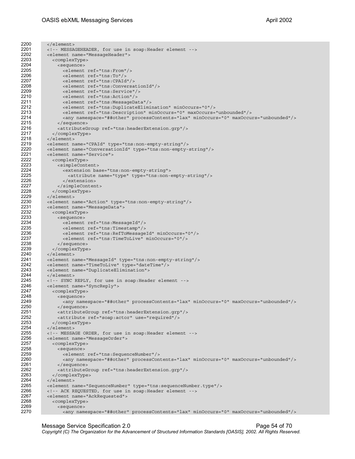```
2200 </element><br>2201 < element>
           2201 <!-- MESSAGEHEADER, for use in soap:Header element --> 
2202 <element name="MessageHeader"><br>2203 <complexType>
            2203 <complexType> 
2204 <sequence> 
2205 <element ref="tns:From"/> 
2206 <element ref="tns:To"/>
2207 <element ref="tns:CPAId"/><br>2208 <element ref="tns:Conversa
                 2208 <element ref="tns:ConversationId"/> 
2209 <element ref="tns:Service"/><br>2210 <element ref="tns:Action"/>
2210 <element ref="tns:Action"/><br>2211 <element ref="tns:MessaqeDa
2211 <element ref="tns:MessageData"/><br>2212 <element ref="tns:DuplicateElimi
2212 <element ref="tns:DuplicateElimination" minOccurs="0"/> 
2213 <element ref="tns:Description" minOccurs="0" maxOccurs="unbounded"/> 
2214 <any namespace="##other" processContents="lax" minOccurs="0" maxOccurs="unbounded"/><br>2215 </sequence>
               </sequence>
2216 <attributeGroup ref="tns:headerExtension.grp"/><br>2217 </complexType>
             </complexType>
2218 </element>
2219 <element name="CPAId" type="tns:non-empty-string"/> 
2220 <element name="ConversationId" type="tns:non-empty-string"/><br>2221 <element name="Service">
2221 <element name="Service"><br>2222 <complexType>
2222 <complexType><br>2223 > <simpleCont
2223 <simpleContent><br>2224 <simpleContent>
2224 <extension base="tns:non-empty-string"><br>2225 <attribute name="type" type="tns:non-
2225 <attribute name="type" type="tns:non-empty-string"/><br>2226 </extension>
2226 </extension><br>2227 </simpleConten
2227 </simpleContent><br>2228 </complexType>
            </complexType>
2229 </element>
2230 <element name="Action" type="tns:non-empty-string"/><br>2231 <element name="MessageData">
           <element name="MessageData">
2232 <complexType> 
2233 <sequence><br>2234 <sequence>
2234 <element ref="tns:MessageId"/><br>2235 <element ref="tns:Timestamp"/>
2235 <element ref="tns:Timestamp"/> 
2236 <element ref="tns:RefToMessageId" minOccurs="0"/><br>2237 <element ref="tns:TimeToLive" minOccurs="0"/>
2237 <element ref="tns:TimeToLive" minOccurs="0"/><br>2238 </sequence>
2238 </sequence><br>2239 </complexType
2239 </complexType><br>2240 </element>
           </element>
2241 <element name="MessageId" type="tns:non-empty-string"/> 
2242 <element name="TimeToLive" type="dateTime"/> 
2243 <element name="DuplicateElimination"> 
2244 </element>
2245 <!-- SYNC REPLY, for use in soap:Header element --> 
2246 <element name="SyncReply"><br>2247 <complexType>
            2247 <complexType> 
2248 <sequence><br>2249 <sequence>
2249 <any namespace="##other" processContents="lax" minOccurs="0" maxOccurs="unbounded"/><br>2250 </sequence>
2250 </sequence><br>2251 <attributeG
2251 <attributeGroup ref="tns:headerExtension.grp"/><br>2252 <attribute ref="soap:actor" use="required"/>
               <attribute ref="soap:actor" use="required"/>
2253 </complexType><br>2254 </element>
           </element>
2255 <!-- MESSAGE ORDER, for use in soap:Header element --> 
2256 <element name="MessageOrder"><br>2257 <complexType>
2257 <complexType><br>2258 <sequence>
2258 <sequence> 
2259 <element ref="tns:SequenceNumber"/> 
2260 <any namespace="##other" processContents="lax" minOccurs="0" maxOccurs="unbounded"/><br>2261 </sequence>
               </sequence>
2262 <attributeGroup ref="tns:headerExtension.grp"/> 
2263 </complexType> 
2264 </element>
2265 <element name="SequenceNumber" type="tns:sequenceNumber.type"/> 
2266 <!-- ACK REQUESTED, for use in soap:Header element --> 
2267 <element name="AckRequested"><br>2268 <complexType>
             <complexType>
2269 <sequence><br>2270 <sequence>
                 2270 <any namespace="##other" processContents="lax" minOccurs="0" maxOccurs="unbounded"/>
```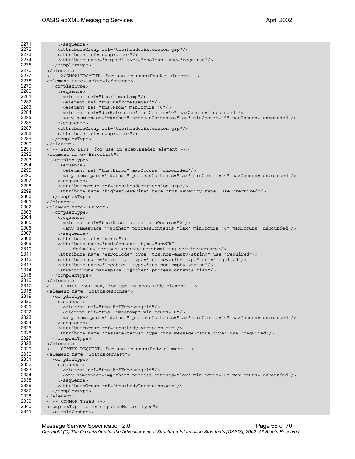```
2271 </sequence><br>2272 <attribute
              2272 <attributeGroup ref="tns:headerExtension.grp"/> 
2273 <attribute ref="soap:actor"/> 
              2274 <attribute name="signed" type="boolean" use="required"/> 
2275 </complexType> 
2276 </element>
2277 <!-- ACKNOWLEDGMENT, for use in soap:Header element --> 
2278 <element name="Acknowledgment"><br>2279 <complexTvpe>
            <complexType>
2280 <sequence> 
2281 <element ref="tns:Timestamp"/><br>2282 <element ref="tns:RefToMessage
2282 <element ref="tns:RefToMessageId"/> 
               2283 <element ref="tns:From" minOccurs="0"/> 
2284 <element ref="ds:Reference" minOccurs="0" maxOccurs="unbounded"/> 
2285 <any namespace="##other" processContents="lax" minOccurs="0" maxOccurs="unbounded"/><br>2286 </sequence>
              </sequence>
2287 <attributeGroup ref="tns:headerExtension.grp"/><br>2288 <attribute ref="soap:actor"/>
              <attribute ref="soap:actor"/>
2289 </complexType> 
2290 </element>
2291 <!-- ERROR LIST, for use in soap: Header element --><br>2292 <element name="ErrorList">
2292 <element name="ErrorList"><br>2293 <complexType>
2293 <complexType><br>2294 <complexType>
2294 <sequence> 
2295 <element ref="tns:Error" maxOccurs="unbounded"/> 
2296 <any namespace="##other" processContents="lax" minOccurs="0" maxOccurs="unbounded"/><br>2297 </sequence>
              2297 </sequence> 
2298 <attributeGroup ref="tns:headerExtension.grp"/><br>2299 <attribute name="highestSeverity" type="tns:sev
              2299 <attribute name="highestSeverity" type="tns:severity.type" use="required"/> 
2300 </complexType> 
2301 </element><br>2302 <element na
          <element name="Error">
2303 <complexType> 
2304 <sequence><br>2305 <sequence>
2305 <element ref="tns:Description" minOccurs="0"/> 
2306 <any namespace="##other" processContents="lax" minOccurs="0" maxOccurs="unbounded"/><br>2307 </sequence>
2307 </sequence><br>2308 <attribute:
2308 <attribute ref="tns:id"/><br>2309 <attribute name="codeCont"
2309 <attribute name="codeContext" type="anyURI" 
2310 default="urn:oasis:names:tc:ebxml-msg:service:errors"/> 
              2311 <attribute name="errorCode" type="tns:non-empty-string" use="required"/> 
2312 <attribute name="severity" type="tns:severity.type" use="required"/> 
2313 <attribute name="location" type="tns:non-empty-string"/> 
2314 <anyAttribute namespace="##other" processContents="lax"/> 
2315 </complexType> 
2316 </element><br>2317 <!-- STATU
2317 <!-- STATUS RESPONSE, for use in soap:Body element --> 2318 <element name="StatusResponse">
          2318 <element name="StatusResponse"> 
2319 <complexType><br>2320 <sequence>
2320 < sequence><br>2321 < sequence>
2321 <element ref="tns:RefToMessageId"/> 
                2322 <element ref="tns:Timestamp" minOccurs="0"/> 
2323 <any namespace="##other" processContents="lax" minOccurs="0" maxOccurs="unbounded"/> 
2324 </sequence><br>2325 <attributeG:
              2325 <attributeGroup ref="tns:bodyExtension.grp"/> 
2326 <attribute name="messageStatus" type="tns:messageStatus.type" use="required"/> 
2327 </complexType><br>2328 </element>
2328 </element><br>2329 <!-- STATU
2329 <!-- STATUS REQUEST, for use in soap:Body element --> 2330 <element name="StatusRequest">
2330 <element name="StatusRequest"><br>2331 <complexType>
2331 <complexType><br>2332 <sequence>
              2332 <sequence> 
2333 <element ref="tns:RefToMessageId"/> 
2334 <any namespace="##other" processContents="lax" minOccurs="0" maxOccurs="unbounded"/> 
2335 </sequence> 
2336 <attributeGroup ref="tns:bodyExtension.grp"/> 
2337 </complexType> 
2338 </element><br>2339 <!-- COMMOI
          \langle !-- COMMON TYPES -->
2340 <complexType name="sequenceNumber.type"><br>2341 <simpleContent>
            2341 <simpleContent>
```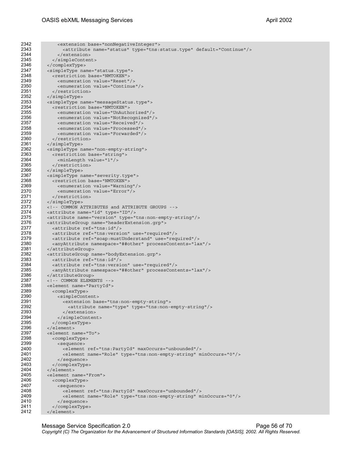```
2342 - extension base="nonNegativeInteger"><br>2343 - attribute name="status" type="tns:
                 2343 <attribute name="status" type="tns:status.type" default="Continue"/> 
2344 </extension><br>2345 </simpleConten
             2345 </simpleContent> 
2346 </complexType> 
2347 <simpleType name="status.type"> 
2348 <restriction base="NMTOKEN"> 
2349 <enumeration value="Reset"/> 
               2350 <enumeration value="Continue"/> 
2351 </restriction><br>2352 </simpleType>
2352 </simpleType><br>2353 <simpleType na
2353 <simpleType name="messageStatus.type"><br>2354 <restriction base="NMTOKEN">
2354 <restriction base="NMTOKEN"> 
2355 <enumeration value="UnAuthorized"/> 
2356 <enumeration value="NotRecognized"/><br>2357 <enumeration value="Received"/>
               2357 <enumeration value="Received"/> 
2358 <enumeration value="Processed"/> 
2359 <enumeration value="Forwarded"/> 
2360 </restriction>
2361 </simpleType> 
2362 <simpleType name="non-empty-string"><br>2363 <restriction base="string">
2363 <restriction base="string"><br>2364 <minLength value="1"/>
2364 <minLength value="1"/><br>2365 </restriction>
2365 </restriction><br>2366 </simpleType>
          </simpleType>
2367 <simpleType name="severity.type"><br>2368 <restriction base="NMTOKEN">
            <restriction base="NMTOKEN">
2369 <enumeration value="Warning"/><br>2370 <enumeration value="Error"/>
               2370 <enumeration value="Error"/> 
2371 </restriction>
2372 </simpleType> 
2373 <!-- COMMON ATTRIBUTES and ATTRIBUTE GROUPS --> 
2374 <attribute name="id" type="ID"/> 
2375 <attribute name="version" type="tns:non-empty-string"/> 
2376 <attributeGroup name="headerExtension.grp"><br>2377 <attribute ref="tns:id"/>
2377 <attribute ref="tns:id"/><br>2378 <attribute ref="tns:versic
2378 <attribute ref="tns:version" use="required"/> 
2379 <attribute ref="soap:mustUnderstand" use="required"/> 
             2380 <anyAttribute namespace="##other" processContents="lax"/> 
2381 </attributeGroup><br>2382 <attributeGroup n
          2382 <attributeGroup name="bodyExtension.grp"> 
2383 <attribute ref="tns:id"/> 
2384 <attribute ref="tns:version" use="required"/> 
2385 <anyAttribute namespace="##other" processContents="lax"/> 
2386 </attributeGroup> 
2387 <!-- COMMON ELEMENTS --><br>2388 <element name="PartyId">
2388 <element name="PartyId"><br>2389 <complexType>
            <complexType>
2390 <simpleContent> 
2391 > extension base="tns:non-empty-string"><br>2392 > estiminate name="type" type="tns:non-empty-
2392 <attribute name="type" type="tns:non-empty-string"/><br>2393 </extension>
                 2393 </extension> 
2394 </simpleContent> 
2395 </complexType><br>2396 </element>
          2396 </element> 
2397 <element name="To"> 
2398 <complexType><br>2399 <complexType>
2399 <sequence> 
2400 <element ref="tns:PartyId" maxOccurs="unbounded"/> 
2401 <element name="Role" type="tns:non-empty-string" minOccurs="0"/><br>2402 </sequence>
2402 </sequence><br>2403 </complexType
             </complexType>
2404 \times/element2405 <element name="From"> 
2406 <complexType> 
2407 <sequence> 
2408 <element ref="tns:PartyId" maxOccurs="unbounded"/> 
2409 <element name="Role" type="tns:non-empty-string" minOccurs="0"/><br>2410 </sequence>
               </sequence>
2411 </complexType><br>2412 </element>
         2412 </element>
```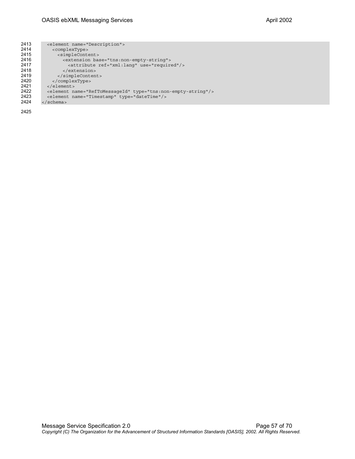| 2413 | <element name="Description"></element>                                |
|------|-----------------------------------------------------------------------|
| 2414 | <complextype></complextype>                                           |
| 2415 | <simplecontent></simplecontent>                                       |
| 2416 | <extension base="tns:non-empty-string"></extension>                   |
| 2417 | <attribute ref="xml:lang" use="required"></attribute>                 |
| 2418 |                                                                       |
| 2419 |                                                                       |
| 2420 |                                                                       |
| 2421 | $\langle$ element>                                                    |
| 2422 | <element name="RefToMessaqeId" type="tns:non-empty-string"></element> |
| 2423 | <element name="Timestamp" type="dateTime"></element>                  |
| 2424 | $\langle$ schema>                                                     |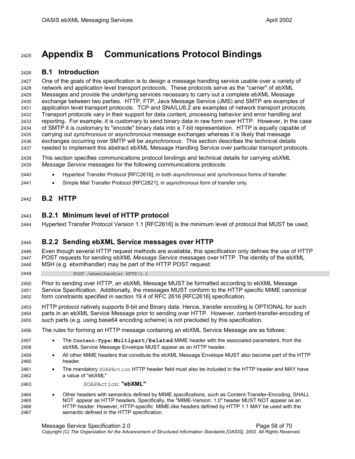# <span id="page-57-0"></span><sup>2425</sup>**Appendix B Communications Protocol Bindings**

### <sup>2426</sup>**B.1 Introduction**

2427 One of the goals of this specification is to design a message handling service usable over a variety of 2428 network and application level transport protocols. These protocols serve as the "carrier" of ebXML 2429 Messages and provide the underlying services necessary to carry out a complete ebXML Message 2430 exchange between two parties. HTTP, FTP, Java Message Service (JMS) and SMTP are examples of 2431 application level transport protocols. TCP and SNA/LU6.2 are examples of network transport protocols. 2432 Transport protocols vary in their support for data content, processing behavior and error handling and 2433 reporting. For example, it is customary to send binary data in raw form over HTTP. However, in the case 2434 of SMTP it is customary to "encode" binary data into a 7-bit representation. HTTP is equally capable of 2435 carrying out *synchronous* or *asynchronous* message exchanges whereas it is likely that message 2436 exchanges occurring over SMTP will be *asynchronous*. This section describes the technical details 2437 needed to implement this abstract ebXML Message Handling Service over particular transport protocols.

2438 This section specifies communications protocol bindings and technical details for carrying *ebXML*  2439 *Message Service* messages for the following communications protocols:

- 2440 Hypertext Transfer Protocol [RFC2616], in both *asynchronous* and *synchronous* forms of transfer.
- 2441 Simple Mail Transfer Protocol [RFC2821], in *asynchronous* form of transfer only.

## <sup>2442</sup>**B.2 HTTP**

### <sup>2443</sup>**B.2.1 Minimum level of HTTP protocol**

2444 Hypertext Transfer Protocol Version 1.1 [RFC2616] is the minimum level of protocol that MUST be used.

## <sup>2445</sup>**B.2.2 Sending ebXML Service messages over HTTP**

2446 Even though several HTTP request methods are available, this specification only defines the use of HTTP 2447 POST requests for sending *ebXML Message Service* messages over HTTP. The identity of the ebXML 2448 MSH (e.g. ebxmlhandler) may be part of the HTTP POST request:

2449 POST /ebxmlhandler HTTP/1.1

2450 Prior to sending over HTTP, an ebXML Message MUST be formatted according to ebXML Message 2451 Service Specification. Additionally, the messages MUST conform to the HTTP specific MIME canonical 2452 form constraints specified in section 19.4 of RFC 2616 [RFC2616] specification.

2453 HTTP protocol natively supports 8-bit and Binary data. Hence, transfer encoding is OPTIONAL for such 2454 parts in an ebXML Service Message prior to sending over HTTP. However, content-transfer-encoding of 2455 such parts (e.g. using base64 encoding scheme) is not precluded by this specification.

- 2456 The rules for forming an HTTP message containing an ebXML Service Message are as follows:
- 2457 The **Content-Type: Multipart/Related** MIME header with the associated parameters, from the 2458 ebXML Service Message Envelope MUST appear as an HTTP header.
- 2459 All other MIME headers that constitute the ebXML Message Envelope MUST also become part of the HTTP 2460 header.
- 2461 The mandatory SOAPAction HTTP header field must also be included in the HTTP header and MAY have 2462 a value of "ebXML"
- 2463 SOAPAction: **"ebXML"**
- 2464 Other headers with semantics defined by MIME specifications, such as Content-Transfer-Encoding, SHALL 2465 NOT appear as HTTP headers. Specifically, the "MIME-Version: 1.0" header MUST NOT appear as an 2466 HTTP header. However, HTTP-specific MIME-like headers defined by HTTP 1.1 MAY be used with the 2467 semantic defined in the HTTP specification.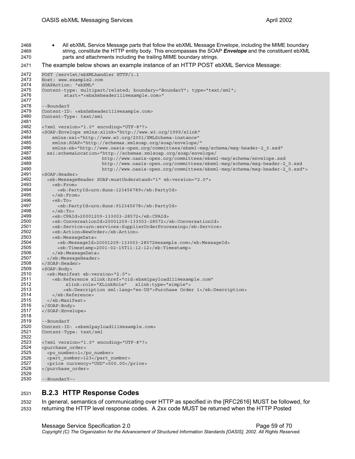<span id="page-58-0"></span>• All ebXML Service Message parts that follow the ebXML Message Envelope, including the MIME boundary 2469 string, constitute the HTTP entity body. This encompasses the SOAP *Envelope* and the constituent ebXML 2470 parts and attachments including the trailing MIME boundary strings. 2471 The example below shows an example instance of an HTTP POST ebXML Service Message: POST /servlet/ebXMLhandler HTTP/1.1 Host: www.example2.com 2474 SOAPAction: "ebXML"<br>2475 Content-type: multi 2475 Content-type: multipart/related; boundary="BoundarY"; type="text/xml";<br>2476 start="<ebxhmheader111@example.com>" start="<ebxhmheader111@example.com>" 2477<br>2478 --BoundarY Content-ID: <ebxhmheader111@example.com> Content-Type: text/xml 2481<br>2482 <?xml version="1.0" encoding="UTF-8"?> <SOAP:Envelope xmlns:xlink="http://www.w3.org/1999/xlink" xmlns:xsi="http://www.w3.org/2001/XMLSchema-instance" xmlns:SOAP="http://schemas.xmlsoap.org/soap/envelope/" xmlns:eb="http://www.oasis-open.org/committees/ebxml-msg/schema/msg-header-2\_0.xsd" xsi:schemaLocation="http://schemas.xmlsoap.org/soap/envelope/ 2488 http://www.oasis-open.org/committees/ebxml-msg/schema/envelope.xsd<br>2489 http://www.oasis-open.org/committees/ebxml-msg/schema/msg-header-2 http://www.oasis-open.org/committees/ebxml-msg/schema/msg-header-2\_0.xsd http://www.oasis-open.org/committees/ebxml-msg/schema/msg-header-2\_0.xsd"> 2491 < SOAP: Header><br>2492 < eb: Message <eb:MessageHeader SOAP:mustUnderstand="1" eb:version="2.0"> <eb:From> <eb:PartyId>urn:duns:123456789</eb:PartyId> </eb:From> <eb:To> <eb:PartyId>urn:duns:912345678</eb:PartyId> </eb:To> <eb:CPAId>20001209-133003-28572</eb:CPAId>  $\leftarrow$  eb:ConversationId>20001209-133003-28572</eb:ConversationId><br>2501  $\leftarrow$  eb:Service>urn:services:SupplierOrderProcessinq</eb:Service 2501 <eb:Service>urn:services:SupplierOrderProcessing</eb:Service><br>2502 <eb:Action>NewOrder</eb:Action> 2502 <eb:Action>NewOrder</eb:Action><br>2503 <eb:MessaqeData> 2503 <eb:MessageData><br>2504 <eb:MessageId> 2504 <eb:MessageId>20001209-133003-28572@example.com</eb:MessageId><br>2505 <eb:Timestamp>2001-02-15T11:12:12</eb:Timestamp>  $\leq$   $\leq$   $\leq$   $\leq$   $\leq$   $\leq$   $\leq$   $\leq$   $\leq$   $\leq$   $\leq$   $\leq$   $\leq$   $\leq$   $\leq$   $\leq$   $\leq$   $\leq$   $\leq$   $\leq$   $\leq$   $\leq$   $\leq$   $\leq$   $\leq$   $\leq$   $\leq$   $\leq$   $\leq$   $\leq$   $\leq$   $\leq$   $\leq$   $\leq$   $\leq$   $\leq$ </eb:MessageData> </eb:MessageHeader> </SOAP:Header> <SOAP:Body> <eb:Manifest eb:version="2.0"> <eb:Reference xlink:href="cid:ebxmlpayload111@example.com" xlink:role="XLinkRole" xlink:type="simple"> <eb:Description xml:lang="en-US">Purchase Order 1</eb:Description> 2514 </eb:Reference><br>2515 </eb:Manifest> </eb:Manifest> </SOAP:Body> </SOAP:Envelope> 2518<br>2519 --BoundarY Content-ID: <ebxmlpayload111@example.com> Content-Type: text/xml <?xml version="1.0" encoding="UTF-8"?> <purchase\_order><br> $2525$  <po\_number> $1 \leq l$ 2525 <po\_number>1</po\_number>2526 <part number>123</part n 2526 <part\_number>123</part\_number><br>2527 <price currency="USD">500.00</ <price currency="USD">500.00</price> </purchase\_order> --BoundarY––

### **B.2.3 HTTP Response Codes**

2532 In general, semantics of communicating over HTTP as specified in the [RFC2616] MUST be followed, for 2533 returning the HTTP level response codes. A 2xx code MUST be returned when the HTTP Posted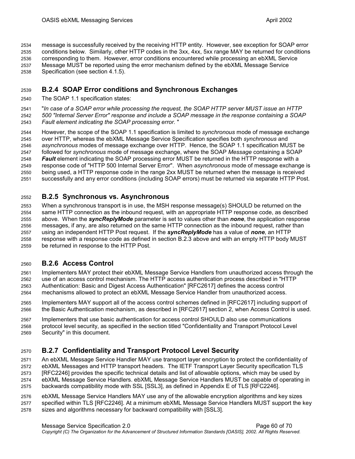<span id="page-59-0"></span>2534 message is successfully received by the receiving HTTP entity. However, see exception for SOAP error 2535 conditions below. Similarly, other HTTP codes in the 3xx, 4xx, 5xx range MAY be returned for conditions 2536 corresponding to them. However, error conditions encountered while processing an ebXML Service 2537 Message MUST be reported using the error mechanism defined by the ebXML Message Service 2538 Specification (see section [4.1.5\)](#page-28-0).

## <sup>2539</sup>**B.2.4 SOAP Error conditions and Synchronous Exchanges**

2540 The SOAP 1.1 specification states:

2541 "*In case of a SOAP error while processing the request, the SOAP HTTP server MUST issue an HTTP*  2542 *500 "Internal Server Error" response and include a SOAP message in the response containing a SOAP*  2543 *Fault element indicating the SOAP processing error.* "

2544 However, the scope of the SOAP 1.1 specification is limited to *synchronous* mode of message exchange 2545 over HTTP, whereas the ebXML Message Service Specification specifies both *synchronous* and 2546 *asynchronous* modes of message exchange over HTTP. Hence, the SOAP 1.1 specification MUST be 2547 followed for *synchronous* mode of message exchange, where the SOAP *Message* containing a SOAP 2548 *Fault* element indicating the SOAP processing error MUST be returned in the HTTP response with a 2549 response code of "HTTP 500 Internal Server Error". When *asynchronous* mode of message exchange is 2550 being used, a HTTP response code in the range 2xx MUST be returned when the message is received 2551 successfully and any error conditions (including SOAP errors) must be returned via separate HTTP Post.

## <sup>2552</sup>**B.2.5 Synchronous vs. Asynchronous**

2553 When a synchronous transport is in use, the MSH response message(s) SHOULD be returned on the 2554 same HTTP connection as the inbound request, with an appropriate HTTP response code, as described 2555 above. When the *syncReplyMode* parameter is set to values other than *none*, the application response 2556 messages, if any, are also returned on the same HTTP connection as the inbound request, rather than 2557 using an independent HTTP Post request. If the *syncReplyMode* has a value of *none*, an HTTP 2558 response with a response code as defined in section [B.2.3](#page-58-0) above and with an empty HTTP body MUST 2559 be returned in response to the HTTP Post.

## <sup>2560</sup>**B.2.6 Access Control**

2561 Implementers MAY protect their ebXML Message Service Handlers from unauthorized access through the 2562 use of an access control mechanism. The HTTP access authentication process described in "HTTP 2563 Authentication: Basic and Digest Access Authentication" [RFC2617] defines the access control 2564 mechanisms allowed to protect an ebXML Message Service Handler from unauthorized access.

2565 Implementers MAY support all of the access control schemes defined in [RFC2617] including support of 2566 the Basic Authentication mechanism, as described in [RFC2617] section 2, when Access Control is used.

2567 Implementers that use basic authentication for access control SHOULD also use communications 2568 protocol level security, as specified in the section titled "Confidentiality and Transport Protocol Level 2569 Security" in this document.

# <sup>2570</sup>**B.2.7 Confidentiality and Transport Protocol Level Security**

2571 An ebXML Message Service Handler MAY use transport layer encryption to protect the confidentiality of 2572 ebXML Messages and HTTP transport headers. The IETF Transport Layer Security specification TLS 2573 [RFC2246] provides the specific technical details and list of allowable options, which may be used by 2574 ebXML Message Service Handlers. ebXML Message Service Handlers MUST be capable of operating in 2575 backwards compatibility mode with SSL [SSL3], as defined in Appendix E of TLS [RFC2246].

2576 ebXML Message Service Handlers MAY use any of the allowable encryption algorithms and key sizes 2577 specified within TLS [RFC2246]. At a minimum ebXML Message Service Handlers MUST support the key 2578 sizes and algorithms necessary for backward compatibility with [SSL3].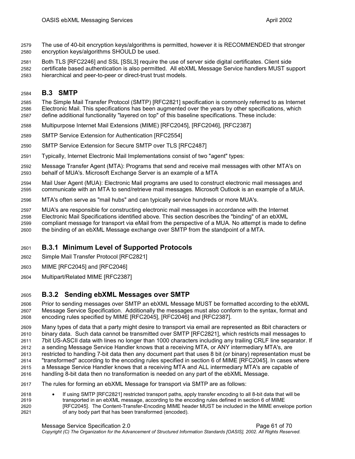- <span id="page-60-0"></span>2579 The use of 40-bit encryption keys/algorithms is permitted, however it is RECOMMENDED that stronger 2580 encryption keys/algorithms SHOULD be used.
- 2581 Both TLS [RFC2246] and SSL [SSL3] require the use of server side digital certificates. Client side
- 2582 certificate based authentication is also permitted. All ebXML Message Service handlers MUST support 2583 hierarchical and peer-to-peer or direct-trust trust models.

## <sup>2584</sup>**B.3 SMTP**

- 2585 The Simple Mail Transfer Protocol (SMTP) [RFC2821] specification is commonly referred to as Internet 2586 Electronic Mail. This specifications has been augmented over the years by other specifications, which 2587 define additional functionality "layered on top" of this baseline specifications. These include:
- 2588 Multipurpose Internet Mail Extensions (MIME) [RFC2045], [RFC2046], [RFC2387]
- 2589 SMTP Service Extension for Authentication [RFC2554]
- 2590 SMTP Service Extension for Secure SMTP over TLS [RFC2487]
- 2591 Typically, Internet Electronic Mail Implementations consist of two "agent" types:
- 2592 Message Transfer Agent (MTA): Programs that send and receive mail messages with other MTA's on 2593 behalf of MUA's. Microsoft Exchange Server is an example of a MTA
- 2594 Mail User Agent (MUA): Electronic Mail programs are used to construct electronic mail messages and 2595 communicate with an MTA to send/retrieve mail messages. Microsoft Outlook is an example of a MUA.
- 2596 MTA's often serve as "mail hubs" and can typically service hundreds or more MUA's.
- 2597 MUA's are responsible for constructing electronic mail messages in accordance with the Internet
- 2598 Electronic Mail Specifications identified above. This section describes the "binding" of an ebXML
- 2599 compliant message for transport via eMail from the perspective of a MUA. No attempt is made to define 2600 the binding of an ebXML Message exchange over SMTP from the standpoint of a MTA.

# <sup>2601</sup>**B.3.1 Minimum Level of Supported Protocols**

- 2602 Simple Mail Transfer Protocol [RFC2821]
- 2603 MIME [RFC2045] and [RFC2046]
- 2604 Multipart/Related MIME [RFC2387]

# <sup>2605</sup>**B.3.2 Sending ebXML Messages over SMTP**

- 2606 Prior to sending messages over SMTP an ebXML Message MUST be formatted according to the ebXML 2607 Message Service Specification. Additionally the messages must also conform to the syntax, format and 2608 encoding rules specified by MIME [RFC2045], [RFC2046] and [RFC2387].
- 2609 Many types of data that a party might desire to transport via email are represented as 8bit characters or 2610 binary data. Such data cannot be transmitted over SMTP [RFC2821], which restricts mail messages to 2611 7bit US-ASCII data with lines no longer than 1000 characters including any trailing CRLF line separator. If 2612 a sending Message Service Handler knows that a receiving MTA, or ANY intermediary MTA's, are 2613 restricted to handling 7-bit data then any document part that uses 8 bit (or binary) representation must be 2614 "transformed" according to the encoding rules specified in section 6 of MIME [RFC2045]. In cases where 2615 a Message Service Handler knows that a receiving MTA and ALL intermediary MTA's are capable of 2616 handling 8-bit data then no transformation is needed on any part of the ebXML Message.
- 2617 The rules for forming an ebXML Message for transport via SMTP are as follows:
- 2618 If using SMTP [RFC2821] restricted transport paths, apply transfer encoding to all 8-bit data that will be 2619 transported in an ebXML message, according to the encoding rules defined in section 6 of MIME 2620 [RFC2045]. The Content-Transfer-Encoding MIME header MUST be included in the MIME envelope portion 2621 of any body part that has been transformed (encoded).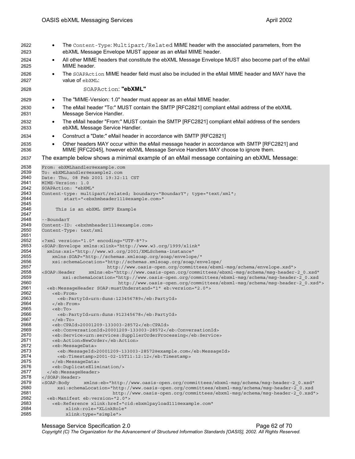• The Content-Type: Multipart/Related MIME header with the associated parameters, from the 2623 ebXML Message Envelope MUST appear as an eMail MIME header. • All other MIME headers that constitute the ebXML Message Envelope MUST also become part of the eMail 2625 MIME header. • The SOAPAction MIME header field must also be included in the eMail MIME header and MAY have the 2627 value of ebXML: SOAPAction: **"ebXML"** • The "MIME-Version: 1.0" header must appear as an eMail MIME header. • The eMail header "To:" MUST contain the SMTP [RFC2821] compliant eMail address of the ebXML 2631 Message Service Handler. • The eMail header "From:" MUST contain the SMTP [RFC2821] compliant eMail address of the senders 2633 ebXML Message Service Handler. • Construct a "Date:" eMail header in accordance with SMTP [RFC2821] • Other headers MAY occur within the eMail message header in accordance with SMTP [RFC2821] and 2636 MIME [RFC2045], however ebXML Message Service Handlers MAY choose to ignore them. 2637 The example below shows a minimal example of an eMail message containing an ebXML Message: From: ebXMLhandler@example.com 2639 To: ebXMLhandler@example2.com<br>2640 Date: Thu, 08 Feb 2001 19:32: Date: Thu, 08 Feb 2001 19:32:11 CST 2641 MIME-Version: 1.0<br>2642 SOAPAction: "ebXM SOAPAction: "ebXML" Content-type: multipart/related; boundary="BoundarY"; type="text/xml"; start="<ebxhmheader111@example.com>" This is an ebXML SMTP Example --BoundarY Content-ID: <ebxhmheader111@example.com> Content-Type: text/xml 2651<br>2652 <?xml version="1.0" encoding="UTF-8"?> 2653 <SOAP:Envelope xmlns:xlink="http://www.w3.org/1999/xlink"<br>2654 xmlns:xsi="http://www.w3.org/2001/XMLSchema-instance" xmlns:xsi="http://www.w3.org/2001/XMLSchema-instance" xmlns:SOAP="http://schemas.xmlsoap.org/soap/envelope/" xsi:schemaLocation="http://schemas.xmlsoap.org/soap/envelope/ http://www.oasis-open.org/committees/ebxml-msg/schema/envelope.xsd"> <SOAP:Header xmlns:eb="http://www.oasis-open.org/committees/ebxml-msg/schema/msg-header-2\_0.xsd" xsi:schemaLocation="http://www.oasis-open.org/committees/ebxml-msg/schema/msg-header-2\_0.xsd http://www.oasis-open.org/committees/ebxml-msg/schema/msg-header-2\_0.xsd"> <eb:MessageHeader SOAP:mustUnderstand="1" eb:version="2.0"> <eb:From> <eb:PartyId>urn:duns:123456789</eb:PartyId> 2664 </eb:From><br>2665 <eb:To> <eb:To> <eb:PartyId>urn:duns:912345678</eb:PartyId> </eb:To> <eb:CPAId>20001209-133003-28572</eb:CPAId> <eb:ConversationId>20001209-133003-28572</eb:ConversationId> <eb:Service>urn:services:SupplierOrderProcessing</eb:Service> <eb:Action>NewOrder</eb:Action> <eb:MessageData> 2673 <eb:MessageId>20001209-133003-28572@example.com</eb:MessageId><br>2674 <eb:Timestamp>2001-02-15T11:12:12</eb:Timestamp> 2674 <eb:Timestamp>2001-02-15T11:12:12</eb:Timestamp><br>2675 </eb:MessaqeData> </eb:MessageData> <eb:DuplicateElimination/> </eb:MessageHeader> </SOAP:Header> <SOAP:Body xmlns:eb="http://www.oasis-open.org/committees/ebxml-msg/schema/msg-header-2\_0.xsd" xsi:schemaLocation="http://www.oasis-open.org/committees/ebxml-msg/schema/msg-header-2\_0.xsd http://www.oasis-open.org/committees/ebxml-msg/schema/msg-header-2\_0.xsd"> <eb:Manifest eb:version="2.0"> <eb:Reference xlink:href="cid:ebxmlpayload111@example.com" 2684 xlink:role="XLinkRole"<br>2685 xlink:type="simple"> xlink:type="simple">

Message Service Specification 2.0 **Page 62 of 70** Page 62 of 70 *Copyright (C) The Organization for the Advancement of Structured Information Standards [OASIS], 2002. All Rights Reserved.*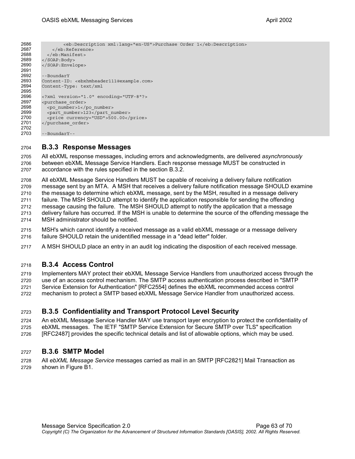```
2686 <eb:Description xml:lang="en-US">Purchase Order 1</eb:Description><br>2687 </eb:Reference>
             2687 </eb:Reference> 
2688 </eb:Manifest><br>2689 </soap:Bodys
        2689 </SOAP:Body> 
2690 </SOAP:Envelope> 
2691 
2692 --BoundarY 
2693 Content-ID: <ebxhmheader111@example.com> 
2694 Content-Type: text/xml 
2695 
2696 <?xml version="1.0" encoding="UTF-8"?> 
2697 <purchase order>
2698 <po_number>1</po_number> 
2699 <part_number>123</part_number><br>2700 <price currency="USD">500.00</
2700 <price currency="USD">500.00</price><br>2701 </purchase order>
        </purchase_order>
2702 
        --BoundarY--
```
## <sup>2704</sup>**B.3.3 Response Messages**

2705 All ebXML response messages, including errors and acknowledgments, are delivered *asynchronously* 2706 between ebXML Message Service Handlers. Each response message MUST be constructed in 2707 accordance with the rules specified in the section [B.3.2.](#page-60-0)

2708 All ebXML Message Service Handlers MUST be capable of receiving a delivery failure notification 2709 message sent by an MTA. A MSH that receives a delivery failure notification message SHOULD examine 2710 the message to determine which ebXML message, sent by the MSH, resulted in a message delivery 2711 failure. The MSH SHOULD attempt to identify the application responsible for sending the offending 2712 message causing the failure. The MSH SHOULD attempt to notify the application that a message 2713 delivery failure has occurred. If the MSH is unable to determine the source of the offending message the 2714 MSH administrator should be notified.

- 2715 MSH's which cannot identify a received message as a valid ebXML message or a message delivery 2716 failure SHOULD retain the unidentified message in a "dead letter" folder.
- 2717 A MSH SHOULD place an entry in an audit log indicating the disposition of each received message.

## <sup>2718</sup>**B.3.4 Access Control**

2719 Implementers MAY protect their ebXML Message Service Handlers from unauthorized access through the 2720 use of an access control mechanism. The SMTP access authentication process described in "SMTP 2721 Service Extension for Authentication" [RFC2554] defines the ebXML recommended access control 2722 mechanism to protect a SMTP based ebXML Message Service Handler from unauthorized access.

## <sup>2723</sup>**B.3.5 Confidentiality and Transport Protocol Level Security**

2724 An ebXML Message Service Handler MAY use transport layer encryption to protect the confidentiality of 2725 ebXML messages. The IETF "SMTP Service Extension for Secure SMTP over TLS" specification 2726 [RFC2487] provides the specific technical details and list of allowable options, which may be used.

## <sup>2727</sup>**B.3.6 SMTP Model**

2728 All *ebXML Message Service* messages carried as mail in an SMTP [RFC2821] Mail Transaction as 2729 shown in Figure B1.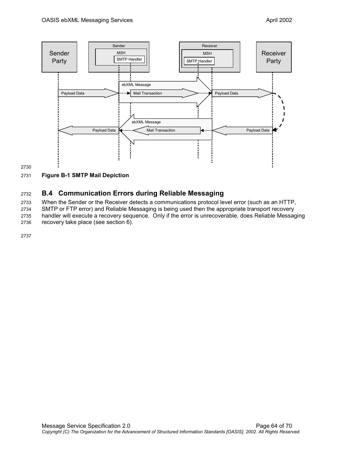<span id="page-63-0"></span>

2730

### 2731 **Figure B-1 SMTP Mail Depiction**

# <sup>2732</sup>**B.4 Communication Errors during Reliable Messaging**

2733 When the Sender or the Receiver detects a communications protocol level error (such as an HTTP, 2734 SMTP or FTP error) and Reliable Messaging is being used then the appropriate transport recovery 2735 handler will execute a recovery sequence. Only if the error is unrecoverable, does Reliable Messaging 2736 recovery take place (see section [6\)](#page-34-0).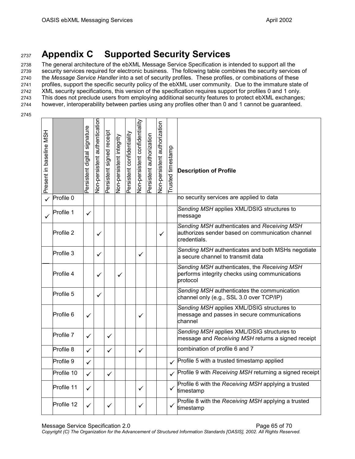# <span id="page-64-0"></span><sup>2737</sup>**Appendix C Supported Security Services**

2738 The general architecture of the ebXML Message Service Specification is intended to support all the 2739 security services required for electronic business. The following table combines the security services of 2740 the *Message Service Handler* into a set of security profiles. These profiles, or combinations of these 2741 profiles, support the specific security policy of the ebXML user community. Due to the immature state of 2742 XML security specifications, this version of the specification requires support for profiles 0 and 1 only. 2743 This does not preclude users from employing additional security features to protect ebXML exchanges; 2744 however, interoperability between parties using any profiles other than 0 and 1 cannot be guaranteed.

| Present in baseline MSH |            | Persistent digital signature | Non-persistent authentication | Persistent signed receipt | Non-persistent integrity | Persistent confidentiality | Non-persistent confidentiality | Persistent authorization | Non-persistent authorization | rusted timestamp | <b>Description of Profile</b>                                                                                   |
|-------------------------|------------|------------------------------|-------------------------------|---------------------------|--------------------------|----------------------------|--------------------------------|--------------------------|------------------------------|------------------|-----------------------------------------------------------------------------------------------------------------|
|                         | Profile 0  |                              |                               |                           |                          |                            |                                |                          |                              |                  | no security services are applied to data                                                                        |
| ✓                       | Profile 1  | ✓                            |                               |                           |                          |                            |                                |                          |                              |                  | Sending MSH applies XML/DSIG structures to<br>message                                                           |
|                         | Profile 2  |                              | ✓                             |                           |                          |                            |                                |                          | ✓                            |                  | Sending MSH authenticates and Receiving MSH<br>authorizes sender based on communication channel<br>credentials. |
|                         | Profile 3  |                              | ✓                             |                           |                          |                            | ✓                              |                          |                              |                  | Sending MSH authenticates and both MSHs negotiate<br>a secure channel to transmit data                          |
|                         | Profile 4  |                              | ✓                             |                           | ✓                        |                            |                                |                          |                              |                  | Sending MSH authenticates, the Receiving MSH<br>performs integrity checks using communications<br>protocol      |
|                         | Profile 5  |                              | ✓                             |                           |                          |                            |                                |                          |                              |                  | Sending MSH authenticates the communication<br>channel only (e.g., SSL 3.0 over TCP/IP)                         |
|                         | Profile 6  | ✓                            |                               |                           |                          |                            | ✓                              |                          |                              |                  | Sending MSH applies XML/DSIG structures to<br>message and passes in secure communications<br>channel            |
|                         | Profile 7  | ✓                            |                               | ✓                         |                          |                            |                                |                          |                              |                  | Sending MSH applies XML/DSIG structures to<br>message and Receiving MSH returns a signed receipt                |
|                         | Profile 8  | ✓                            |                               | ✓                         |                          |                            | ✓                              |                          |                              |                  | combination of profile 6 and 7                                                                                  |
|                         | Profile 9  | ✓                            |                               |                           |                          |                            |                                |                          |                              | $\checkmark$     | Profile 5 with a trusted timestamp applied                                                                      |
|                         | Profile 10 | $\checkmark$                 |                               | ✓                         |                          |                            |                                |                          |                              |                  | √ Profile 9 with Receiving MSH returning a signed receipt                                                       |
|                         | Profile 11 | $\checkmark$                 |                               |                           |                          |                            | ✓                              |                          |                              | ✓                | Profile 6 with the Receiving MSH applying a trusted<br>timestamp                                                |
|                         | Profile 12 | $\checkmark$                 |                               | ✓                         |                          |                            | ✓                              |                          |                              | ✓                | Profile 8 with the Receiving MSH applying a trusted<br>timestamp                                                |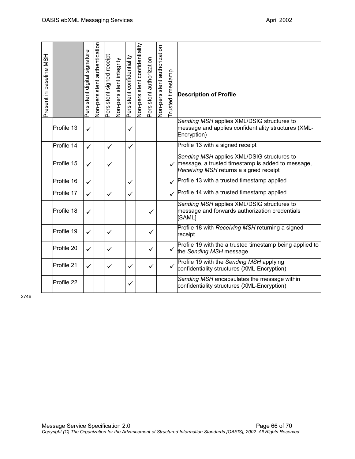| Present in baseline MSH |                                   | Persistent digital signature | Non-persistent authentication | Persistent signed receipt | Non-persistent integrity | Persistent confidentiality | Non-persistent confidentiality | ersistent authorization | Non-persistent authorization | Trusted timestamp | <b>Description of Profile</b>                                                                                                             |
|-------------------------|-----------------------------------|------------------------------|-------------------------------|---------------------------|--------------------------|----------------------------|--------------------------------|-------------------------|------------------------------|-------------------|-------------------------------------------------------------------------------------------------------------------------------------------|
|                         | Profile 13                        | ✓                            |                               |                           |                          | ✓                          |                                |                         |                              |                   | Sending MSH applies XML/DSIG structures to<br>message and applies confidentiality structures (XML-<br>Encryption)                         |
|                         | Profile 14                        | $\checkmark$                 |                               | ✓                         |                          | $\checkmark$               |                                |                         |                              |                   | Profile 13 with a signed receipt                                                                                                          |
|                         | Profile 15                        | ✓                            |                               | ✓                         |                          |                            |                                |                         |                              | $\checkmark$      | Sending MSH applies XML/DSIG structures to<br>message, a trusted timestamp is added to message,<br>Receiving MSH returns a signed receipt |
|                         | Profile 16                        | ✓                            |                               |                           |                          | ✓                          |                                |                         |                              |                   | Profile 13 with a trusted timestamp applied                                                                                               |
|                         | Profile 17                        | $\checkmark$                 |                               | ✓                         |                          | $\checkmark$               |                                |                         |                              | $\checkmark$      | Profile 14 with a trusted timestamp applied                                                                                               |
|                         | Profile 18                        | ✓                            |                               |                           |                          |                            |                                | ✓                       |                              |                   | Sending MSH applies XML/DSIG structures to<br>message and forwards authorization credentials<br>[SAML]                                    |
|                         | Profile 19                        | ✓                            |                               | ✓                         |                          |                            |                                | ✓                       |                              |                   | Profile 18 with Receiving MSH returning a signed<br>receipt                                                                               |
|                         | Profile 20                        | ✓                            |                               | ✓                         |                          |                            |                                | ✓                       |                              | ✓                 | Profile 19 with the a trusted timestamp being applied to<br>the Sending MSH message                                                       |
|                         | Profile 21                        | ✓                            |                               | ✓                         |                          | ✓                          |                                | ✓                       |                              | ✓                 | Profile 19 with the Sending MSH applying<br>confidentiality structures (XML-Encryption)                                                   |
|                         | Profile 22                        |                              |                               |                           |                          | ✓                          |                                |                         |                              |                   | Sending MSH encapsulates the message within<br>confidentiality structures (XML-Encryption)                                                |
|                         | Message Service Specification 2.0 |                              |                               |                           |                          |                            |                                |                         |                              |                   | Page 66 of 70                                                                                                                             |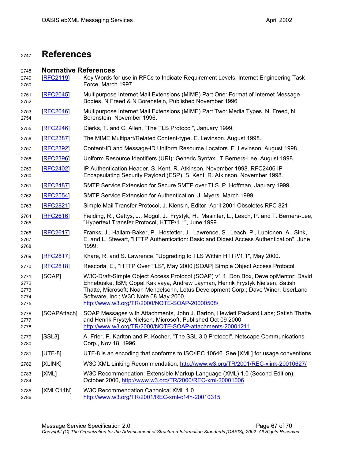# <span id="page-66-0"></span><sup>2747</sup>**References**

### <sup>2748</sup>**Normative References**

- 2749 [[RFC2119\]](http://www.rfc-editor.org/rfc/rfc2119.txt) Key Words for use in RFCs to Indicate Requirement Levels, Internet Engineering Task 2750 Force, March 1997 2751 [[RFC2045\]](http://www.rfc-editor.org/rfc/rfc2045.txt) Multipurpose Internet Mail Extensions (MIME) Part One: Format of Internet Message 2752 Bodies, N Freed & N Borenstein, Published November 1996
- 2753 [[RFC2046\]](http://www.rfc-editor.org/rfc/rfc2046.txt) Multipurpose Internet Mail Extensions (MIME) Part Two: Media Types. N. Freed, N. 2754 Borenstein. November 1996.
- 2755 [[RFC2246\]](http://www.rfc-editor.org/rfc/rfc2246.txt) Dierks, T. and C. Allen, "The TLS Protocol", January 1999.
- 2756 [[RFC2387\]](http://www.rfc-editor.org/rfc/rfc2387.txt) The MIME Multipart/Related Content-type. E. Levinson. August 1998.
- 2757 [[RFC2392\]](http://www.rfc-editor.org/rfc/rfc2392.txt) Content-ID and Message-ID Uniform Resource Locators. E. Levinson, August 1998
- 2758 [[RFC2396\]](http://www.rfc-editor.org/rfc/rfc2396.txt) Uniform Resource Identifiers (URI): Generic Syntax. T Berners-Lee, August 1998
- 2759 [[RFC2402\]](http://www.rfc-editor.org/rfc/rfc2402.txt) IP Authentication Header. S. Kent, R. Atkinson. November 1998. RFC2406 IP 2760 Encapsulating Security Payload (ESP). S. Kent, R. Atkinson. November 1998.
- 2761 [[RFC2487\]](http://www.rfc-editor.org/rfc/rfc2487.txt) SMTP Service Extension for Secure SMTP over TLS. P. Hoffman, January 1999.
- 2762 [[RFC2554\]](http://www.rfc-editor.org/rfc/rfc2554.txt) SMTP Service Extension for Authentication. J. Myers. March 1999.
- 2763 [[RFC2821\]](http://www.rfc-editor.org/rfc/rfc2821.txt) Simple Mail Transfer Protocol, J. Klensin, Editor, April 2001 Obsoletes RFC 821
- 2764 [[RFC2616\]](http://www.rfc-editor.org/rfc/rfc2616.txt) Fielding, R., Gettys, J., Mogul, J., Frystyk, H., Masinter, L., Leach, P. and T. Berners-Lee, 2765 "Hypertext Transfer Protocol, HTTP/1.1", June 1999.
- 2766 [[RFC2617\]](http://www.rfc-editor.org/rfc/rfc2617.txt) Franks, J., Hallam-Baker, P., Hostetler, J., Lawrence, S., Leach, P., Luotonen, A., Sink, 2767 E. and L. Stewart, "HTTP Authentication: Basic and Digest Access Authentication", June 2768 1999.
- 2769 [[RFC2817\]](http://www.rfc-editor.org/rfc/rfc2817.txt) Khare, R. and S. Lawrence, "Upgrading to TLS Within HTTP/1.1", May 2000.
- 2770 [[RFC2818\]](http://www.rfc-editor.org/rfc/rfc2818.txt) Rescorla, E., "HTTP Over TLS", May 2000 [SOAP] Simple Object Access Protocol
- 2771 [SOAP] W3C-Draft-Simple Object Access Protocol (SOAP) v1.1, Don Box, DevelopMentor; David 2772 Ehnebuske, IBM; Gopal Kakivaya, Andrew Layman, Henrik Frystyk Nielsen, Satish 2773 Thatte, Microsoft; Noah Mendelsohn, Lotus Development Corp.; Dave Winer, UserLand 2774 Software, Inc.; W3C Note 08 May 2000, 2775 [http://www.w3.org/TR/2000/NOTE-SOAP-20000508/](http://www.w3.org/TR/SOAP)
- 2776 [SOAPAttach] SOAP Messages with Attachments, John J. Barton, Hewlett Packard Labs; Satish Thatte 2777 and Henrik Frystyk Nielsen, Microsoft, Published Oct 09 2000 2778 [http://www.w3.org/TR/2000/NOTE-SOAP-attachments-20001211](http://www.w3.org/TR/SOAP-attachments)
- 2779 [SSL3] A. Frier, P. Karlton and P. Kocher, "The SSL 3.0 Protocol", Netscape Communications 2780 Corp., Nov 18, 1996.
- 2781 [UTF-8] UTF-8 is an encoding that conforms to ISO/IEC 10646. See [XML] for usage conventions.
- 2782 [XLINK] W3C XML Linking Recommendation, [http://www.w3.org/TR/2001/REC-xlink-20010627/](http://www.w3.org/TR/2001/REC-xlink-/20010627/)
- 2783 [XML] W3C Recommendation: Extensible Markup Language (XML) 1.0 (Second Edition), 2784 October 2000,<http://www.w3.org/TR/2000/REC-xml-20001006>
- 2785 [XMLC14N] W3C Recommendation Canonical XML 1.0, 2786 <http://www.w3.org/TR/2001/REC-xml-c14n-20010315>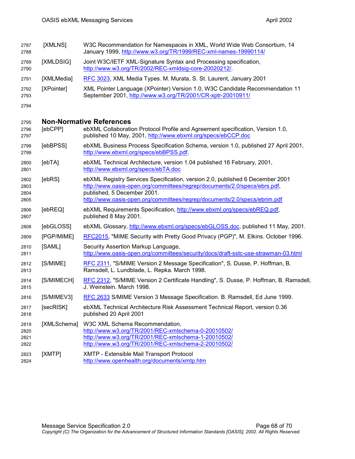<span id="page-67-0"></span>

| 2787<br>2788                 | [XMLNS]     | W3C Recommendation for Namespaces in XML, World Wide Web Consortium, 14<br>January 1999, http://www.w3.org/TR/1999/REC-xml-names-19990114/                                                                                                                             |
|------------------------------|-------------|------------------------------------------------------------------------------------------------------------------------------------------------------------------------------------------------------------------------------------------------------------------------|
| 2789<br>2790                 | [XMLDSIG]   | Joint W3C/IETF XML-Signature Syntax and Processing specification,<br>http://www.w3.org/TR/2002/REC-xmldsig-core-20020212/.                                                                                                                                             |
| 2791                         | [XMLMedia]  | RFC 3023, XML Media Types. M. Murata, S. St. Laurent, January 2001                                                                                                                                                                                                     |
| 2792<br>2793                 | [XPointer]  | XML Pointer Language (XPointer) Version 1.0, W3C Candidate Recommendation 11<br>September 2001, http://www.w3.org/TR/2001/CR-xptr-20010911/                                                                                                                            |
| 2794                         |             |                                                                                                                                                                                                                                                                        |
| 2795<br>2796<br>2797         | [ebCPP]     | <b>Non-Normative References</b><br>ebXML Collaboration Protocol Profile and Agreement specification, Version 1.0,<br>published 10 May, 2001, http://www.ebxml.org/specs/ebCCP.doc                                                                                      |
| 2798<br>2799                 | [ebBPSS]    | ebXML Business Process Specification Schema, version 1.0, published 27 April 2001,<br>http://www.ebxml.org/specs/ebBPSS.pdf.                                                                                                                                           |
| 2800<br>2801                 | [ebTA]      | ebXML Technical Architecture, version 1.04 published 16 February, 2001,<br>http://www.ebxml.org/specs/ebTA.doc                                                                                                                                                         |
| 2802<br>2803<br>2804<br>2805 | [ebRS]      | ebXML Registry Services Specification, version 2.0, published 6 December 2001<br>http://www.oasis-open.org/committees/regrep/documents/2.0/specs/ebrs.pdf,<br>published, 5 December 2001.<br>http://www.oasis-open.org/committees/regrep/documents/2.0/specs/ebrim.pdf |
| 2806<br>2807                 | [ebREQ]     | ebXML Requirements Specification, http://www.ebxml.org/specs/ebREQ.pdf,<br>published 8 May 2001.                                                                                                                                                                       |
| 2808                         | [ebGLOSS]   | ebXML Glossary, http://www.ebxml.org/specs/ebGLOSS.doc, published 11 May, 2001.                                                                                                                                                                                        |
| 2809                         | [PGP/MIME]  | RFC2015, "MIME Security with Pretty Good Privacy (PGP)", M. Elkins. October 1996.                                                                                                                                                                                      |
| 2810<br>2811                 | [SAML]      | Security Assertion Markup Language,<br>http://www.oasis-open.org/committees/security/docs/draft-sstc-use-strawman-03.html                                                                                                                                              |
| 2812<br>2813                 | [S/MIME]    | RFC 2311, "S/MIME Version 2 Message Specification", S. Dusse, P. Hoffman, B.<br>Ramsdell, L. Lundblade, L. Repka. March 1998.                                                                                                                                          |
| 2814<br>2815                 | [S/MIMECH]  | RFC 2312, "S/MIME Version 2 Certificate Handling", S. Dusse, P. Hoffman, B. Ramsdell,<br>J. Weinstein. March 1998.                                                                                                                                                     |
| 2816                         | [S/MIMEV3]  | RFC 2633 S/MIME Version 3 Message Specification. B. Ramsdell, Ed June 1999.                                                                                                                                                                                            |
| 2817<br>2818                 | [secRISK]   | ebXML Technical Architecture Risk Assessment Technical Report, version 0.36<br>published 20 April 2001                                                                                                                                                                 |
| 2819<br>2820<br>2821<br>2822 | [XMLSchema] | W3C XML Schema Recommendation,<br>http://www.w3.org/TR/2001/REC-xmlschema-0-20010502/<br>http://www.w3.org/TR/2001/REC-xmlschema-1-20010502/<br>http://www.w3.org/TR/2001/REC-xmlschema-2-20010502/                                                                    |
| 2823<br>2824                 | [XMTP]      | XMTP - Extensible Mail Transport Protocol<br>http://www.openhealth.org/documents/xmtp.htm                                                                                                                                                                              |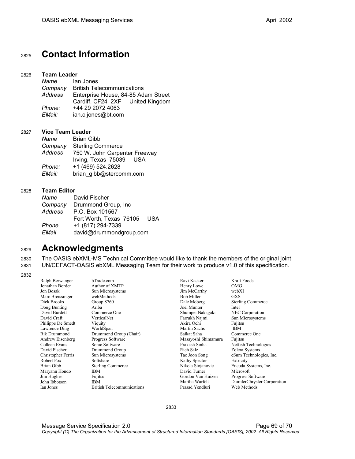# <span id="page-68-0"></span><sup>2825</sup>**Contact Information**

| <b>Team Leader</b> |                                                      |  |
|--------------------|------------------------------------------------------|--|
| Name               | lan Jones                                            |  |
| Company            | <b>British Telecommunications</b>                    |  |
| Address            | Enterprise House, 84-85 Adam Street                  |  |
| Phone:             | Cardiff, CF24 2XF United Kingdom<br>+44 29 2072 4063 |  |
| EMail:             | ian.c.jones@bt.com                                   |  |
|                    |                                                      |  |

# 2827 **Vice Team Leader** *Name* Brian Gibb *Company* Sterling Commerce

| Address | 750 W. John Carpenter Freeway |  |
|---------|-------------------------------|--|
|         | Irving, Texas 75039 USA       |  |
| Phone:  | +1 (469) 524.2628             |  |
| EMail:  | brian_gibb@stercomm.com       |  |

### 2828 **Team Editor**

| Name           | David Fischer                         |  |
|----------------|---------------------------------------|--|
| Company        | Drummond Group, Inc.                  |  |
| <b>Address</b> | P.O. Box 101567                       |  |
|                | Fort Worth, Texas 76105<br><b>USA</b> |  |
| Phone          | +1 (817) 294-7339                     |  |
| EMail          | david@drummondgroup.com               |  |

# <sup>2829</sup>**Acknowledgments**

2830 The OASIS ebXML-MS Technical Committee would like to thank the members of the original joint 2831 UN/CEFACT-OASIS ebXML Messaging Team for their work to produce v1.0 of this specification.

2832

2826 **Team Leader** 

| Ralph Berwanger    | bTrade.com                        |
|--------------------|-----------------------------------|
| Jonathan Borden    | Author of XMTP                    |
| Jon Bosak          | Sun Microsystems                  |
| Marc Breissinger   | webMethods                        |
| Dick Brooks        | Group 8760                        |
| Doug Bunting       | Ariba                             |
| David Burdett      | Commerce One                      |
| David Craft        | VerticalNet                       |
| Philippe De Smedt  | Viquity                           |
| Lawrence Ding      | WorldSpan                         |
| Rik Drummond       | Drummond Group (Chair)            |
| Andrew Eisenberg   | Progress Software                 |
| Colleen Evans      | Sonic Software                    |
| David Fischer      | Drummond Group                    |
| Christopher Ferris | Sun Microsystems                  |
| Robert Fox         | Softshare                         |
| Brian Gibb         | <b>Sterling Commerce</b>          |
| Maryann Hondo      | <b>IBM</b>                        |
| Jim Hughes         | Fujitsu                           |
| John Ibbotson      | IBM                               |
| Ian Jones          | <b>British Telecommunications</b> |
|                    |                                   |

Ravi Kacker Kraft Foods<br>
Henry Lowe OMG Henry Lowe Jim McCarthy webXI Bob Miller GXS<br>Dale Moberg Sterli Joel Munter Intel<br>Shumpei Nakagaki NEC Corporation Shumpei Nakagaki Farrukh Najmi Sun Microsystems<br>Akira Ochi Fujitsu Akira Ochi Martin Sachs IBM Saikat Saha Commerce One Masayoshi Shimamura Fujitsu Rich Salz Zolera Systems Kathy Spector<br>Nikola Stojanovic<br>Encoda S David Turner Microsoft Gordon Van Huizen Progress Software<br>Martha Warfelt DaimlerChrysler C

Prasad Yendluri

Sterling Commerce Netfish Technologies Tae Joon Song eSum Technologies, Inc. Encoda Systems, Inc. DaimlerChrysler Corporation<br>Web Methods